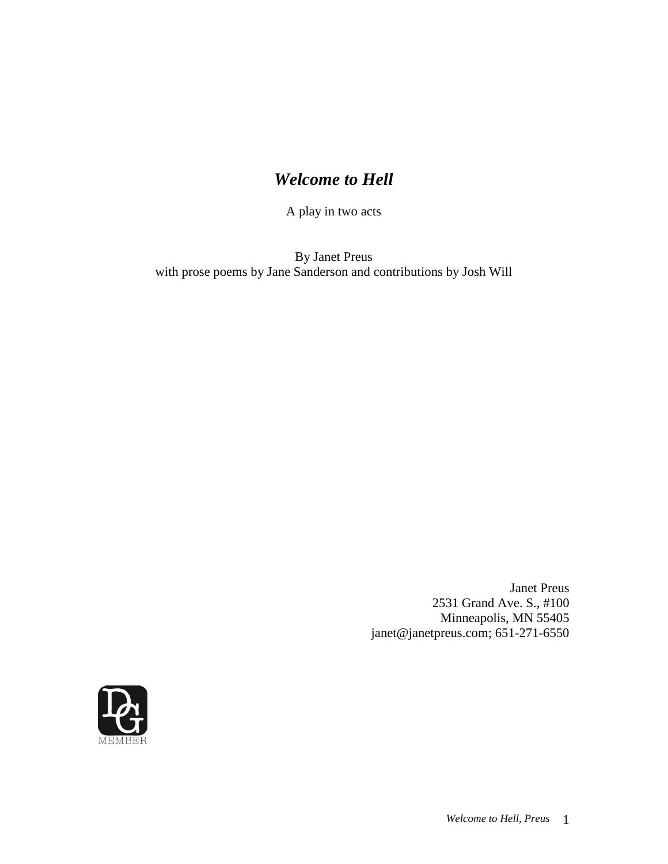# *Welcome to Hell*

A play in two acts

By Janet Preus with prose poems by Jane Sanderson and contributions by Josh Will

> Janet Preus 2531 Grand Ave. S., #100 Minneapolis, MN 55405 janet@janetpreus.com; 651-271-6550

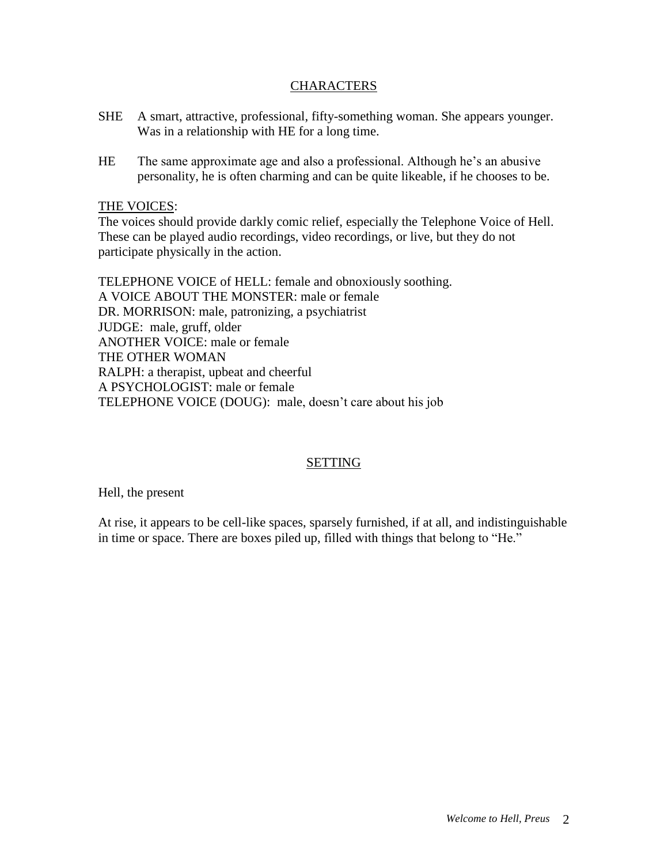# **CHARACTERS**

- SHE A smart, attractive, professional, fifty-something woman. She appears younger. Was in a relationship with HE for a long time.
- HE The same approximate age and also a professional. Although he's an abusive personality, he is often charming and can be quite likeable, if he chooses to be.

# THE VOICES:

The voices should provide darkly comic relief, especially the Telephone Voice of Hell. These can be played audio recordings, video recordings, or live, but they do not participate physically in the action.

TELEPHONE VOICE of HELL: female and obnoxiously soothing. A VOICE ABOUT THE MONSTER: male or female DR. MORRISON: male, patronizing, a psychiatrist JUDGE: male, gruff, older ANOTHER VOICE: male or female THE OTHER WOMAN RALPH: a therapist, upbeat and cheerful A PSYCHOLOGIST: male or female TELEPHONE VOICE (DOUG): male, doesn't care about his job

# SETTING

Hell, the present

At rise, it appears to be cell-like spaces, sparsely furnished, if at all, and indistinguishable in time or space. There are boxes piled up, filled with things that belong to "He."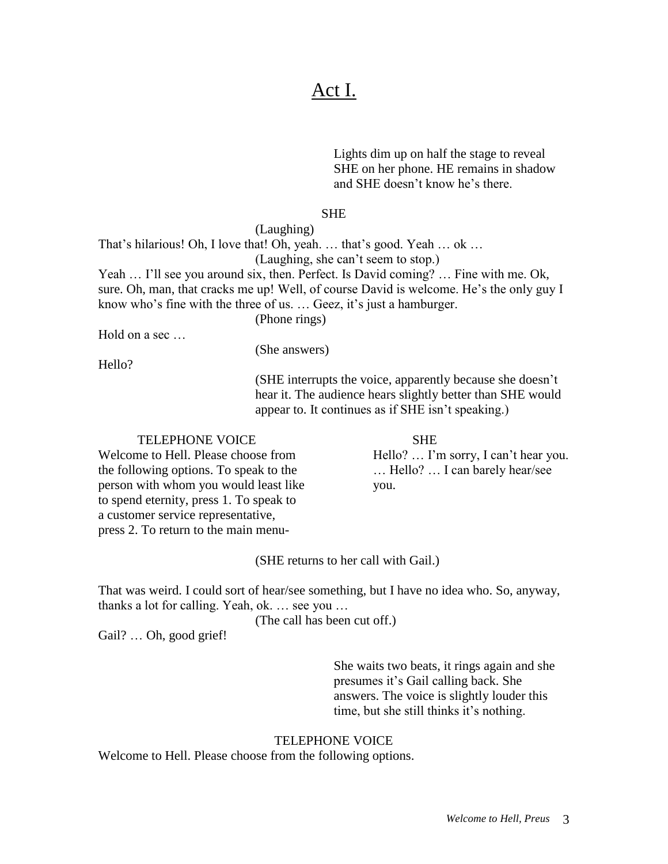# Act I.

Lights dim up on half the stage to reveal SHE on her phone. HE remains in shadow and SHE doesn't know he's there.

#### SHE

(Laughing)

That's hilarious! Oh, I love that! Oh, yeah. … that's good. Yeah … ok … (Laughing, she can't seem to stop.) Yeah ... I'll see you around six, then. Perfect. Is David coming? ... Fine with me. Ok,

sure. Oh, man, that cracks me up! Well, of course David is welcome. He's the only guy I know who's fine with the three of us. … Geez, it's just a hamburger.

(Phone rings)

Hold on a sec …

(She answers)

Hello?

(SHE interrupts the voice, apparently because she doesn't hear it. The audience hears slightly better than SHE would appear to. It continues as if SHE isn't speaking.)

#### TELEPHONE VOICE SHE

Welcome to Hell. Please choose from Hello? ... I'm sorry, I can't hear you. the following options. To speak to the … Hello? … I can barely hear/see person with whom you would least like you. to spend eternity, press 1. To speak to a customer service representative, press 2. To return to the main menu-

# (SHE returns to her call with Gail.)

That was weird. I could sort of hear/see something, but I have no idea who. So, anyway, thanks a lot for calling. Yeah, ok. … see you …

(The call has been cut off.)

Gail? … Oh, good grief!

She waits two beats, it rings again and she presumes it's Gail calling back. She answers. The voice is slightly louder this time, but she still thinks it's nothing.

#### TELEPHONE VOICE

Welcome to Hell. Please choose from the following options.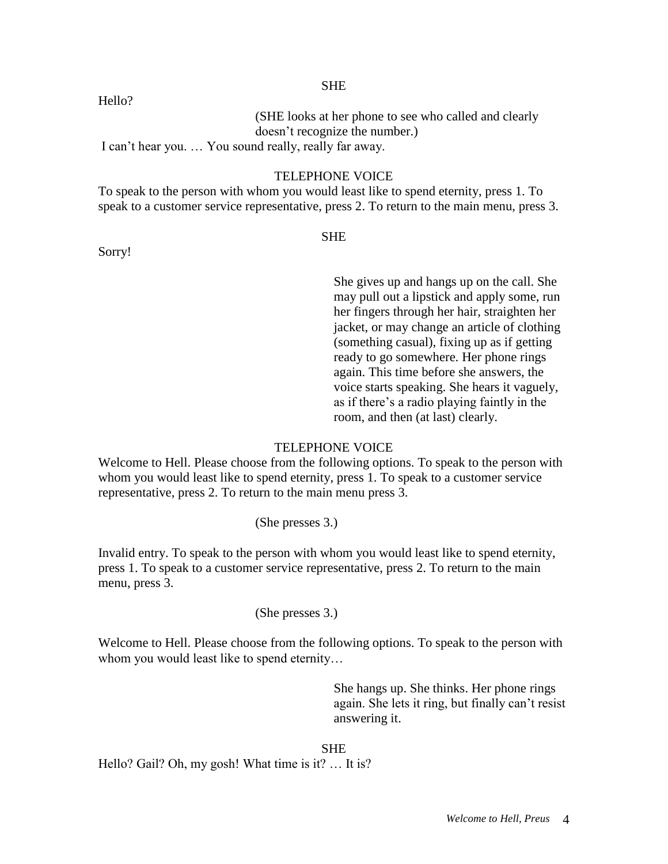(SHE looks at her phone to see who called and clearly doesn't recognize the number.)

I can't hear you. … You sound really, really far away.

# TELEPHONE VOICE

To speak to the person with whom you would least like to spend eternity, press 1. To speak to a customer service representative, press 2. To return to the main menu, press 3.

**SHE** 

She gives up and hangs up on the call. She may pull out a lipstick and apply some, run her fingers through her hair, straighten her jacket, or may change an article of clothing (something casual), fixing up as if getting ready to go somewhere. Her phone rings again. This time before she answers, the voice starts speaking. She hears it vaguely, as if there's a radio playing faintly in the room, and then (at last) clearly.

# TELEPHONE VOICE

Welcome to Hell. Please choose from the following options. To speak to the person with whom you would least like to spend eternity, press 1. To speak to a customer service representative, press 2. To return to the main menu press 3.

(She presses 3.)

Invalid entry. To speak to the person with whom you would least like to spend eternity, press 1. To speak to a customer service representative, press 2. To return to the main menu, press 3.

(She presses 3.)

Welcome to Hell. Please choose from the following options. To speak to the person with whom you would least like to spend eternity...

> She hangs up. She thinks. Her phone rings again. She lets it ring, but finally can't resist answering it.

# SHE

Hello? Gail? Oh, my gosh! What time is it? … It is?

# Hello?

Sorry!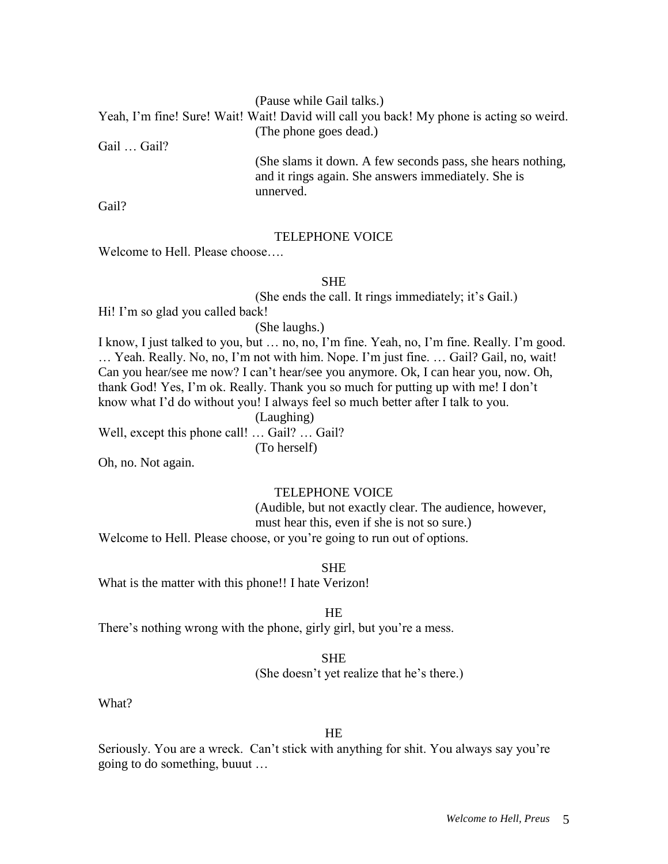(Pause while Gail talks.)

Yeah, I'm fine! Sure! Wait! Wait! David will call you back! My phone is acting so weird. (The phone goes dead.)

Gail … Gail?

(She slams it down. A few seconds pass, she hears nothing, and it rings again. She answers immediately. She is unnerved.

Gail?

#### TELEPHONE VOICE

Welcome to Hell. Please choose….

#### SHE

(She ends the call. It rings immediately; it's Gail.)

Hi! I'm so glad you called back!

(She laughs.)

I know, I just talked to you, but … no, no, I'm fine. Yeah, no, I'm fine. Really. I'm good. … Yeah. Really. No, no, I'm not with him. Nope. I'm just fine. … Gail? Gail, no, wait! Can you hear/see me now? I can't hear/see you anymore. Ok, I can hear you, now. Oh, thank God! Yes, I'm ok. Really. Thank you so much for putting up with me! I don't know what I'd do without you! I always feel so much better after I talk to you.

(Laughing)

Well, except this phone call! ... Gail? ... Gail?

(To herself)

Oh, no. Not again.

# TELEPHONE VOICE

(Audible, but not exactly clear. The audience, however, must hear this, even if she is not so sure.) Welcome to Hell. Please choose, or you're going to run out of options.

**SHE** 

What is the matter with this phone!! I hate Verizon!

**HE** 

There's nothing wrong with the phone, girly girl, but you're a mess.

#### SHE

(She doesn't yet realize that he's there.)

What?

#### HE

Seriously. You are a wreck. Can't stick with anything for shit. You always say you're going to do something, buuut …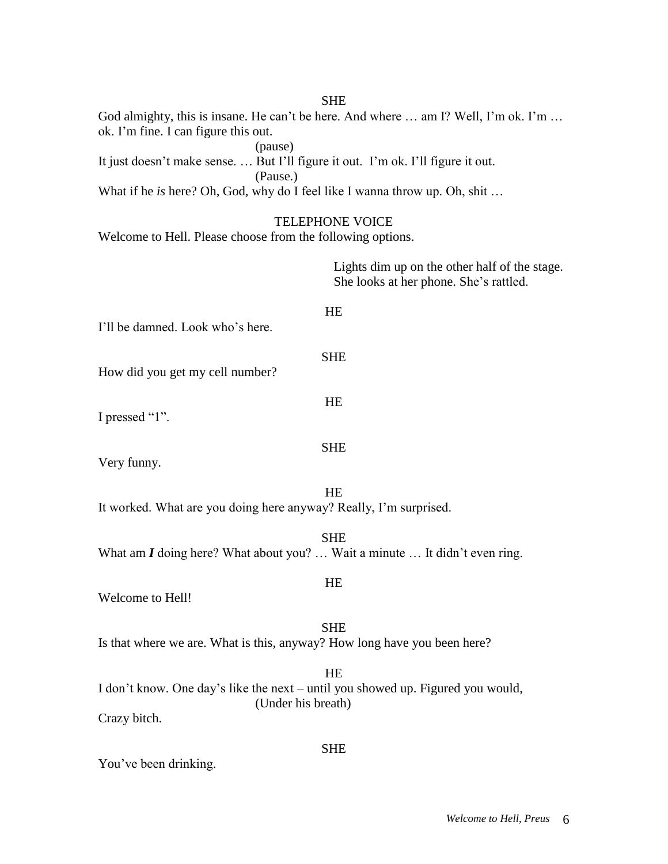| <b>SHE</b>                                                                                                                         |
|------------------------------------------------------------------------------------------------------------------------------------|
| God almighty, this is insane. He can't be here. And where  am I? Well, I'm ok. I'm<br>ok. I'm fine. I can figure this out.         |
| (pause)<br>It just doesn't make sense But I'll figure it out. I'm ok. I'll figure it out.<br>(Pause.)                              |
| What if he is here? Oh, God, why do I feel like I wanna throw up. Oh, shit                                                         |
| <b>TELEPHONE VOICE</b><br>Welcome to Hell. Please choose from the following options.                                               |
| Lights dim up on the other half of the stage.<br>She looks at her phone. She's rattled.                                            |
| HE<br>I'll be damned. Look who's here.                                                                                             |
| <b>SHE</b><br>How did you get my cell number?                                                                                      |
| HE<br>I pressed "1".                                                                                                               |
| <b>SHE</b><br>Very funny.                                                                                                          |
| HE<br>It worked. What are you doing here anyway? Really, I'm surprised.                                                            |
| <b>SHE</b><br>What am $I$ doing here? What about you?  Wait a minute  It didn't even ring.                                         |
| HE<br>Welcome to Hell!                                                                                                             |
| <b>SHE</b><br>Is that where we are. What is this, anyway? How long have you been here?                                             |
| <b>HE</b><br>I don't know. One day's like the next - until you showed up. Figured you would,<br>(Under his breath)<br>Crazy bitch. |
| <b>SHE</b><br>You've been drinking.                                                                                                |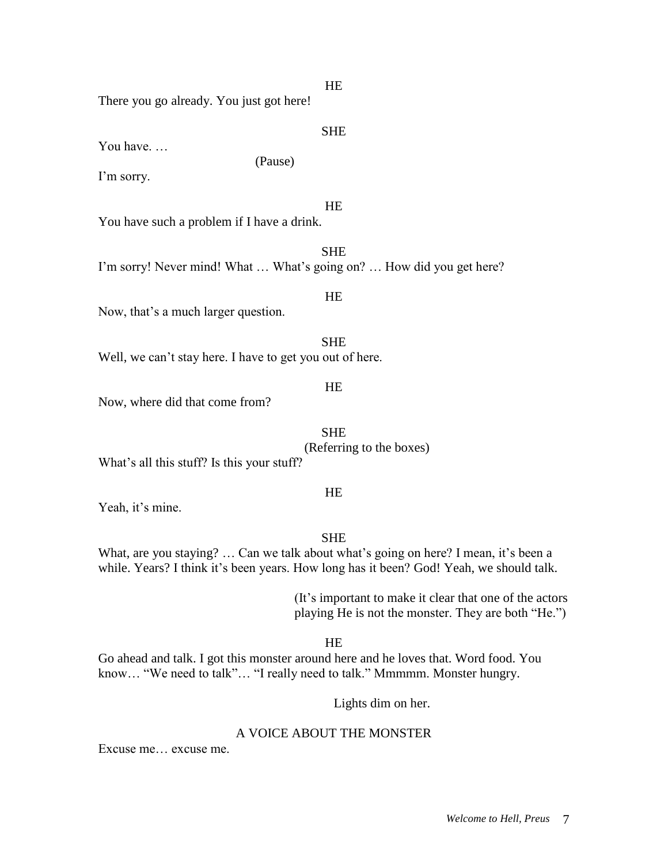**HE** 

There you go already. You just got here!

SHE

You have. …

I'm sorry.

**HE** 

You have such a problem if I have a drink.

SHE I'm sorry! Never mind! What … What's going on? … How did you get here?

(Pause)

**HE** 

Now, that's a much larger question.

SHE

Well, we can't stay here. I have to get you out of here.

HE

Now, where did that come from?

SHE (Referring to the boxes)

What's all this stuff? Is this your stuff?

**HE** 

Yeah, it's mine.

SHE

What, are you staying? ... Can we talk about what's going on here? I mean, it's been a while. Years? I think it's been years. How long has it been? God! Yeah, we should talk.

> (It's important to make it clear that one of the actors playing He is not the monster. They are both "He.")

> > HE

Go ahead and talk. I got this monster around here and he loves that. Word food. You know... "We need to talk"... "I really need to talk." Mmmmm. Monster hungry.

Lights dim on her.

# A VOICE ABOUT THE MONSTER

Excuse me… excuse me.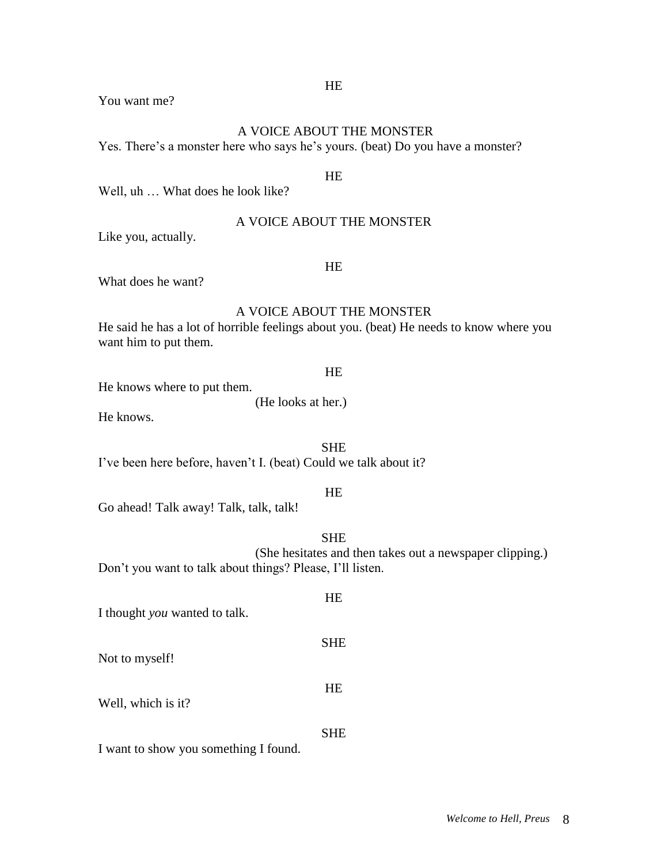# HE

You want me?

# A VOICE ABOUT THE MONSTER

Yes. There's a monster here who says he's yours. (beat) Do you have a monster?

# **HE**

Well, uh … What does he look like?

# A VOICE ABOUT THE MONSTER

Like you, actually.

# HE

What does he want?

# A VOICE ABOUT THE MONSTER

He said he has a lot of horrible feelings about you. (beat) He needs to know where you want him to put them.

#### HE

He knows where to put them.

(He looks at her.)

He knows.

**SHE** 

I've been here before, haven't I. (beat) Could we talk about it?

# **HE**

Go ahead! Talk away! Talk, talk, talk!

# SHE

(She hesitates and then takes out a newspaper clipping.) Don't you want to talk about things? Please, I'll listen.

# HE I thought *you* wanted to talk. SHE Not to myself! HE Well, which is it? SHE

I want to show you something I found.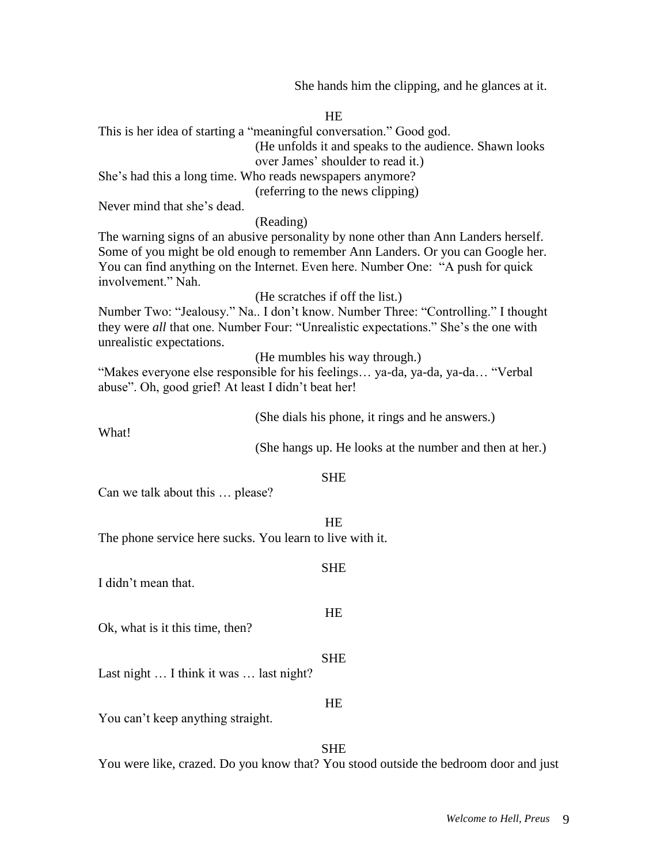She hands him the clipping, and he glances at it.

| <b>HE</b>                                                                           |                                                                                                                                                                    |  |  |
|-------------------------------------------------------------------------------------|--------------------------------------------------------------------------------------------------------------------------------------------------------------------|--|--|
|                                                                                     | This is her idea of starting a "meaningful conversation." Good god.                                                                                                |  |  |
|                                                                                     | (He unfolds it and speaks to the audience. Shawn looks                                                                                                             |  |  |
|                                                                                     | over James' shoulder to read it.)                                                                                                                                  |  |  |
|                                                                                     | She's had this a long time. Who reads newspapers anymore?                                                                                                          |  |  |
|                                                                                     | (referring to the news clipping)                                                                                                                                   |  |  |
| Never mind that she's dead.                                                         |                                                                                                                                                                    |  |  |
|                                                                                     | (Reading)                                                                                                                                                          |  |  |
| The warning signs of an abusive personality by none other than Ann Landers herself. |                                                                                                                                                                    |  |  |
|                                                                                     | Some of you might be old enough to remember Ann Landers. Or you can Google her.<br>You can find anything on the Internet. Even here. Number One: "A push for quick |  |  |
| involvement." Nah.                                                                  |                                                                                                                                                                    |  |  |
|                                                                                     | (He scratches if off the list.)                                                                                                                                    |  |  |
|                                                                                     | Number Two: "Jealousy." Na I don't know. Number Three: "Controlling." I thought                                                                                    |  |  |
|                                                                                     | they were all that one. Number Four: "Unrealistic expectations." She's the one with                                                                                |  |  |
| unrealistic expectations.                                                           |                                                                                                                                                                    |  |  |
|                                                                                     | (He mumbles his way through.)                                                                                                                                      |  |  |
|                                                                                     | "Makes everyone else responsible for his feelings ya-da, ya-da, ya-da "Verbal                                                                                      |  |  |
| abuse". Oh, good grief! At least I didn't beat her!                                 |                                                                                                                                                                    |  |  |
|                                                                                     |                                                                                                                                                                    |  |  |
|                                                                                     | (She dials his phone, it rings and he answers.)                                                                                                                    |  |  |
| What!                                                                               |                                                                                                                                                                    |  |  |
|                                                                                     | (She hangs up. He looks at the number and then at her.)                                                                                                            |  |  |
|                                                                                     | <b>SHE</b>                                                                                                                                                         |  |  |
| Can we talk about this  please?                                                     |                                                                                                                                                                    |  |  |
|                                                                                     |                                                                                                                                                                    |  |  |
|                                                                                     | <b>HE</b>                                                                                                                                                          |  |  |
| The phone service here sucks. You learn to live with it.                            |                                                                                                                                                                    |  |  |
|                                                                                     |                                                                                                                                                                    |  |  |
|                                                                                     | <b>SHE</b>                                                                                                                                                         |  |  |
| I didn't mean that.                                                                 |                                                                                                                                                                    |  |  |
|                                                                                     |                                                                                                                                                                    |  |  |
|                                                                                     | HE                                                                                                                                                                 |  |  |
| Ok, what is it this time, then?                                                     |                                                                                                                                                                    |  |  |
|                                                                                     |                                                                                                                                                                    |  |  |
| Last night  I think it was  last night?                                             | <b>SHE</b>                                                                                                                                                         |  |  |
|                                                                                     |                                                                                                                                                                    |  |  |
|                                                                                     | HE                                                                                                                                                                 |  |  |
| You can't keep anything straight.                                                   |                                                                                                                                                                    |  |  |
|                                                                                     |                                                                                                                                                                    |  |  |
|                                                                                     | <b>SHE</b>                                                                                                                                                         |  |  |
|                                                                                     | You were like, crazed. Do you know that? You stood outside the bedroom door and just                                                                               |  |  |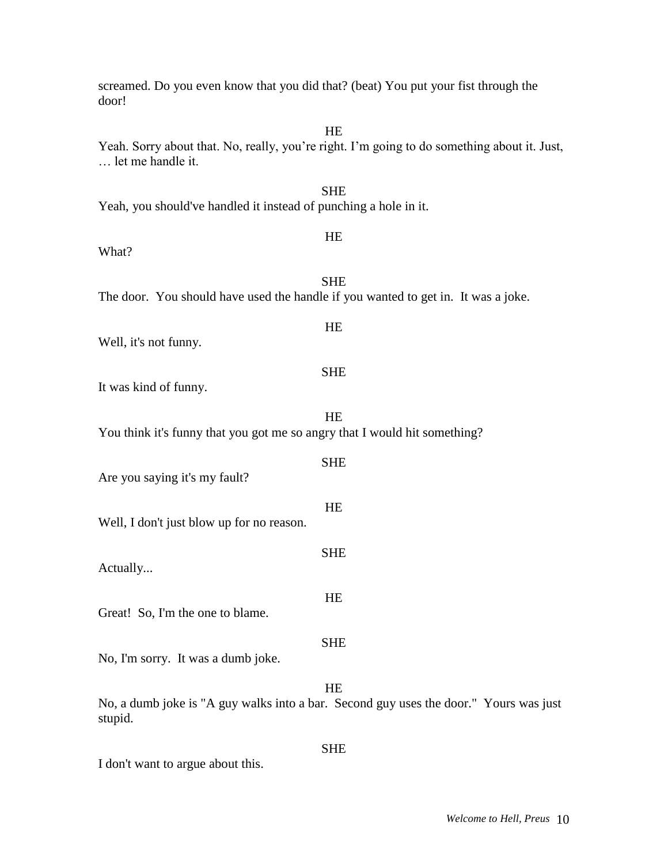| HE<br>Yeah. Sorry about that. No, really, you're right. I'm going to do something about it. Just,<br>let me handle it. |
|------------------------------------------------------------------------------------------------------------------------|
| <b>SHE</b><br>Yeah, you should've handled it instead of punching a hole in it.                                         |
| HE<br>What?                                                                                                            |
| <b>SHE</b><br>The door. You should have used the handle if you wanted to get in. It was a joke.                        |
| HE<br>Well, it's not funny.                                                                                            |
| <b>SHE</b><br>It was kind of funny.                                                                                    |
| <b>HE</b><br>You think it's funny that you got me so angry that I would hit something?                                 |
| <b>SHE</b><br>Are you saying it's my fault?                                                                            |
| HE<br>Well, I don't just blow up for no reason.                                                                        |
| <b>SHE</b><br>Actually                                                                                                 |
| HE<br>Great! So, I'm the one to blame.                                                                                 |
| <b>SHE</b><br>No, I'm sorry. It was a dumb joke.                                                                       |
| HE<br>No, a dumb joke is "A guy walks into a bar. Second guy uses the door." Yours was just<br>stupid.                 |
| <b>SHE</b>                                                                                                             |

screamed. Do you even know that you did that? (beat) You put your fist through the

door!

I don't want to argue about this.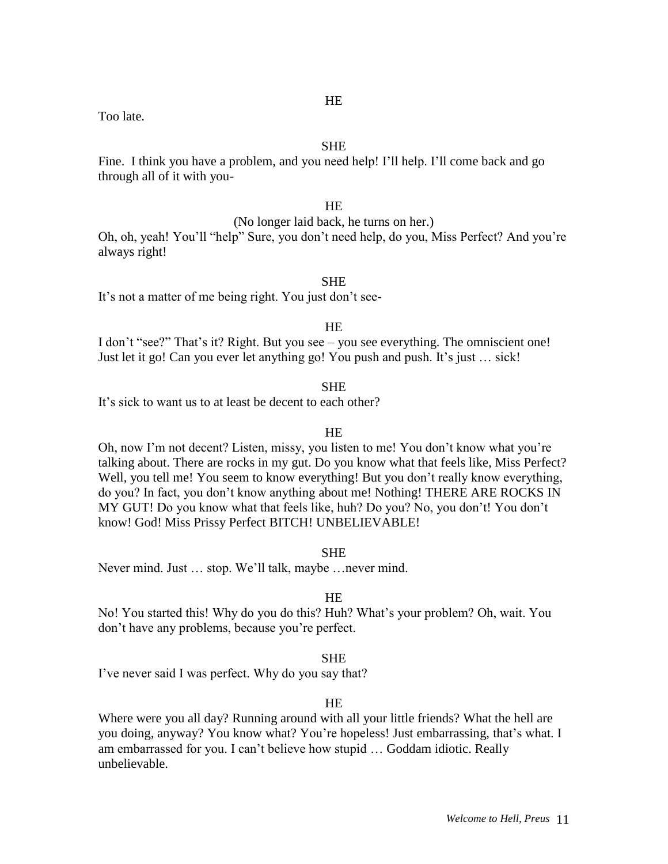Too late.

# **SHE**

Fine. I think you have a problem, and you need help! I'll help. I'll come back and go through all of it with you-

# **HE**

(No longer laid back, he turns on her.)

Oh, oh, yeah! You'll "help" Sure, you don't need help, do you, Miss Perfect? And you're always right!

#### SHE

It's not a matter of me being right. You just don't see-

#### **HE**

I don't "see?" That's it? Right. But you see – you see everything. The omniscient one! Just let it go! Can you ever let anything go! You push and push. It's just … sick!

# **SHE**

It's sick to want us to at least be decent to each other?

#### **HE**

Oh, now I'm not decent? Listen, missy, you listen to me! You don't know what you're talking about. There are rocks in my gut. Do you know what that feels like, Miss Perfect? Well, you tell me! You seem to know everything! But you don't really know everything, do you? In fact, you don't know anything about me! Nothing! THERE ARE ROCKS IN MY GUT! Do you know what that feels like, huh? Do you? No, you don't! You don't know! God! Miss Prissy Perfect BITCH! UNBELIEVABLE!

SHE

Never mind. Just … stop. We'll talk, maybe …never mind.

#### HE

No! You started this! Why do you do this? Huh? What's your problem? Oh, wait. You don't have any problems, because you're perfect.

#### SHE

I've never said I was perfect. Why do you say that?

#### HE

Where were you all day? Running around with all your little friends? What the hell are you doing, anyway? You know what? You're hopeless! Just embarrassing, that's what. I am embarrassed for you. I can't believe how stupid … Goddam idiotic. Really unbelievable.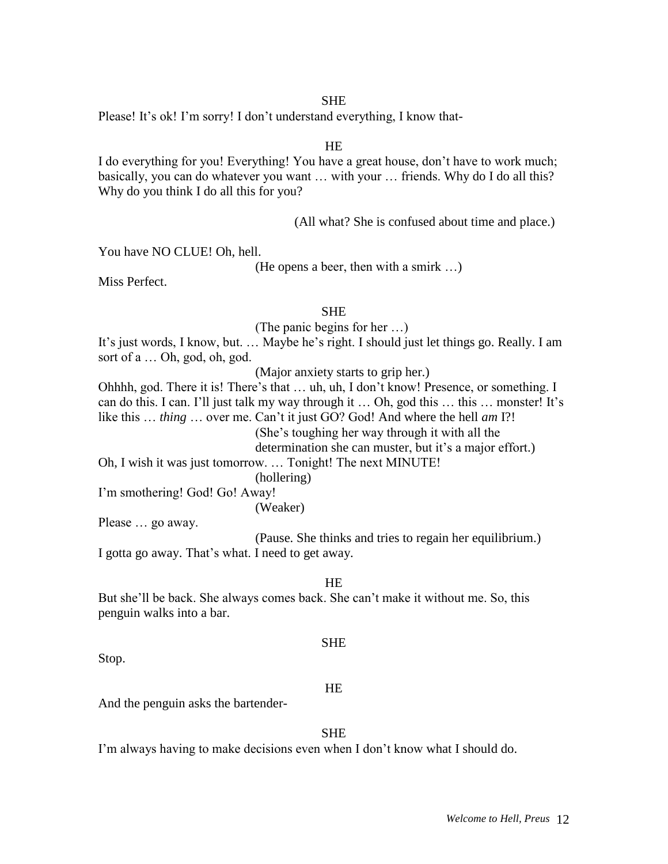Please! It's ok! I'm sorry! I don't understand everything, I know that-

#### HE

I do everything for you! Everything! You have a great house, don't have to work much; basically, you can do whatever you want … with your … friends. Why do I do all this? Why do you think I do all this for you?

(All what? She is confused about time and place.)

You have NO CLUE! Oh, hell.

(He opens a beer, then with a smirk …)

Miss Perfect.

# **SHE**

(The panic begins for her …)

It's just words, I know, but. … Maybe he's right. I should just let things go. Really. I am sort of a … Oh, god, oh, god.

(Major anxiety starts to grip her.)

Ohhhh, god. There it is! There's that … uh, uh, I don't know! Presence, or something. I can do this. I can. I'll just talk my way through it … Oh, god this … this … monster! It's like this … *thing* … over me. Can't it just GO? God! And where the hell *am* I?! (She's toughing her way through it with all the determination she can muster, but it's a major effort.)

Oh, I wish it was just tomorrow. … Tonight! The next MINUTE!

(hollering)

(Weaker)

I'm smothering! God! Go! Away!

Please … go away.

(Pause. She thinks and tries to regain her equilibrium.) I gotta go away. That's what. I need to get away.

HE

But she'll be back. She always comes back. She can't make it without me. So, this penguin walks into a bar.

#### **SHE**

Stop.

#### HE

And the penguin asks the bartender-

# SHE

I'm always having to make decisions even when I don't know what I should do.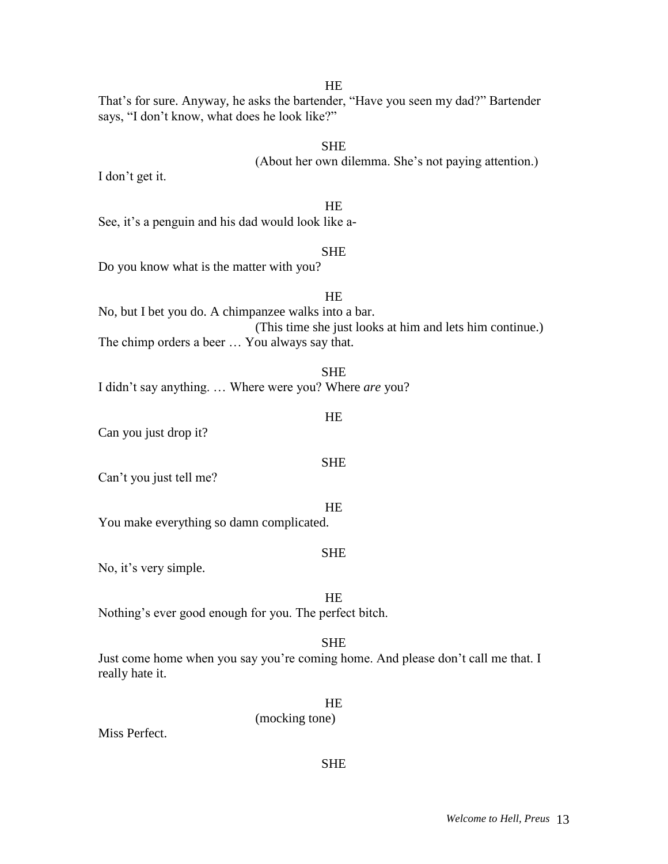**HE** 

That's for sure. Anyway, he asks the bartender, "Have you seen my dad?" Bartender says, "I don't know, what does he look like?"

# **SHE**

(About her own dilemma. She's not paying attention.)

I don't get it.

#### **HE**

See, it's a penguin and his dad would look like a-

#### SHE

Do you know what is the matter with you?

# **HE** No, but I bet you do. A chimpanzee walks into a bar. (This time she just looks at him and lets him continue.) The chimp orders a beer … You always say that.

**SHE** 

I didn't say anything. … Where were you? Where *are* you?

#### HE

Can you just drop it?

Can't you just tell me?

**HE** 

You make everything so damn complicated.

#### SHE

No, it's very simple.

# HE

Nothing's ever good enough for you. The perfect bitch.

#### **SHE**

Just come home when you say you're coming home. And please don't call me that. I really hate it.

# HE

SHE

(mocking tone)

Miss Perfect.

# SHE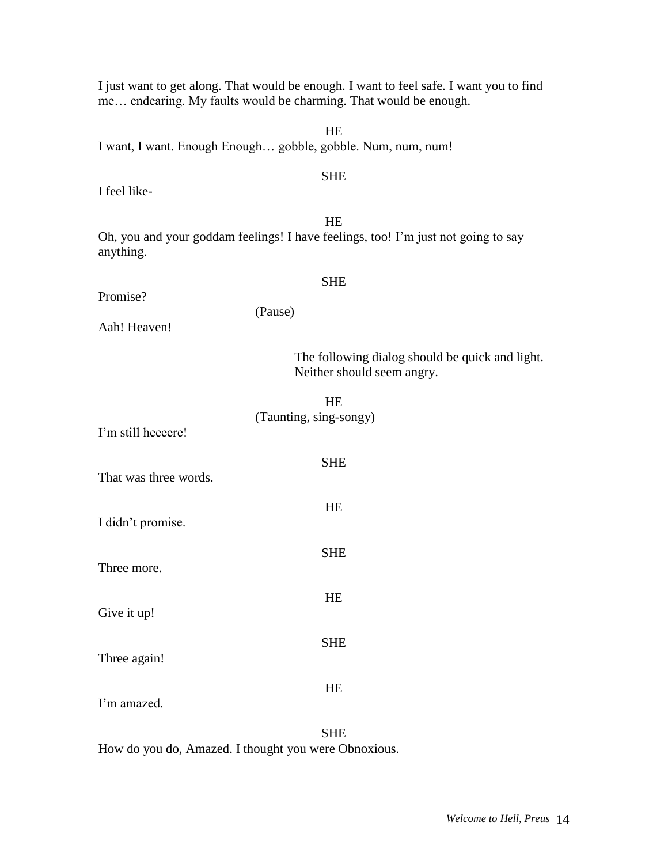| me endearing. My faults would be charming. That would be enough.                                     |  |  |
|------------------------------------------------------------------------------------------------------|--|--|
| HE<br>I want, I want. Enough Enough gobble, gobble. Num, num, num!                                   |  |  |
| <b>SHE</b><br>I feel like-                                                                           |  |  |
| HE<br>Oh, you and your goddam feelings! I have feelings, too! I'm just not going to say<br>anything. |  |  |
| <b>SHE</b><br>Promise?                                                                               |  |  |
| (Pause)<br>Aah! Heaven!                                                                              |  |  |
| The following dialog should be quick and light.<br>Neither should seem angry.                        |  |  |
| HE<br>(Taunting, sing-songy)<br>I'm still heeeere!                                                   |  |  |
| <b>SHE</b><br>That was three words.                                                                  |  |  |
| HE<br>I didn't promise.                                                                              |  |  |
| <b>SHE</b><br>Three more.                                                                            |  |  |
| HE<br>Give it up!                                                                                    |  |  |
| <b>SHE</b><br>Three again!                                                                           |  |  |
| HE<br>I'm amazed.                                                                                    |  |  |

I just want to get along. That would be enough. I want to feel safe. I want you to find

SHE How do you do, Amazed. I thought you were Obnoxious.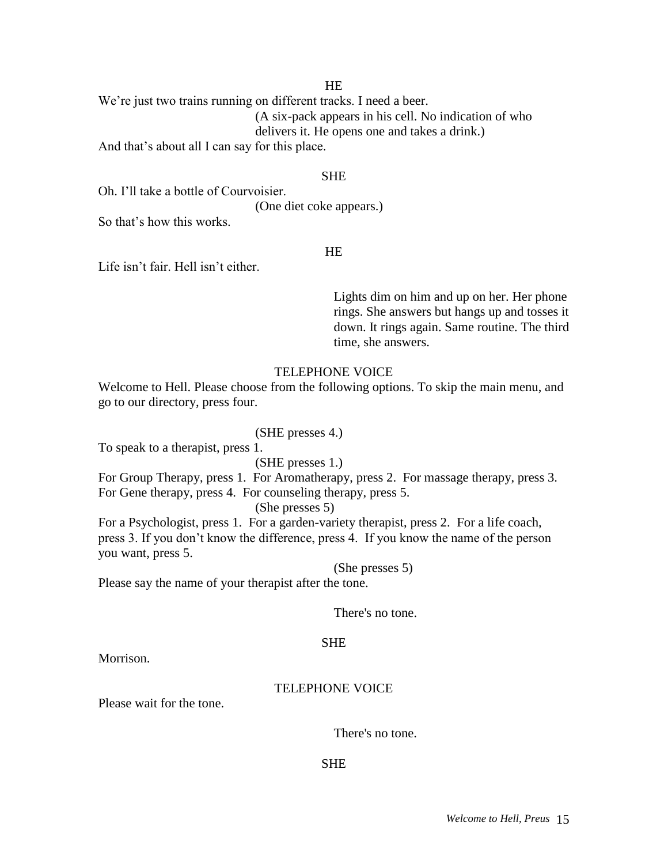# **HE**

We're just two trains running on different tracks. I need a beer. (A six-pack appears in his cell. No indication of who delivers it. He opens one and takes a drink.)

And that's about all I can say for this place.

# **SHE**

Oh. I'll take a bottle of Courvoisier.

(One diet coke appears.)

So that's how this works.

# HE

Life isn't fair. Hell isn't either.

Lights dim on him and up on her. Her phone rings. She answers but hangs up and tosses it down. It rings again. Same routine. The third time, she answers.

# TELEPHONE VOICE

Welcome to Hell. Please choose from the following options. To skip the main menu, and go to our directory, press four.

# (SHE presses 4.)

To speak to a therapist, press 1.

(SHE presses 1.)

For Group Therapy, press 1. For Aromatherapy, press 2. For massage therapy, press 3. For Gene therapy, press 4. For counseling therapy, press 5.

(She presses 5)

For a Psychologist, press 1. For a garden-variety therapist, press 2. For a life coach, press 3. If you don't know the difference, press 4. If you know the name of the person you want, press 5.

(She presses 5)

Please say the name of your therapist after the tone.

There's no tone.

#### **SHE**

Morrison.

#### TELEPHONE VOICE

Please wait for the tone.

There's no tone.

SHE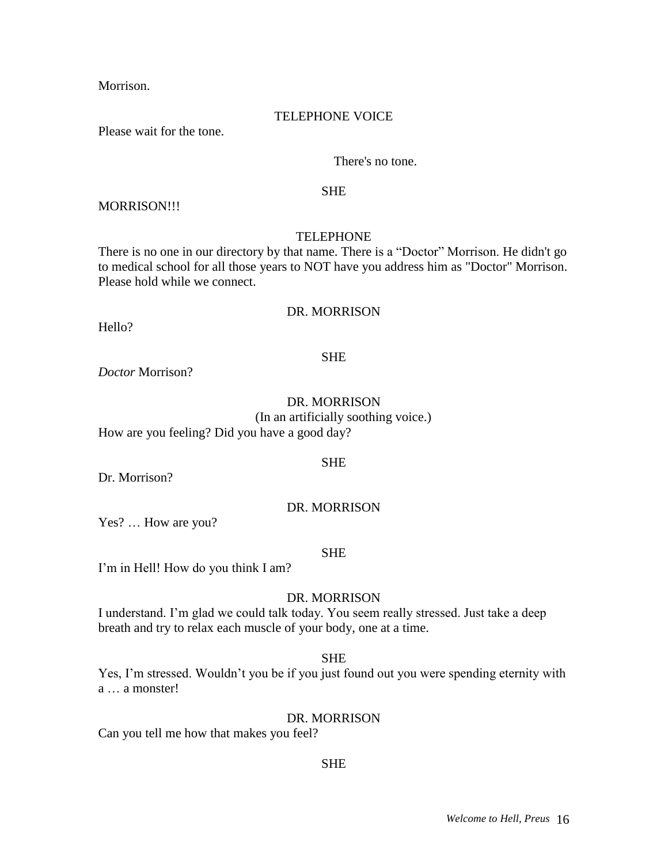Morrison.

#### TELEPHONE VOICE

Please wait for the tone.

# There's no tone.

#### SHE

MORRISON!!!

# TELEPHONE

There is no one in our directory by that name. There is a "Doctor" Morrison. He didn't go to medical school for all those years to NOT have you address him as "Doctor" Morrison. Please hold while we connect.

#### DR. MORRISON

Hello?

#### **SHE**

*Doctor* Morrison?

# DR. MORRISON (In an artificially soothing voice.) How are you feeling? Did you have a good day?

SHE

Dr. Morrison?

# DR. MORRISON

Yes? … How are you?

#### SHE

I'm in Hell! How do you think I am?

# DR. MORRISON

I understand. I'm glad we could talk today. You seem really stressed. Just take a deep breath and try to relax each muscle of your body, one at a time.

# SHE

Yes, I'm stressed. Wouldn't you be if you just found out you were spending eternity with a … a monster!

#### DR. MORRISON

Can you tell me how that makes you feel?

# SHE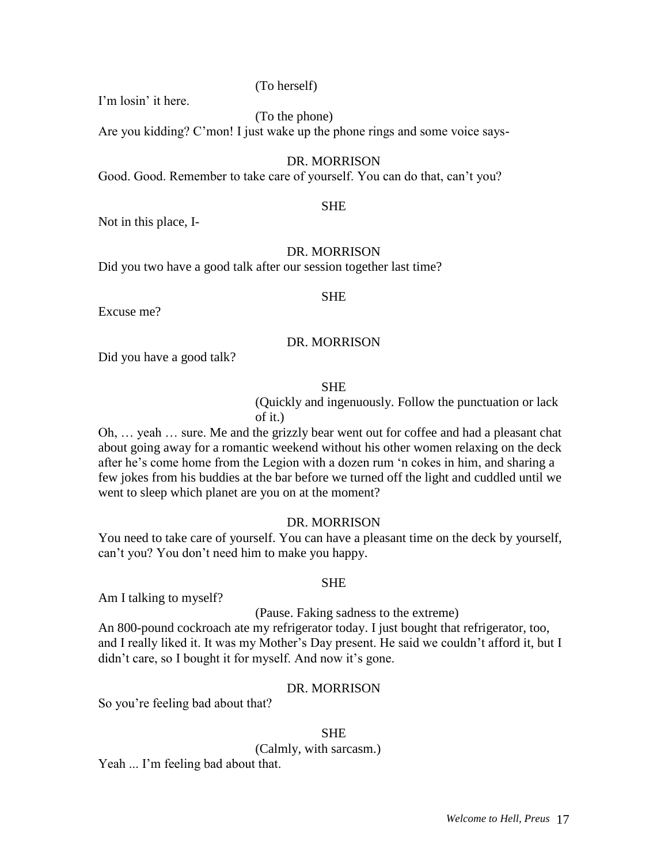(To herself)

I'm losin' it here.

(To the phone)

Are you kidding? C'mon! I just wake up the phone rings and some voice says-

# DR. MORRISON

Good. Good. Remember to take care of yourself. You can do that, can't you?

SHE

Not in this place, I-

# DR. MORRISON

Did you two have a good talk after our session together last time?

SHE

Excuse me?

# DR. MORRISON

Did you have a good talk?

# **SHE**

(Quickly and ingenuously. Follow the punctuation or lack of it.)

Oh, … yeah … sure. Me and the grizzly bear went out for coffee and had a pleasant chat about going away for a romantic weekend without his other women relaxing on the deck after he's come home from the Legion with a dozen rum 'n cokes in him, and sharing a few jokes from his buddies at the bar before we turned off the light and cuddled until we went to sleep which planet are you on at the moment?

# DR. MORRISON

You need to take care of yourself. You can have a pleasant time on the deck by yourself, can't you? You don't need him to make you happy.

# SHE

Am I talking to myself?

(Pause. Faking sadness to the extreme)

An 800-pound cockroach ate my refrigerator today. I just bought that refrigerator, too, and I really liked it. It was my Mother's Day present. He said we couldn't afford it, but I didn't care, so I bought it for myself. And now it's gone.

# DR. MORRISON

So you're feeling bad about that?

# SHE

(Calmly, with sarcasm.)

Yeah ... I'm feeling bad about that.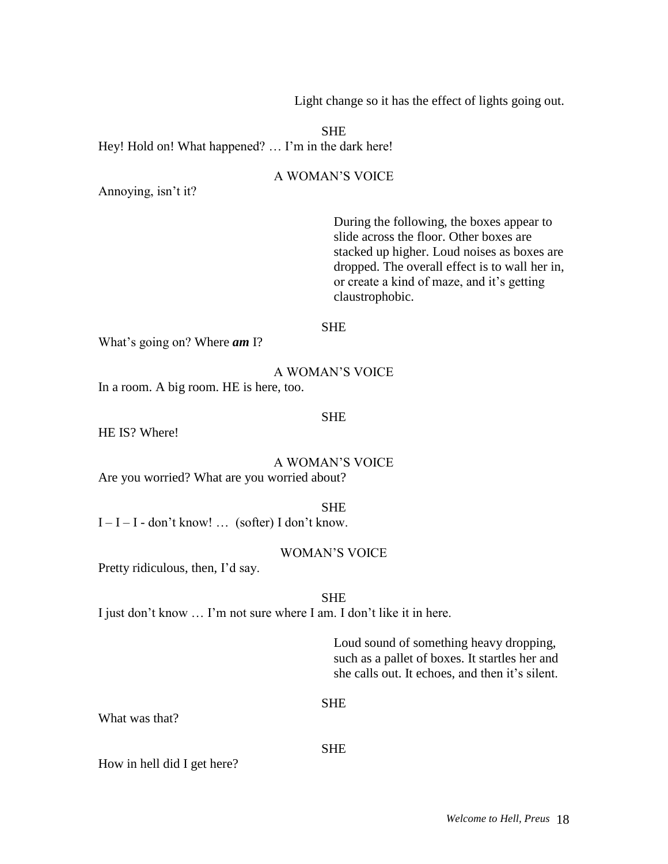Light change so it has the effect of lights going out.

SHE Hey! Hold on! What happened? ... I'm in the dark here!

# A WOMAN'S VOICE

Annoying, isn't it?

During the following, the boxes appear to slide across the floor. Other boxes are stacked up higher. Loud noises as boxes are dropped. The overall effect is to wall her in, or create a kind of maze, and it's getting claustrophobic.

#### SHE

What's going on? Where *am* I?

#### A WOMAN'S VOICE

In a room. A big room. HE is here, too.

#### **SHE**

HE IS? Where!

A WOMAN'S VOICE Are you worried? What are you worried about?

SHE

 $I - I - I - don't know!$  ... (softer) I don't know.

# WOMAN'S VOICE

Pretty ridiculous, then, I'd say.

SHE

I just don't know … I'm not sure where I am. I don't like it in here.

Loud sound of something heavy dropping, such as a pallet of boxes. It startles her and she calls out. It echoes, and then it's silent.

#### SHE

What was that?

#### SHE

How in hell did I get here?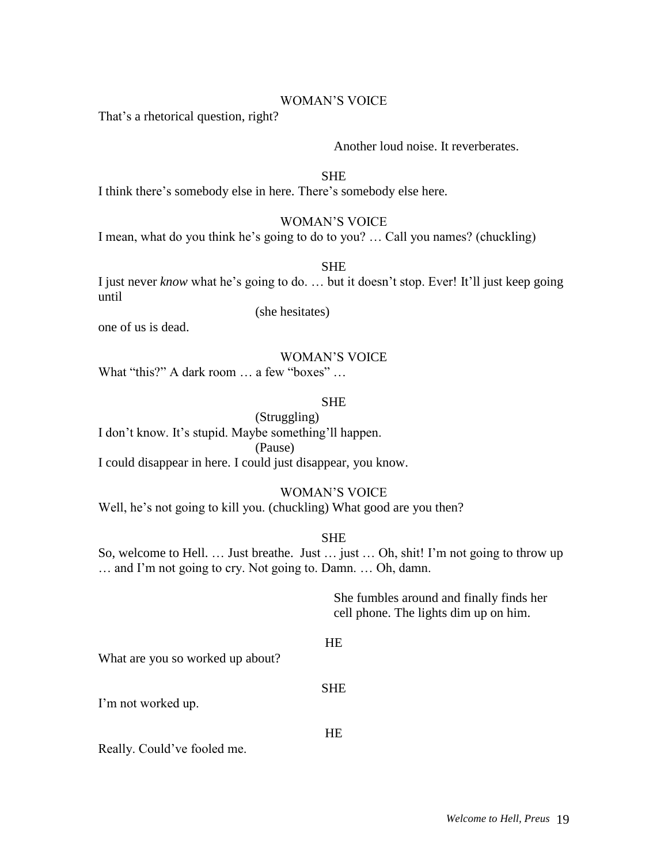# WOMAN'S VOICE

That's a rhetorical question, right?

# Another loud noise. It reverberates.

**SHE** 

I think there's somebody else in here. There's somebody else here.

#### WOMAN'S VOICE

I mean, what do you think he's going to do to you? … Call you names? (chuckling)

(she hesitates)

**SHE** 

I just never *know* what he's going to do. … but it doesn't stop. Ever! It'll just keep going until

one of us is dead.

#### WOMAN'S VOICE

What "this?" A dark room ... a few "boxes" ...

SHE

# (Struggling) I don't know. It's stupid. Maybe something'll happen. (Pause) I could disappear in here. I could just disappear, you know.

# WOMAN'S VOICE

Well, he's not going to kill you. (chuckling) What good are you then?

#### SHE

So, welcome to Hell. ... Just breathe. Just ... just ... Oh, shit! I'm not going to throw up … and I'm not going to cry. Not going to. Damn. … Oh, damn.

> She fumbles around and finally finds her cell phone. The lights dim up on him.

#### **HE**

SHE

HE

What are you so worked up about?

I'm not worked up.

Really. Could've fooled me.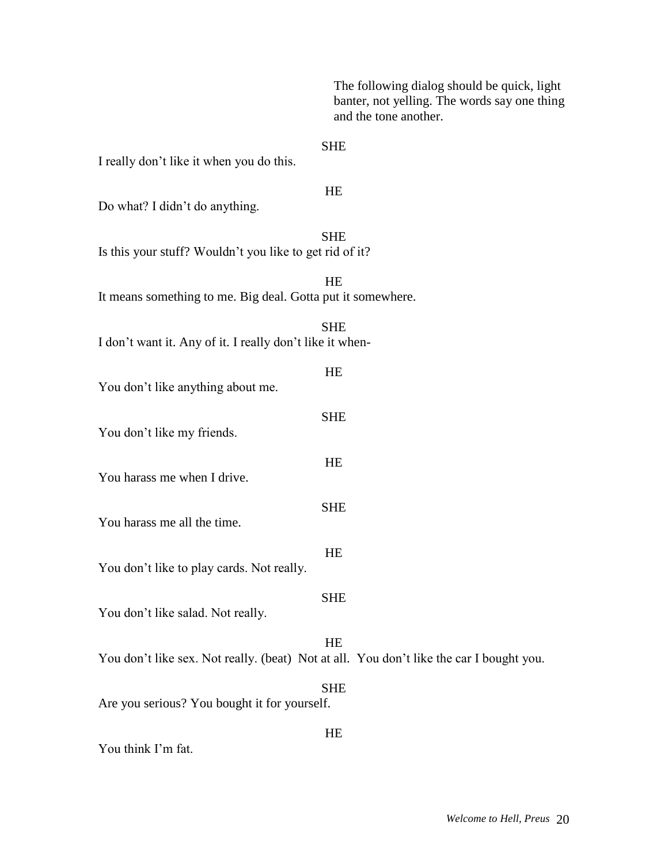The following dialog should be quick, light banter, not yelling. The words say one thing and the tone another.

# SHE

I really don't like it when you do this.

#### HE

Do what? I didn't do anything.

**SHE** 

Is this your stuff? Wouldn't you like to get rid of it?

HE It means something to me. Big deal. Gotta put it somewhere. SHE I don't want it. Any of it. I really don't like it when-HE You don't like anything about me. SHE You don't like my friends. **HE** You harass me when I drive. SHE You harass me all the time. HE You don't like to play cards. Not really.

SHE

You don't like salad. Not really.

# **HE**

HE

You don't like sex. Not really. (beat) Not at all. You don't like the car I bought you.

SHE

Are you serious? You bought it for yourself.

You think I'm fat.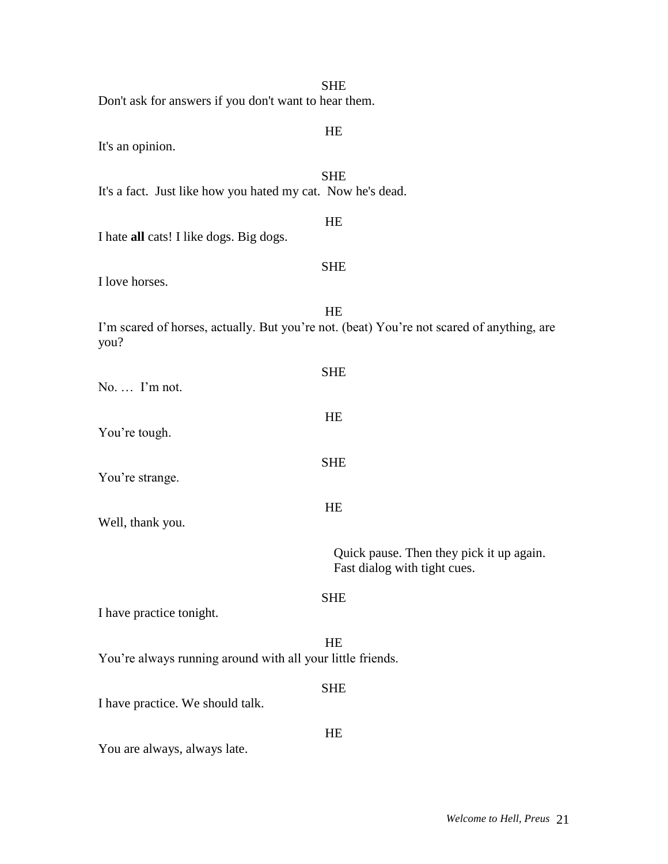| Don't ask for answers if you don't want to hear them.       | <b>SHE</b>                                                                                      |
|-------------------------------------------------------------|-------------------------------------------------------------------------------------------------|
|                                                             |                                                                                                 |
|                                                             | HE                                                                                              |
| It's an opinion.                                            |                                                                                                 |
| It's a fact. Just like how you hated my cat. Now he's dead. | <b>SHE</b>                                                                                      |
| I hate all cats! I like dogs. Big dogs.                     | HE                                                                                              |
| I love horses.                                              | <b>SHE</b>                                                                                      |
| you?                                                        | HE<br>I'm scared of horses, actually. But you're not. (beat) You're not scared of anything, are |
| No.  I'm not.                                               | <b>SHE</b>                                                                                      |
| You're tough.                                               | HE                                                                                              |
| You're strange.                                             | <b>SHE</b>                                                                                      |
| Well, thank you.                                            | HE                                                                                              |
|                                                             | Quick pause. Then they pick it up again.<br>Fast dialog with tight cues.                        |
| I have practice tonight.                                    | <b>SHE</b>                                                                                      |
| You're always running around with all your little friends.  | <b>HE</b>                                                                                       |
| I have practice. We should talk.                            | <b>SHE</b>                                                                                      |
| You are always, always late.                                | HE                                                                                              |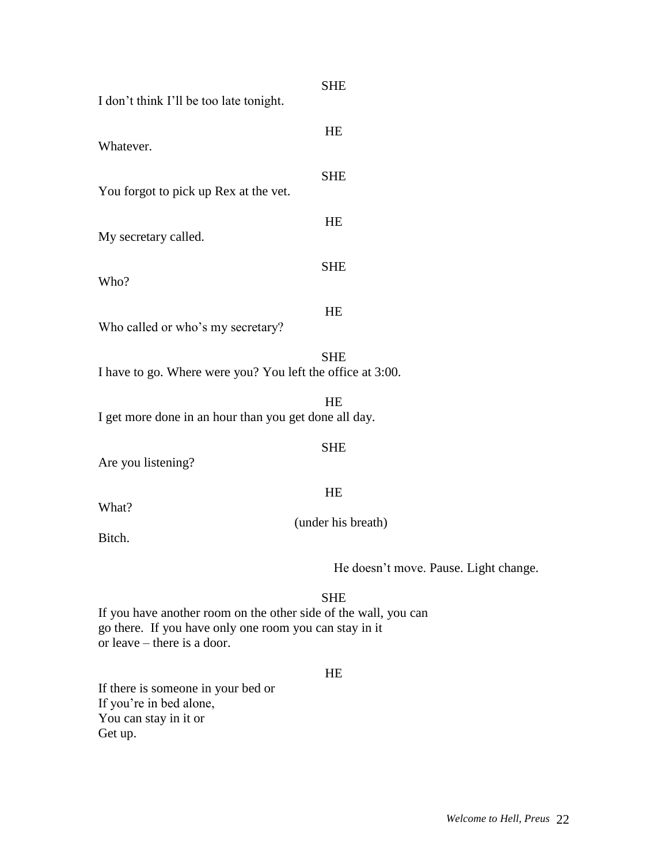| I don't think I'll be too late tonight.                    | <b>SHE</b>                            |
|------------------------------------------------------------|---------------------------------------|
| Whatever.                                                  | <b>HE</b>                             |
| You forgot to pick up Rex at the vet.                      | <b>SHE</b>                            |
| My secretary called.                                       | HE                                    |
| Who?                                                       | <b>SHE</b>                            |
| Who called or who's my secretary?                          | HE                                    |
| I have to go. Where were you? You left the office at 3:00. | <b>SHE</b>                            |
| I get more done in an hour than you get done all day.      | HE                                    |
| Are you listening?                                         | <b>SHE</b>                            |
| What?                                                      | HE                                    |
| Bitch.                                                     | (under his breath)                    |
|                                                            | He doesn't move. Pause. Light change. |
|                                                            | <b>SHE</b>                            |

If you have another room on the other side of the wall, you can go there. If you have only one room you can stay in it  $\overrightarrow{or}$  leave – there is a door.

# HE

If there is someone in your bed or If you're in bed alone, You can stay in it or Get up.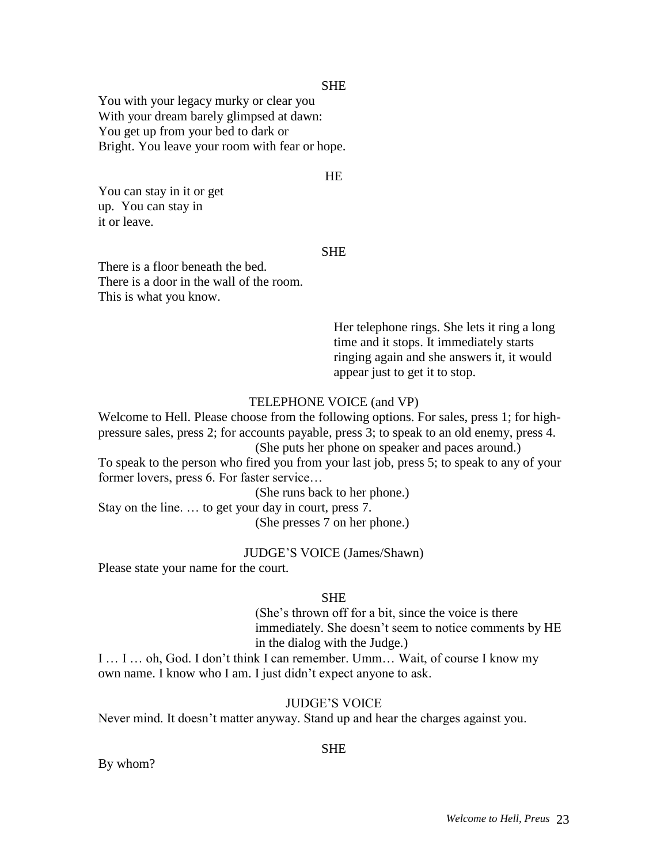You with your legacy murky or clear you With your dream barely glimpsed at dawn: You get up from your bed to dark or Bright. You leave your room with fear or hope.

# HE

You can stay in it or get up. You can stay in it or leave.

# **SHE**

There is a floor beneath the bed. There is a door in the wall of the room. This is what you know.

> Her telephone rings. She lets it ring a long time and it stops. It immediately starts ringing again and she answers it, it would appear just to get it to stop.

# TELEPHONE VOICE (and VP)

Welcome to Hell. Please choose from the following options. For sales, press 1; for highpressure sales, press 2; for accounts payable, press 3; to speak to an old enemy, press 4. (She puts her phone on speaker and paces around.)

To speak to the person who fired you from your last job, press 5; to speak to any of your former lovers, press 6. For faster service…

(She runs back to her phone.)

Stay on the line. … to get your day in court, press 7. (She presses 7 on her phone.)

#### JUDGE'S VOICE (James/Shawn)

Please state your name for the court.

#### **SHE**

(She's thrown off for a bit, since the voice is there immediately. She doesn't seem to notice comments by HE in the dialog with the Judge.)

I … I … oh, God. I don't think I can remember. Umm… Wait, of course I know my own name. I know who I am. I just didn't expect anyone to ask.

# JUDGE'S VOICE

Never mind. It doesn't matter anyway. Stand up and hear the charges against you.

#### By whom?

# SHE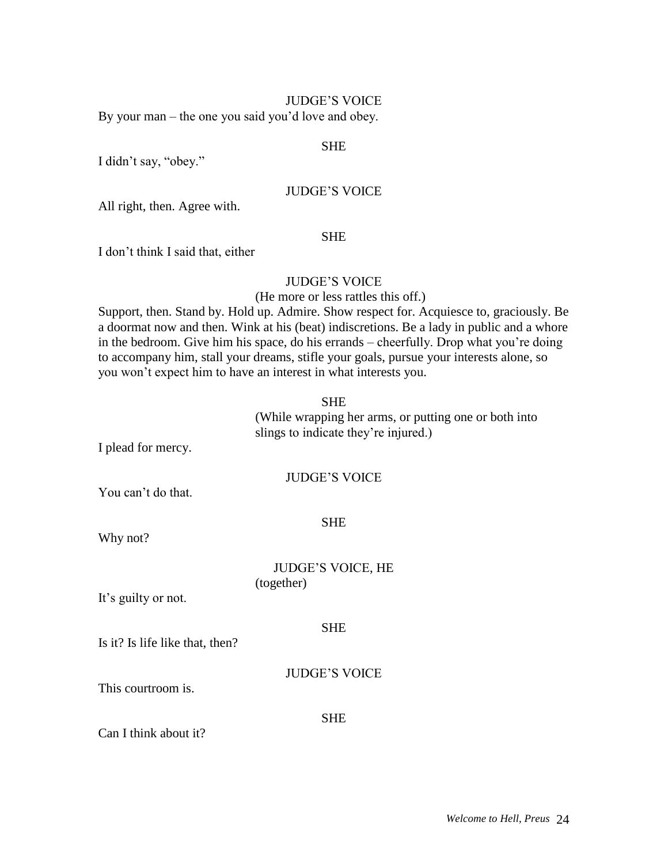#### JUDGE'S VOICE

By your man – the one you said you'd love and obey.

#### SHE

I didn't say, "obey."

# JUDGE'S VOICE

All right, then. Agree with.

#### **SHE**

I don't think I said that, either

# JUDGE'S VOICE

(He more or less rattles this off.)

Support, then. Stand by. Hold up. Admire. Show respect for. Acquiesce to, graciously. Be a doormat now and then. Wink at his (beat) indiscretions. Be a lady in public and a whore in the bedroom. Give him his space, do his errands – cheerfully. Drop what you're doing to accompany him, stall your dreams, stifle your goals, pursue your interests alone, so you won't expect him to have an interest in what interests you.

# SHE

(While wrapping her arms, or putting one or both into slings to indicate they're injured.)

I plead for mercy.

# JUDGE'S VOICE

You can't do that.

SHE

Why not?

# JUDGE'S VOICE, HE (together)

It's guilty or not.

#### **SHE**

Is it? Is life like that, then?

# JUDGE'S VOICE

This courtroom is.

**SHE** 

Can I think about it?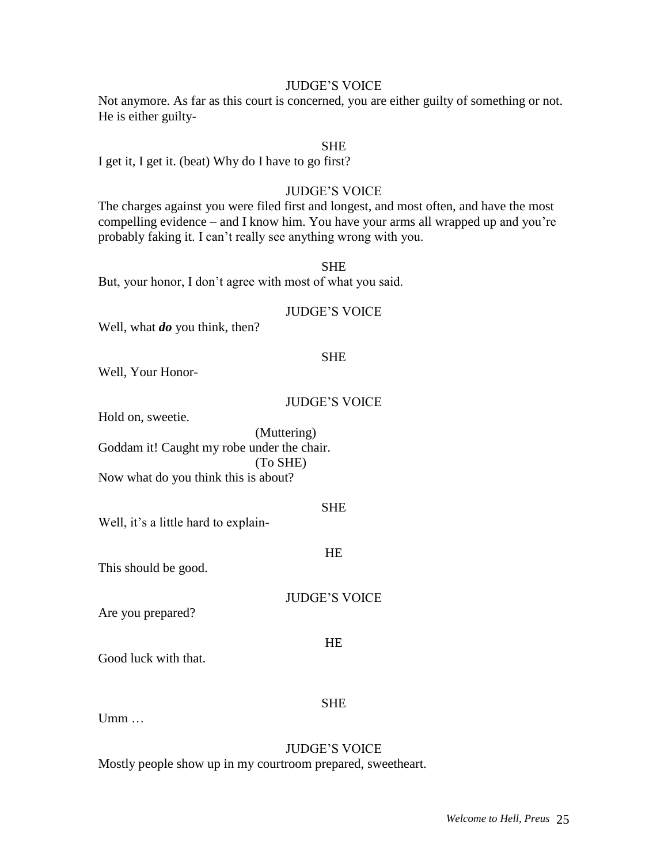# JUDGE'S VOICE

Not anymore. As far as this court is concerned, you are either guilty of something or not. He is either guilty-

#### SHE

I get it, I get it. (beat) Why do I have to go first?

#### JUDGE'S VOICE

The charges against you were filed first and longest, and most often, and have the most compelling evidence – and I know him. You have your arms all wrapped up and you're probably faking it. I can't really see anything wrong with you.

SHE

But, your honor, I don't agree with most of what you said.

#### JUDGE'S VOICE

Well, what *do* you think, then?

#### SHE

Well, Your Honor-

# JUDGE'S VOICE

Hold on, sweetie.

(Muttering) Goddam it! Caught my robe under the chair. (To SHE) Now what do you think this is about?

SHE

Well, it's a little hard to explain-

HE

This should be good.

JUDGE'S VOICE

**HE** 

Are you prepared?

Good luck with that.

SHE

Umm …

# JUDGE'S VOICE

Mostly people show up in my courtroom prepared, sweetheart.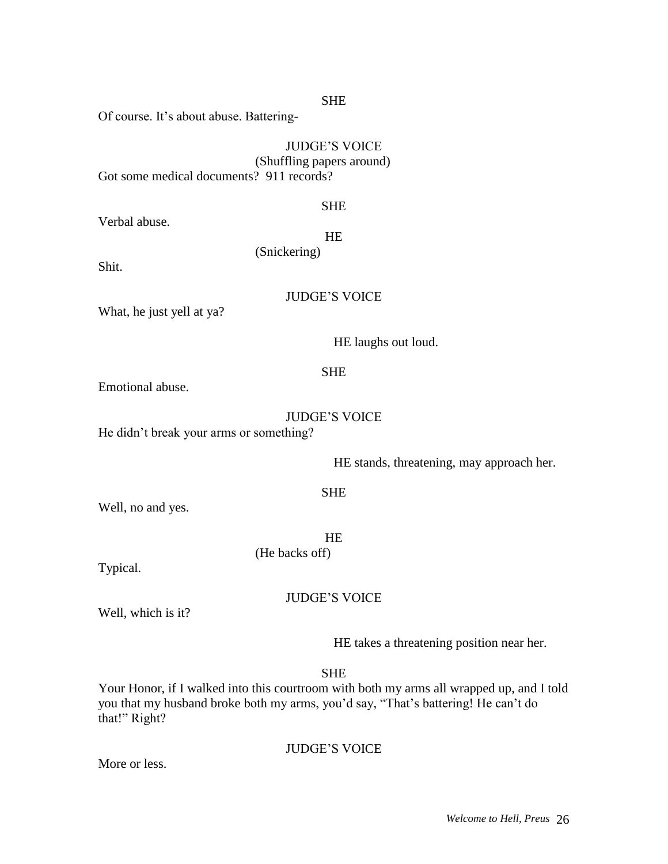Of course. It's about abuse. Battering-

# JUDGE'S VOICE (Shuffling papers around)

Got some medical documents? 911 records?

### **SHE**

Verbal abuse.

HE

(Snickering)

Shit.

# JUDGE'S VOICE

What, he just yell at ya?

HE laughs out loud.

# SHE

Emotional abuse.

# JUDGE'S VOICE

He didn't break your arms or something?

HE stands, threatening, may approach her.

# SHE

Well, no and yes.

**HE** (He backs off)

Typical.

JUDGE'S VOICE

Well, which is it?

HE takes a threatening position near her.

SHE

Your Honor, if I walked into this courtroom with both my arms all wrapped up, and I told you that my husband broke both my arms, you'd say, "That's battering! He can't do that!" Right?

JUDGE'S VOICE

More or less.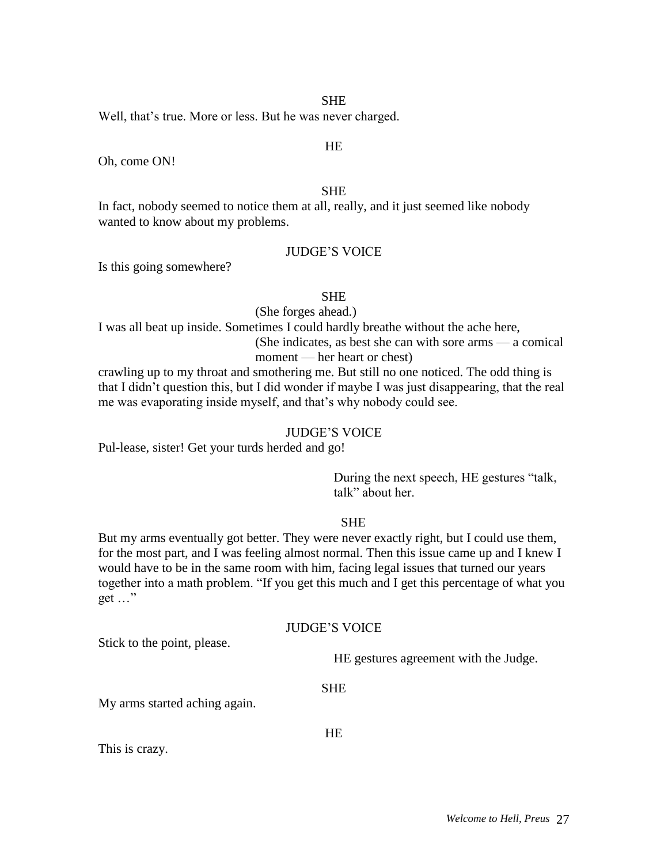Well, that's true. More or less. But he was never charged.

#### HE

Oh, come ON!

# **SHE**

In fact, nobody seemed to notice them at all, really, and it just seemed like nobody wanted to know about my problems.

# JUDGE'S VOICE

Is this going somewhere?

#### **SHE**

(She forges ahead.)

I was all beat up inside. Sometimes I could hardly breathe without the ache here,

(She indicates, as best she can with sore arms — a comical moment — her heart or chest)

crawling up to my throat and smothering me. But still no one noticed. The odd thing is that I didn't question this, but I did wonder if maybe I was just disappearing, that the real me was evaporating inside myself, and that's why nobody could see.

#### JUDGE'S VOICE

Pul-lease, sister! Get your turds herded and go!

During the next speech, HE gestures "talk, talk" about her.

#### SHE

But my arms eventually got better. They were never exactly right, but I could use them, for the most part, and I was feeling almost normal. Then this issue came up and I knew I would have to be in the same room with him, facing legal issues that turned our years together into a math problem. "If you get this much and I get this percentage of what you get …"

#### JUDGE'S VOICE

Stick to the point, please.

HE gestures agreement with the Judge.

#### SHE

My arms started aching again.

HE

This is crazy.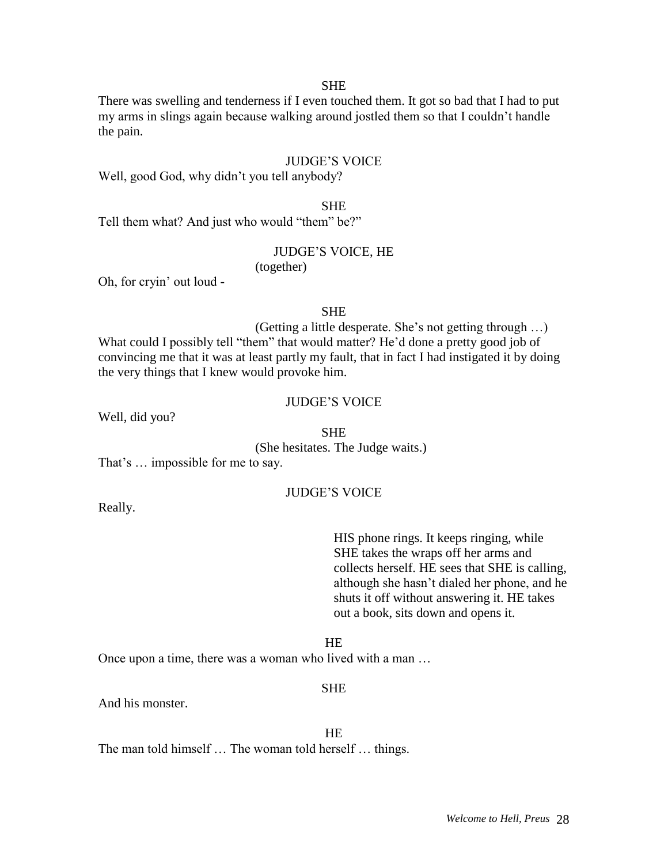There was swelling and tenderness if I even touched them. It got so bad that I had to put my arms in slings again because walking around jostled them so that I couldn't handle the pain.

#### JUDGE'S VOICE

Well, good God, why didn't you tell anybody?

SHE

Tell them what? And just who would "them" be?"

# JUDGE'S VOICE, HE

(together)

Oh, for cryin' out loud -

#### **SHE**

(Getting a little desperate. She's not getting through …) What could I possibly tell "them" that would matter? He'd done a pretty good job of convincing me that it was at least partly my fault, that in fact I had instigated it by doing the very things that I knew would provoke him.

# JUDGE'S VOICE

Well, did you?

SHE

(She hesitates. The Judge waits.)

That's … impossible for me to say.

#### JUDGE'S VOICE

Really.

HIS phone rings. It keeps ringing, while SHE takes the wraps off her arms and collects herself. HE sees that SHE is calling, although she hasn't dialed her phone, and he shuts it off without answering it. HE takes out a book, sits down and opens it.

HE

Once upon a time, there was a woman who lived with a man …

#### SHE

And his monster.

HE

The man told himself … The woman told herself … things.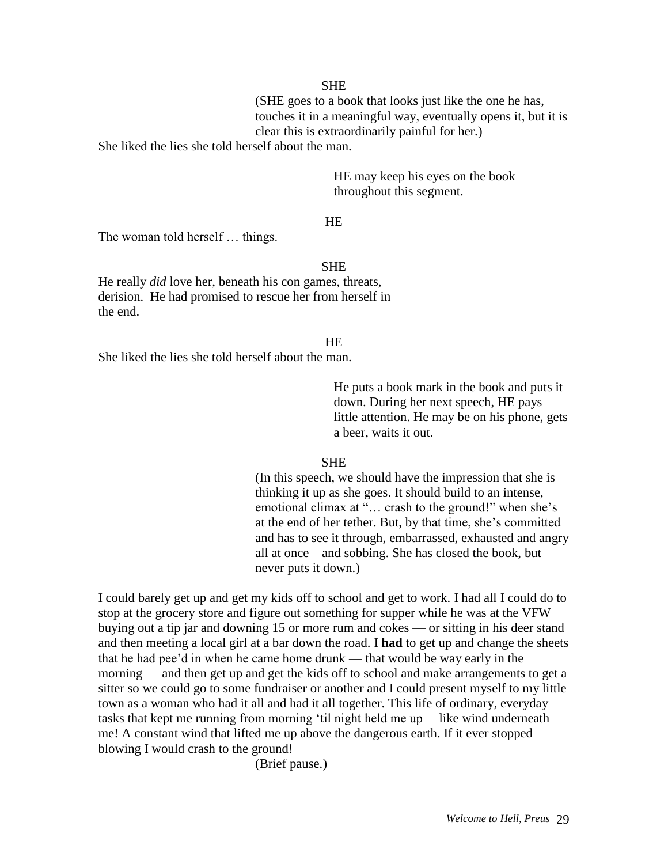(SHE goes to a book that looks just like the one he has, touches it in a meaningful way, eventually opens it, but it is clear this is extraordinarily painful for her.)

She liked the lies she told herself about the man.

HE may keep his eyes on the book throughout this segment.

#### HE

The woman told herself … things.

#### **SHE**

He really *did* love her, beneath his con games, threats, derision. He had promised to rescue her from herself in the end.

#### HE

She liked the lies she told herself about the man.

He puts a book mark in the book and puts it down. During her next speech, HE pays little attention. He may be on his phone, gets a beer, waits it out.

#### **SHE**

(In this speech, we should have the impression that she is thinking it up as she goes. It should build to an intense, emotional climax at "... crash to the ground!" when she's at the end of her tether. But, by that time, she's committed and has to see it through, embarrassed, exhausted and angry all at once – and sobbing. She has closed the book, but never puts it down.)

I could barely get up and get my kids off to school and get to work. I had all I could do to stop at the grocery store and figure out something for supper while he was at the VFW buying out a tip jar and downing 15 or more rum and cokes — or sitting in his deer stand and then meeting a local girl at a bar down the road. I **had** to get up and change the sheets that he had pee'd in when he came home drunk — that would be way early in the morning — and then get up and get the kids off to school and make arrangements to get a sitter so we could go to some fundraiser or another and I could present myself to my little town as a woman who had it all and had it all together. This life of ordinary, everyday tasks that kept me running from morning 'til night held me up— like wind underneath me! A constant wind that lifted me up above the dangerous earth. If it ever stopped blowing I would crash to the ground!

(Brief pause.)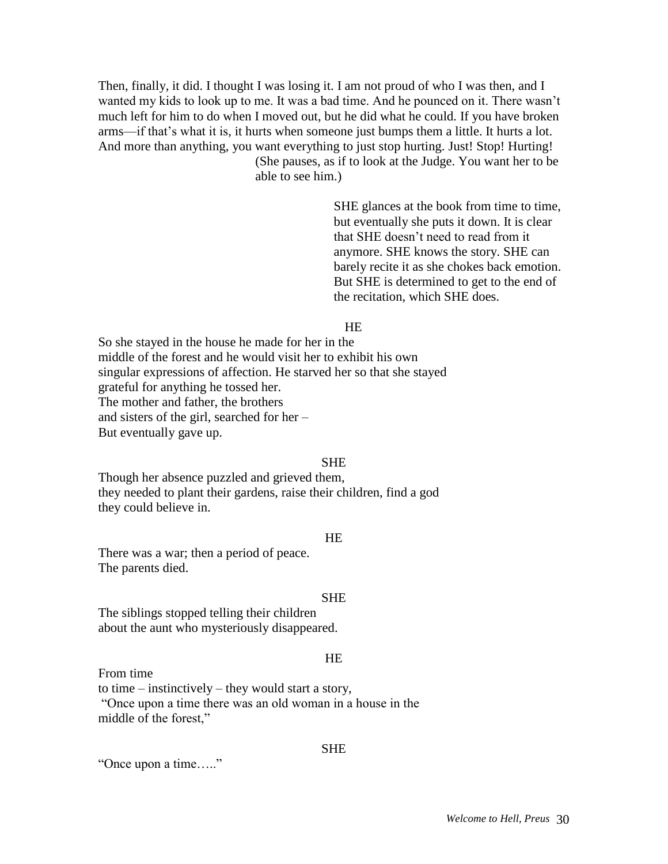Then, finally, it did. I thought I was losing it. I am not proud of who I was then, and I wanted my kids to look up to me. It was a bad time. And he pounced on it. There wasn't much left for him to do when I moved out, but he did what he could. If you have broken arms—if that's what it is, it hurts when someone just bumps them a little. It hurts a lot. And more than anything, you want everything to just stop hurting. Just! Stop! Hurting! (She pauses, as if to look at the Judge. You want her to be

able to see him.)

SHE glances at the book from time to time, but eventually she puts it down. It is clear that SHE doesn't need to read from it anymore. SHE knows the story. SHE can barely recite it as she chokes back emotion. But SHE is determined to get to the end of the recitation, which SHE does.

# HE

So she stayed in the house he made for her in the middle of the forest and he would visit her to exhibit his own singular expressions of affection. He starved her so that she stayed grateful for anything he tossed her. The mother and father, the brothers and sisters of the girl, searched for her – But eventually gave up.

#### **SHE**

Though her absence puzzled and grieved them, they needed to plant their gardens, raise their children, find a god they could believe in.

#### **HE**

There was a war; then a period of peace. The parents died.

#### **SHE**

The siblings stopped telling their children about the aunt who mysteriously disappeared.

#### HE

From time

to time – instinctively – they would start a story,

"Once upon a time there was an old woman in a house in the middle of the forest,"

#### SHE

"Once upon a time….."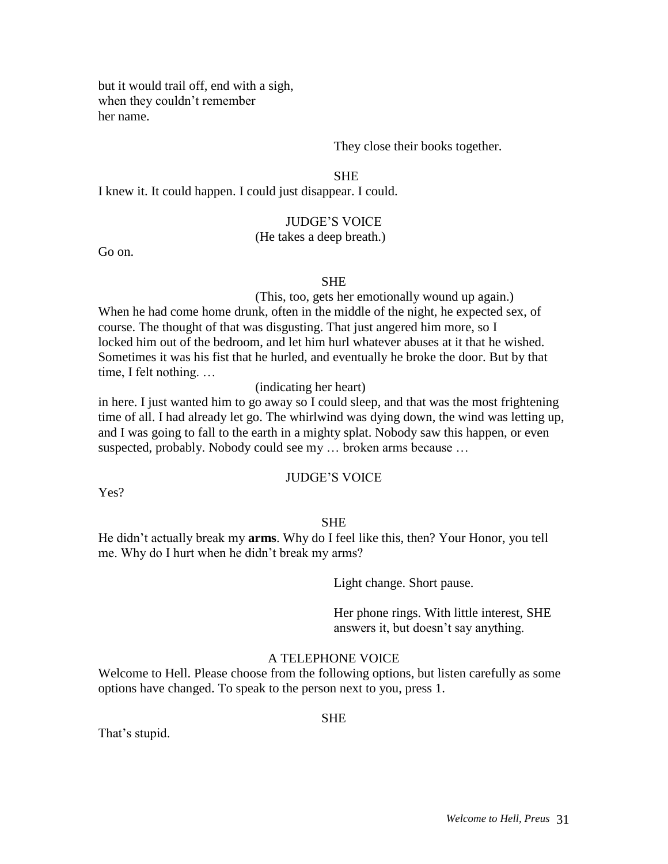but it would trail off, end with a sigh, when they couldn't remember her name.

#### They close their books together.

**SHE** 

I knew it. It could happen. I could just disappear. I could.

#### JUDGE'S VOICE

# (He takes a deep breath.)

Go on.

#### SHE

(This, too, gets her emotionally wound up again.) When he had come home drunk, often in the middle of the night, he expected sex, of course. The thought of that was disgusting. That just angered him more, so I locked him out of the bedroom, and let him hurl whatever abuses at it that he wished. Sometimes it was his fist that he hurled, and eventually he broke the door. But by that time, I felt nothing. …

(indicating her heart)

in here. I just wanted him to go away so I could sleep, and that was the most frightening time of all. I had already let go. The whirlwind was dying down, the wind was letting up, and I was going to fall to the earth in a mighty splat. Nobody saw this happen, or even suspected, probably. Nobody could see my … broken arms because …

# JUDGE'S VOICE

Yes?

#### SHE

He didn't actually break my **arms**. Why do I feel like this, then? Your Honor, you tell me. Why do I hurt when he didn't break my arms?

Light change. Short pause.

Her phone rings. With little interest, SHE answers it, but doesn't say anything.

#### A TELEPHONE VOICE

Welcome to Hell. Please choose from the following options, but listen carefully as some options have changed. To speak to the person next to you, press 1.

#### **SHE**

That's stupid.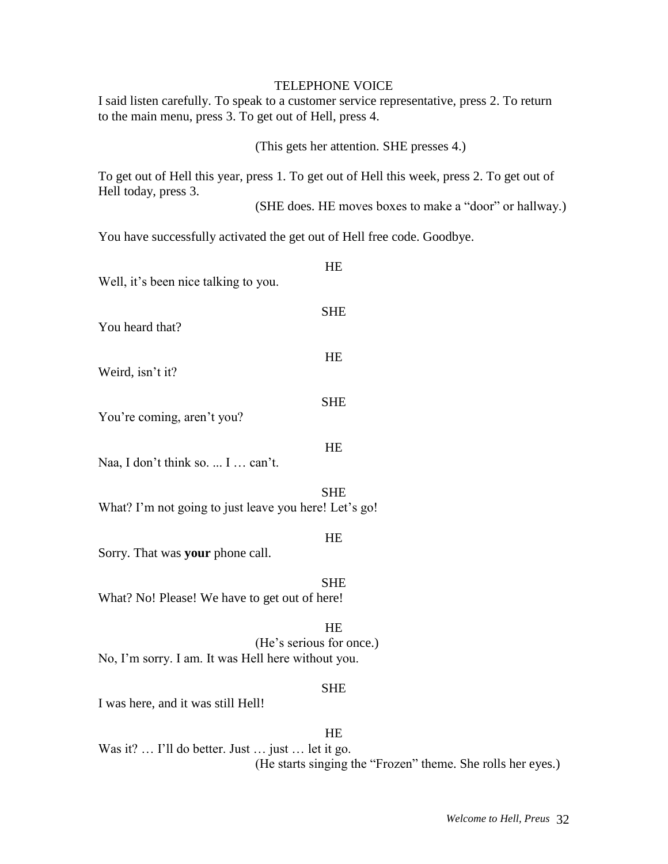#### TELEPHONE VOICE

I said listen carefully. To speak to a customer service representative, press 2. To return to the main menu, press 3. To get out of Hell, press 4.

# (This gets her attention. SHE presses 4.)

To get out of Hell this year, press 1. To get out of Hell this week, press 2. To get out of Hell today, press 3.

(SHE does. HE moves boxes to make a "door" or hallway.)

You have successfully activated the get out of Hell free code. Goodbye.

| Well, it's been nice talking to you.                                                        | HE         |
|---------------------------------------------------------------------------------------------|------------|
| You heard that?                                                                             | <b>SHE</b> |
| Weird, isn't it?                                                                            | HE         |
| You're coming, aren't you?                                                                  | <b>SHE</b> |
| Naa, I don't think so.  I  can't.                                                           | <b>HE</b>  |
| <b>SHE</b><br>What? I'm not going to just leave you here! Let's go!                         |            |
| Sorry. That was your phone call.                                                            | HE         |
| What? No! Please! We have to get out of here!                                               | <b>SHE</b> |
| <b>HE</b><br>(He's serious for once.)<br>No, I'm sorry. I am. It was Hell here without you. |            |
| I was here, and it was still Hell!                                                          | <b>SHE</b> |
|                                                                                             | HE         |

Was it? ... I'll do better. Just ... just ... let it go. (He starts singing the "Frozen" theme. She rolls her eyes.)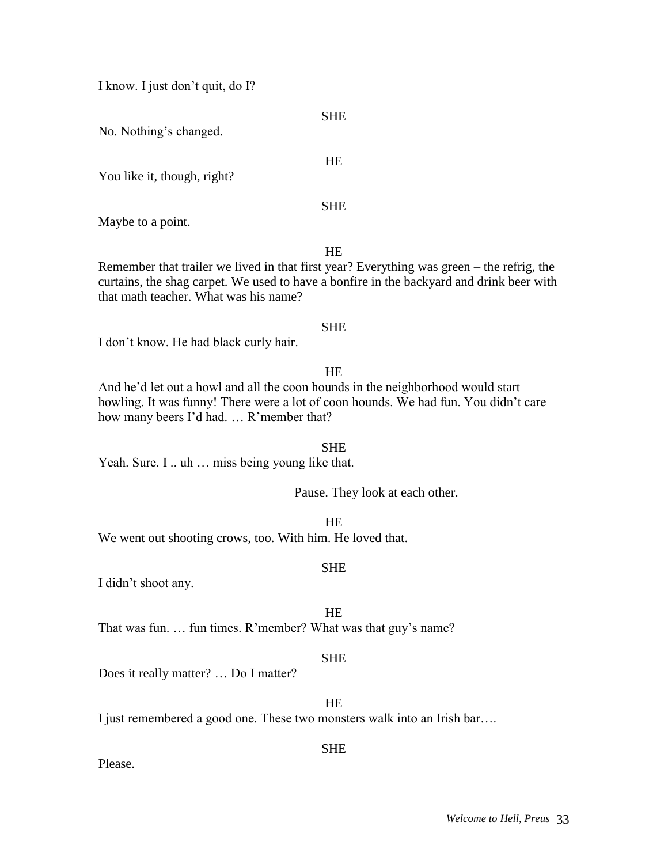I know. I just don't quit, do I?

No. Nothing's changed.

You like it, though, right?

Maybe to a point.

HE

SHE

**SHE** 

HE

Remember that trailer we lived in that first year? Everything was green – the refrig, the curtains, the shag carpet. We used to have a bonfire in the backyard and drink beer with that math teacher. What was his name?

### **SHE**

I don't know. He had black curly hair.

# HE

And he'd let out a howl and all the coon hounds in the neighborhood would start howling. It was funny! There were a lot of coon hounds. We had fun. You didn't care how many beers I'd had. … R'member that?

**SHE** Yeah. Sure. I .. uh ... miss being young like that.

Pause. They look at each other.

HE We went out shooting crows, too. With him. He loved that.

# **SHE**

I didn't shoot any.

**HE** 

That was fun. … fun times. R'member? What was that guy's name?

# SHE

Does it really matter? … Do I matter?

HE

I just remembered a good one. These two monsters walk into an Irish bar....

# SHE

Please.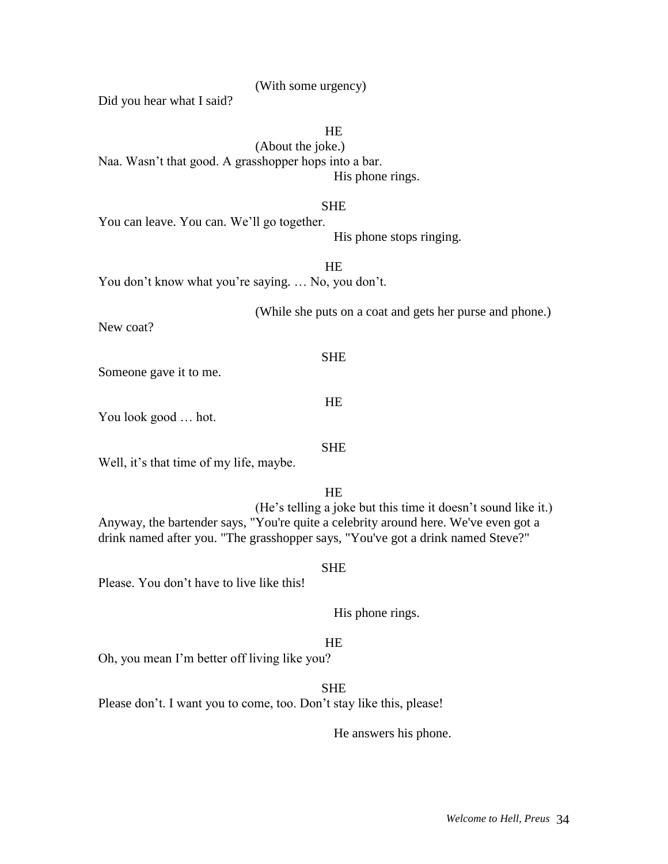(With some urgency)

Did you hear what I said?

HE

(About the joke.) Naa. Wasn't that good. A grasshopper hops into a bar. His phone rings.

#### SHE

You can leave. You can. We'll go together.

His phone stops ringing.

HE You don't know what you're saying. ... No, you don't.

(While she puts on a coat and gets her purse and phone.)

New coat?

Someone gave it to me.

You look good … hot.

Well, it's that time of my life, maybe.

**HE** 

SHE

HE

**SHE** 

(He's telling a joke but this time it doesn't sound like it.) Anyway, the bartender says, "You're quite a celebrity around here. We've even got a drink named after you. "The grasshopper says, "You've got a drink named Steve?"

#### **SHE**

Please. You don't have to live like this!

His phone rings.

# **HE**

Oh, you mean I'm better off living like you?

SHE

Please don't. I want you to come, too. Don't stay like this, please!

He answers his phone.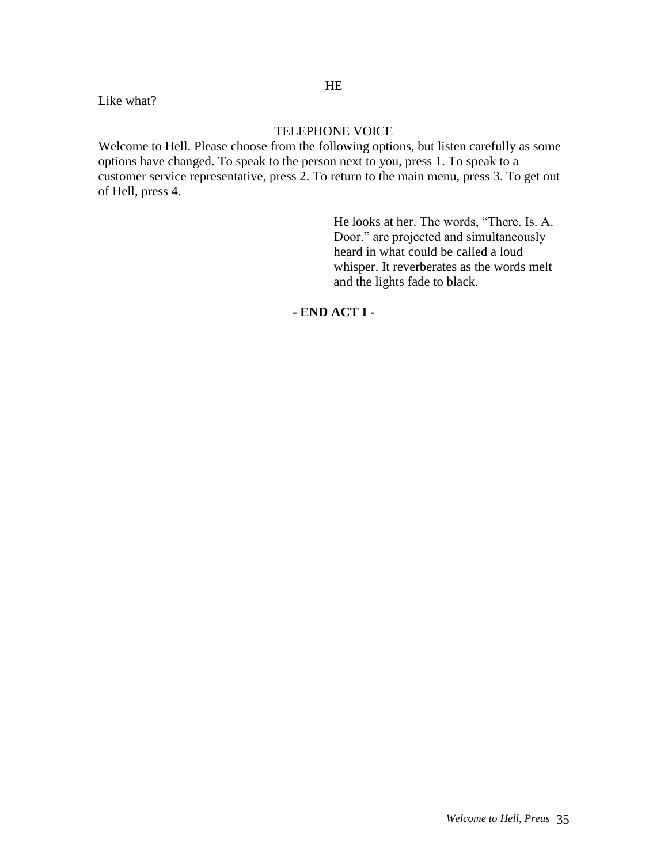Like what?

# TELEPHONE VOICE

Welcome to Hell. Please choose from the following options, but listen carefully as some options have changed. To speak to the person next to you, press 1. To speak to a customer service representative, press 2. To return to the main menu, press 3. To get out of Hell, press 4.

> He looks at her. The words, "There. Is. A. Door." are projected and simultaneously heard in what could be called a loud whisper. It reverberates as the words melt and the lights fade to black.

# **- END ACT I -**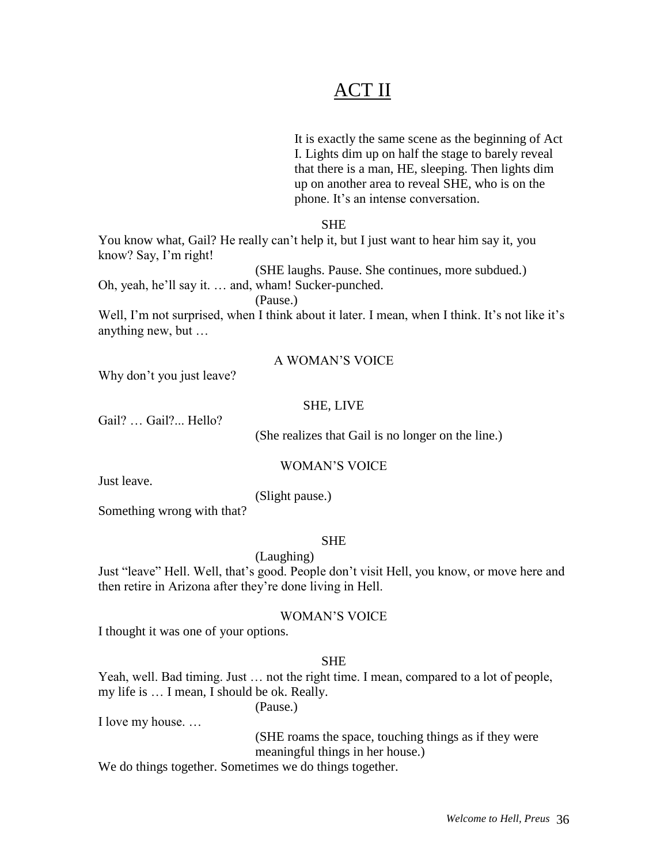# ACT II

It is exactly the same scene as the beginning of Act I. Lights dim up on half the stage to barely reveal that there is a man, HE, sleeping. Then lights dim up on another area to reveal SHE, who is on the phone. It's an intense conversation.

# SHE

You know what, Gail? He really can't help it, but I just want to hear him say it, you know? Say, I'm right!

(SHE laughs. Pause. She continues, more subdued.)

Oh, yeah, he'll say it. … and, wham! Sucker-punched.

(Pause.)

Well, I'm not surprised, when I think about it later. I mean, when I think. It's not like it's anything new, but …

# A WOMAN'S VOICE

Why don't you just leave?

#### SHE, LIVE

Gail? … Gail?... Hello?

(She realizes that Gail is no longer on the line.)

#### WOMAN'S VOICE

Just leave.

(Slight pause.)

Something wrong with that?

# SHE

(Laughing) Just "leave" Hell. Well, that's good. People don't visit Hell, you know, or move here and then retire in Arizona after they're done living in Hell.

WOMAN'S VOICE

I thought it was one of your options.

# SHE

Yeah, well. Bad timing. Just … not the right time. I mean, compared to a lot of people, my life is … I mean, I should be ok. Really.

I love my house. …

(SHE roams the space, touching things as if they were meaningful things in her house.)

We do things together. Sometimes we do things together.

(Pause.)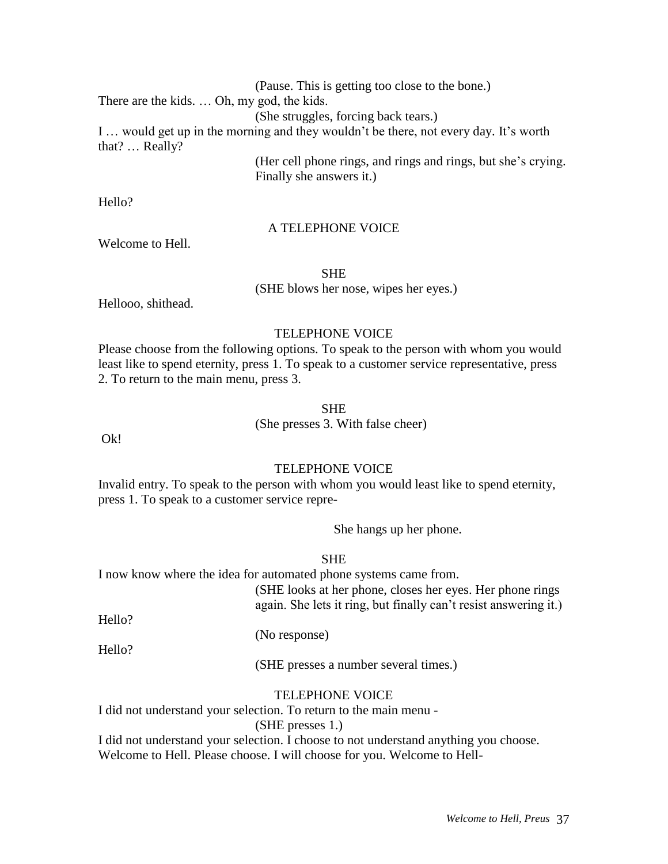(Pause. This is getting too close to the bone.)

There are the kids. … Oh, my god, the kids.

(She struggles, forcing back tears.)

I … would get up in the morning and they wouldn't be there, not every day. It's worth that? … Really?

> (Her cell phone rings, and rings and rings, but she's crying. Finally she answers it.)

Hello?

#### A TELEPHONE VOICE

SHE

(SHE blows her nose, wipes her eyes.)

Hellooo, shithead.

Welcome to Hell.

### TELEPHONE VOICE

Please choose from the following options. To speak to the person with whom you would least like to spend eternity, press 1. To speak to a customer service representative, press 2. To return to the main menu, press 3.

#### SHE

(She presses 3. With false cheer)

Ok!

### TELEPHONE VOICE

Invalid entry. To speak to the person with whom you would least like to spend eternity, press 1. To speak to a customer service repre-

She hangs up her phone.

### SHE

I now know where the idea for automated phone systems came from.

(SHE looks at her phone, closes her eyes. Her phone rings again. She lets it ring, but finally can't resist answering it.)

Hello?

(No response)

Hello?

(SHE presses a number several times.)

### TELEPHONE VOICE

I did not understand your selection. To return to the main menu - (SHE presses 1.)

I did not understand your selection. I choose to not understand anything you choose. Welcome to Hell. Please choose. I will choose for you. Welcome to Hell-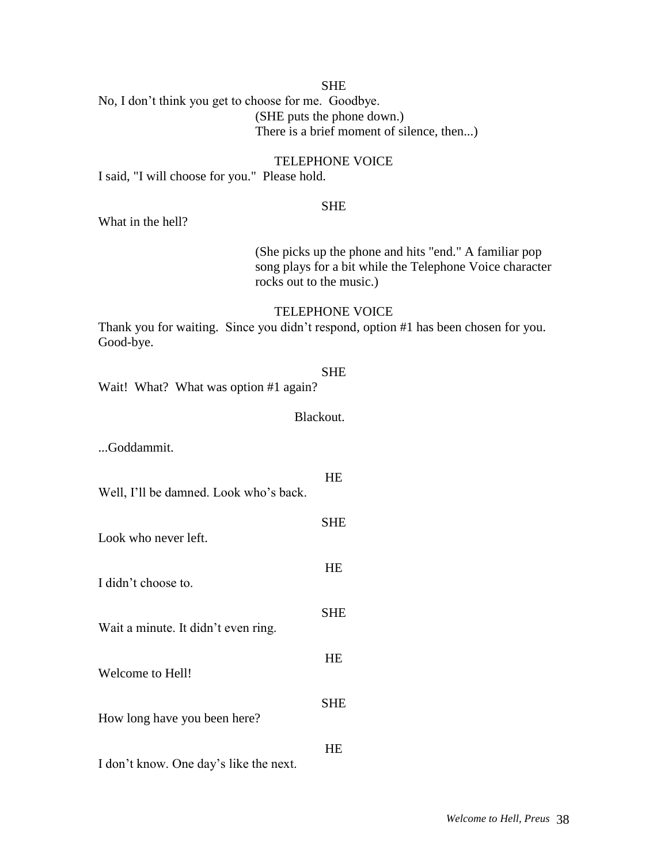#### SHE

No, I don't think you get to choose for me. Goodbye. (SHE puts the phone down.) There is a brief moment of silence, then...)

### TELEPHONE VOICE

I said, "I will choose for you." Please hold.

#### SHE

What in the hell?

(She picks up the phone and hits "end." A familiar pop song plays for a bit while the Telephone Voice character rocks out to the music.)

#### TELEPHONE VOICE

Thank you for waiting. Since you didn't respond, option #1 has been chosen for you. Good-bye.

#### SHE

HE

SHE

**HE** 

SHE

HE

SHE

HE

Wait! What? What was option #1 again?

Blackout.

...Goddammit.

Well, I'll be damned. Look who's back.

- Look who never left.
- I didn't choose to.

Wait a minute. It didn't even ring.

Welcome to Hell!

How long have you been here?

I don't know. One day's like the next.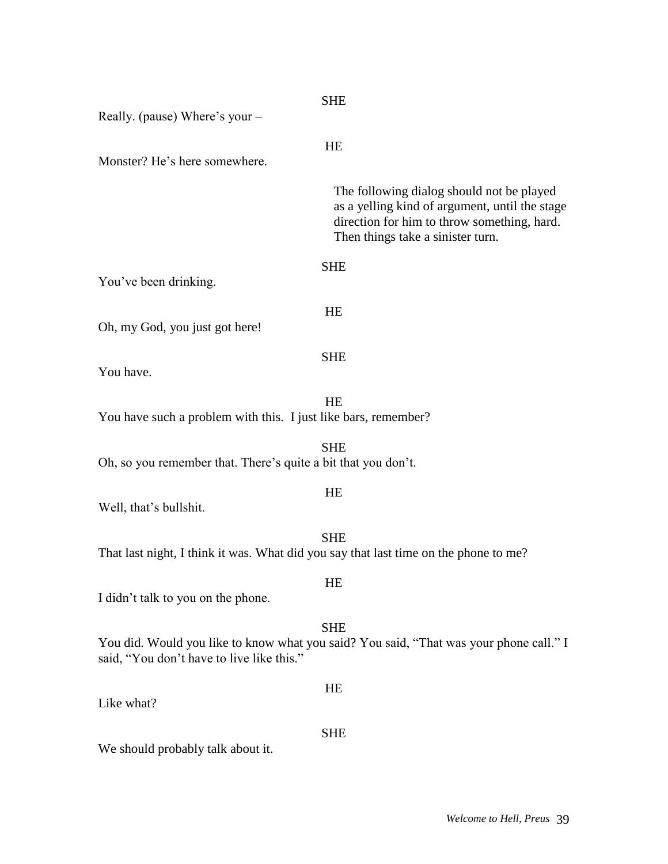| Really. (pause) Where's your -                                 | <b>SHE</b>                                                                                                                                                                      |
|----------------------------------------------------------------|---------------------------------------------------------------------------------------------------------------------------------------------------------------------------------|
| Monster? He's here somewhere.                                  | HE                                                                                                                                                                              |
|                                                                | The following dialog should not be played<br>as a yelling kind of argument, until the stage<br>direction for him to throw something, hard.<br>Then things take a sinister turn. |
| You've been drinking.                                          | <b>SHE</b>                                                                                                                                                                      |
| Oh, my God, you just got here!                                 | HE                                                                                                                                                                              |
| You have.                                                      | <b>SHE</b>                                                                                                                                                                      |
| You have such a problem with this. I just like bars, remember? | HE                                                                                                                                                                              |
| Oh, so you remember that. There's quite a bit that you don't.  | <b>SHE</b>                                                                                                                                                                      |
| Well, that's bullshit.                                         | HE                                                                                                                                                                              |
|                                                                | <b>SHE</b><br>That last night, I think it was. What did you say that last time on the phone to me?                                                                              |
| I didn't talk to you on the phone.                             | HE                                                                                                                                                                              |
| said, "You don't have to live like this."                      | <b>SHE</b><br>You did. Would you like to know what you said? You said, "That was your phone call." I                                                                            |
| Like what?                                                     | HE                                                                                                                                                                              |
| We should probably talk about it.                              | <b>SHE</b>                                                                                                                                                                      |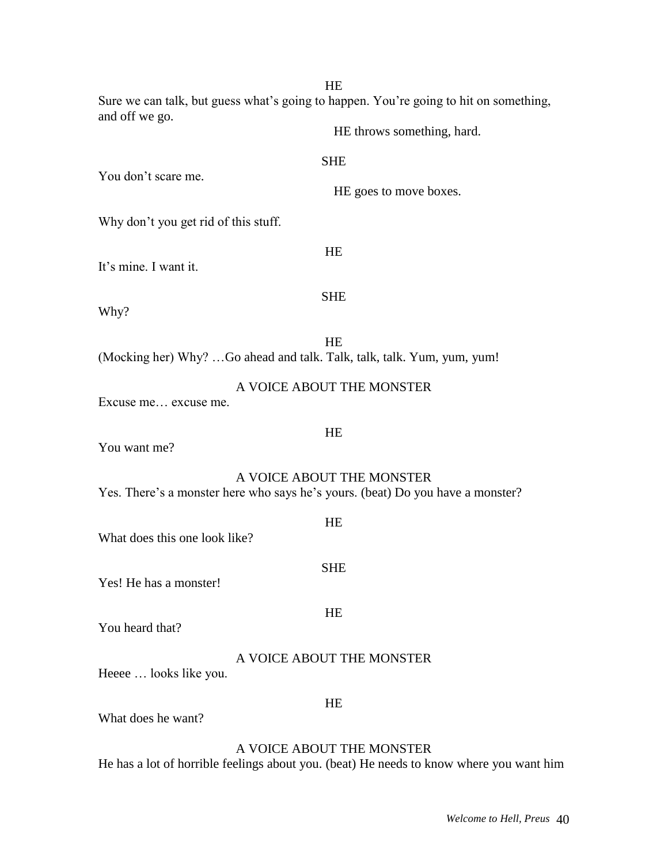HE Sure we can talk, but guess what's going to happen. You're going to hit on something, and off we go.

|                                      | HE throws something, hard.                                                                                  |
|--------------------------------------|-------------------------------------------------------------------------------------------------------------|
|                                      | <b>SHE</b>                                                                                                  |
| You don't scare me.                  | HE goes to move boxes.                                                                                      |
| Why don't you get rid of this stuff. |                                                                                                             |
| It's mine. I want it.                | HE                                                                                                          |
| Why?                                 | <b>SHE</b>                                                                                                  |
|                                      | HE<br>(Mocking her) Why? Go ahead and talk. Talk, talk, talk. Yum, yum, yum!                                |
| Excuse me excuse me.                 | A VOICE ABOUT THE MONSTER                                                                                   |
| You want me?                         | HE                                                                                                          |
|                                      | A VOICE ABOUT THE MONSTER<br>Yes. There's a monster here who says he's yours. (beat) Do you have a monster? |
| What does this one look like?        | HE                                                                                                          |
| Yes! He has a monster!               | <b>SHE</b>                                                                                                  |
| You heard that?                      | HE                                                                                                          |
| Heeee  looks like you.               | A VOICE ABOUT THE MONSTER                                                                                   |
| What does he want?                   | HE                                                                                                          |
|                                      |                                                                                                             |

## A VOICE ABOUT THE MONSTER

He has a lot of horrible feelings about you. (beat) He needs to know where you want him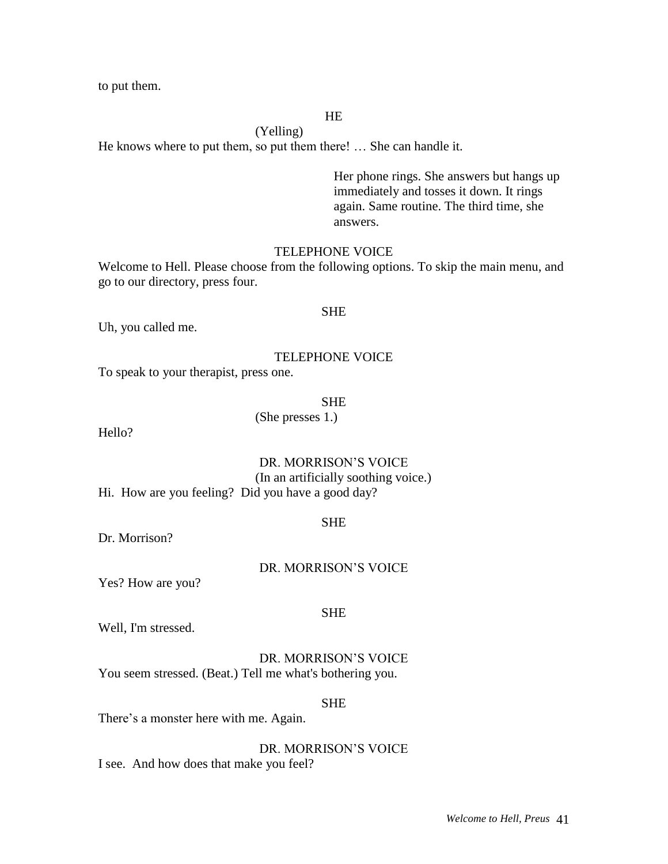to put them.

### HE

(Yelling) He knows where to put them, so put them there! … She can handle it.

> Her phone rings. She answers but hangs up immediately and tosses it down. It rings again. Same routine. The third time, she answers.

### TELEPHONE VOICE

Welcome to Hell. Please choose from the following options. To skip the main menu, and go to our directory, press four.

#### **SHE**

Uh, you called me.

#### TELEPHONE VOICE

To speak to your therapist, press one.

SHE

(She presses 1.)

Hello?

# DR. MORRISON'S VOICE (In an artificially soothing voice.)

Hi. How are you feeling? Did you have a good day?

#### SHE

Dr. Morrison?

#### DR. MORRISON'S VOICE

Yes? How are you?

### SHE

Well, I'm stressed.

DR. MORRISON'S VOICE You seem stressed. (Beat.) Tell me what's bothering you.

SHE

There's a monster here with me. Again.

DR. MORRISON'S VOICE I see. And how does that make you feel?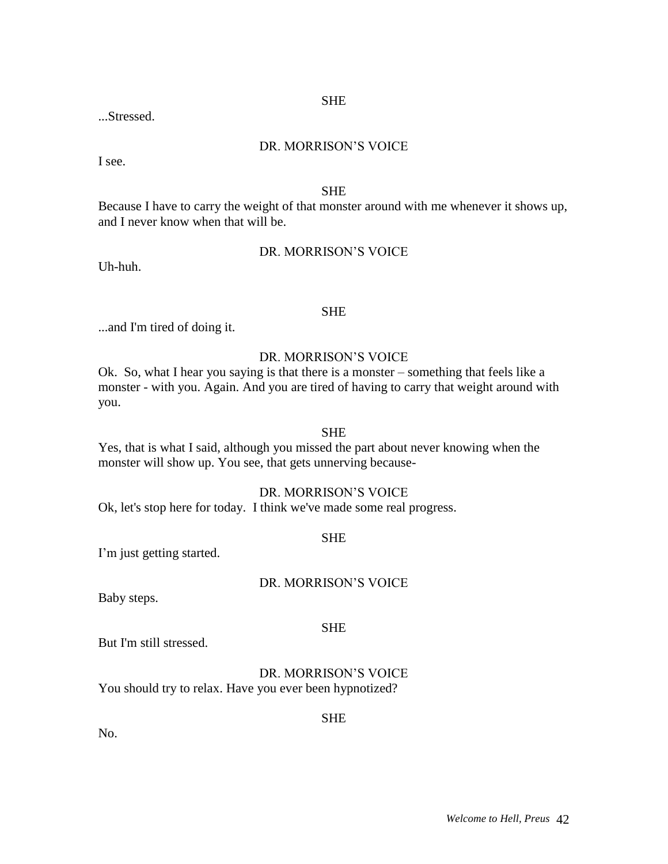SHE

...Stressed.

### DR. MORRISON'S VOICE

I see.

### SHE

Because I have to carry the weight of that monster around with me whenever it shows up, and I never know when that will be.

### DR. MORRISON'S VOICE

Uh-huh.

### **SHE**

...and I'm tired of doing it.

### DR. MORRISON'S VOICE

Ok. So, what I hear you saying is that there is a monster – something that feels like a monster - with you. Again. And you are tired of having to carry that weight around with you.

#### SHE

Yes, that is what I said, although you missed the part about never knowing when the monster will show up. You see, that gets unnerving because-

### DR. MORRISON'S VOICE

Ok, let's stop here for today. I think we've made some real progress.

### **SHE**

I'm just getting started.

### DR. MORRISON'S VOICE

Baby steps.

### SHE

But I'm still stressed.

DR. MORRISON'S VOICE You should try to relax. Have you ever been hypnotized?

**SHE** 

No.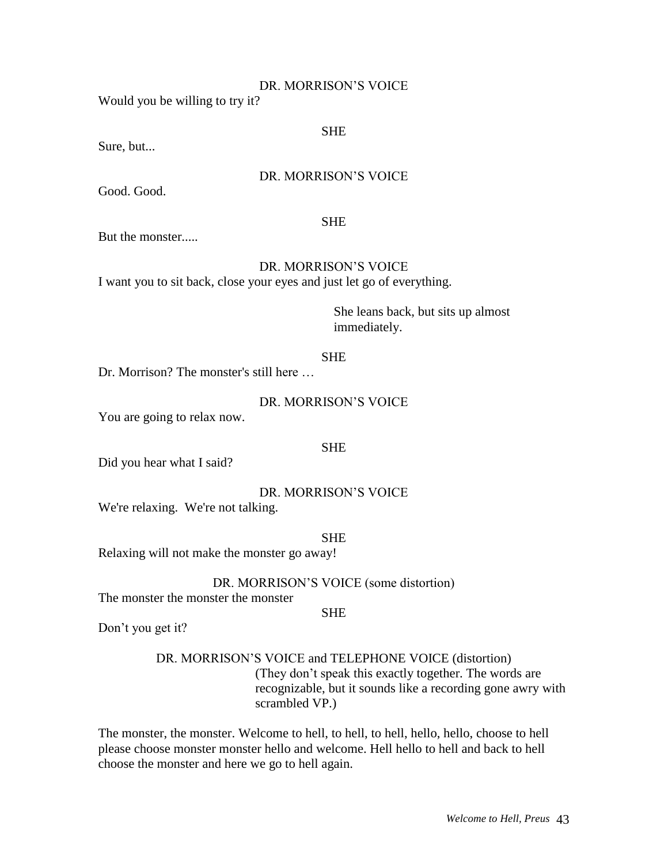#### DR. MORRISON'S VOICE

Would you be willing to try it?

### SHE

Sure, but...

### DR. MORRISON'S VOICE

Good. Good.

### SHE

But the monster.....

### DR. MORRISON'S VOICE

I want you to sit back, close your eyes and just let go of everything.

She leans back, but sits up almost immediately.

#### SHE

Dr. Morrison? The monster's still here …

### DR. MORRISON'S VOICE

You are going to relax now.

### SHE

Did you hear what I said?

### DR. MORRISON'S VOICE

We're relaxing. We're not talking.

#### **SHE**

Relaxing will not make the monster go away!

# DR. MORRISON'S VOICE (some distortion)

The monster the monster the monster

**SHE** 

Don't you get it?

### DR. MORRISON'S VOICE and TELEPHONE VOICE (distortion) (They don't speak this exactly together. The words are recognizable, but it sounds like a recording gone awry with scrambled VP.)

The monster, the monster. Welcome to hell, to hell, to hell, hello, hello, choose to hell please choose monster monster hello and welcome. Hell hello to hell and back to hell choose the monster and here we go to hell again.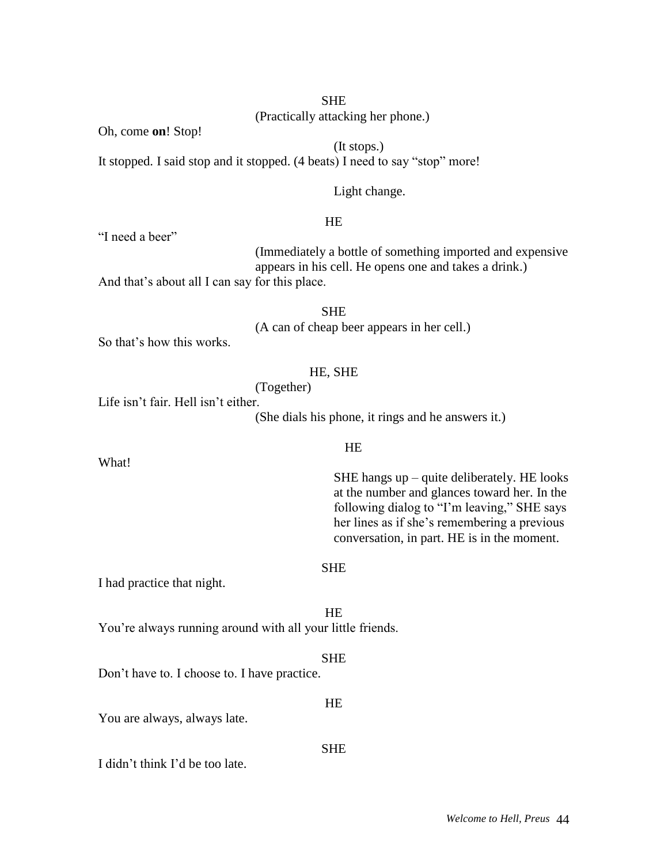(Practically attacking her phone.)

Oh, come **on**! Stop!

(It stops.) It stopped. I said stop and it stopped. (4 beats) I need to say "stop" more!

### Light change.

### HE

"I need a beer"

What!

(Immediately a bottle of something imported and expensive appears in his cell. He opens one and takes a drink.)

And that's about all I can say for this place.

**SHE** 

(A can of cheap beer appears in her cell.)

So that's how this works.

### HE, SHE

(Together)

Life isn't fair. Hell isn't either.

(She dials his phone, it rings and he answers it.)

#### HE

SHE hangs up – quite deliberately. HE looks at the number and glances toward her. In the following dialog to "I'm leaving," SHE says her lines as if she's remembering a previous conversation, in part. HE is in the moment.

### SHE

I had practice that night.

HE

You're always running around with all your little friends.

### SHE

Don't have to. I choose to. I have practice.

You are always, always late.

### SHE

HE

I didn't think I'd be too late.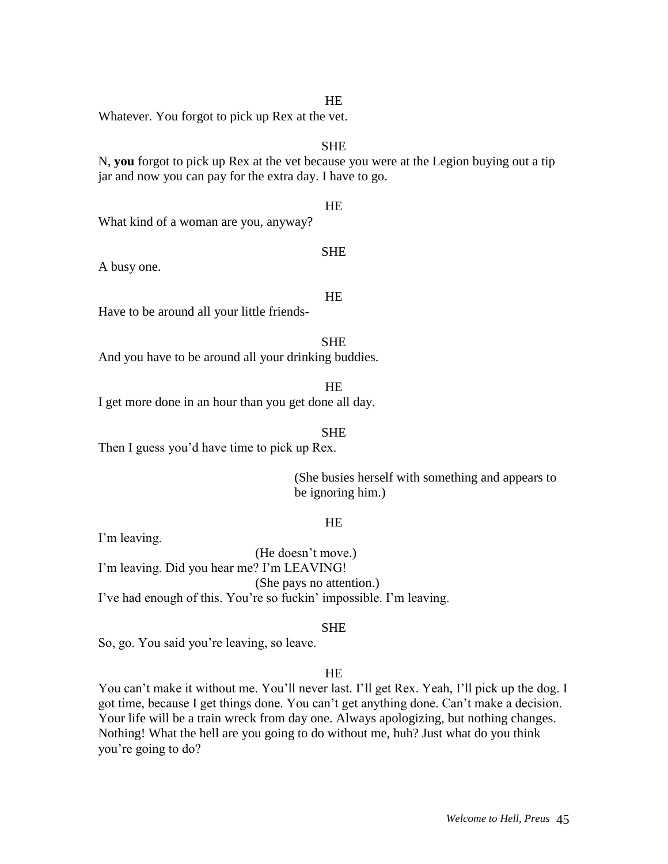#### *Welcome to Hell, Preus* 45

Whatever. You forgot to pick up Rex at the vet.

### **SHE**

N, **you** forgot to pick up Rex at the vet because you were at the Legion buying out a tip jar and now you can pay for the extra day. I have to go.

#### HE

SHE

What kind of a woman are you, anyway?

A busy one.

# HE

Have to be around all your little friends-

#### SHE

And you have to be around all your drinking buddies.

#### **HE**

I get more done in an hour than you get done all day.

#### SHE

Then I guess you'd have time to pick up Rex.

(She busies herself with something and appears to be ignoring him.)

### HE

I'm leaving.

(He doesn't move.) I'm leaving. Did you hear me? I'm LEAVING! (She pays no attention.) I've had enough of this. You're so fuckin' impossible. I'm leaving.

#### **SHE**

So, go. You said you're leaving, so leave.

#### HE

You can't make it without me. You'll never last. I'll get Rex. Yeah, I'll pick up the dog. I got time, because I get things done. You can't get anything done. Can't make a decision. Your life will be a train wreck from day one. Always apologizing, but nothing changes. Nothing! What the hell are you going to do without me, huh? Just what do you think you're going to do?

#### HE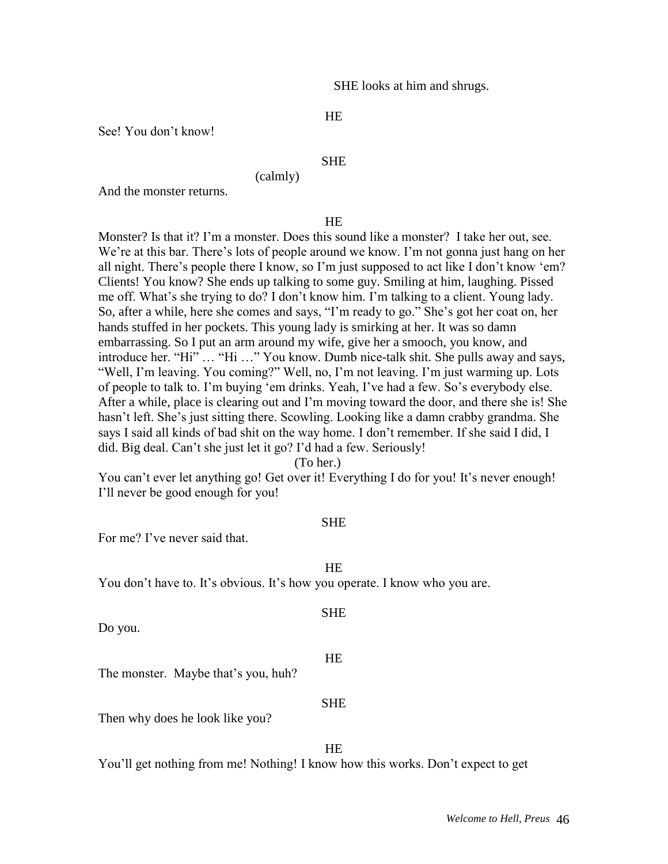SHE looks at him and shrugs.

### HE

See! You don't know!

### **SHE**

(calmly)

And the monster returns.

#### HE

Monster? Is that it? I'm a monster. Does this sound like a monster? I take her out, see. We're at this bar. There's lots of people around we know. I'm not gonna just hang on her all night. There's people there I know, so I'm just supposed to act like I don't know 'em? Clients! You know? She ends up talking to some guy. Smiling at him, laughing. Pissed me off. What's she trying to do? I don't know him. I'm talking to a client. Young lady. So, after a while, here she comes and says, "I'm ready to go." She's got her coat on, her hands stuffed in her pockets. This young lady is smirking at her. It was so damn embarrassing. So I put an arm around my wife, give her a smooch, you know, and introduce her. "Hi" … "Hi …" You know. Dumb nice-talk shit. She pulls away and says, "Well, I'm leaving. You coming?" Well, no, I'm not leaving. I'm just warming up. Lots of people to talk to. I'm buying 'em drinks. Yeah, I've had a few. So's everybody else. After a while, place is clearing out and I'm moving toward the door, and there she is! She hasn't left. She's just sitting there. Scowling. Looking like a damn crabby grandma. She says I said all kinds of bad shit on the way home. I don't remember. If she said I did, I did. Big deal. Can't she just let it go? I'd had a few. Seriously!

(To her.)

You can't ever let anything go! Get over it! Everything I do for you! It's never enough! I'll never be good enough for you!

#### SHE

For me? I've never said that.

HE

You don't have to. It's obvious. It's how you operate. I know who you are.

Do you.

#### HE

SHE

The monster. Maybe that's you, huh?

#### SHE

Then why does he look like you?

### HE

You'll get nothing from me! Nothing! I know how this works. Don't expect to get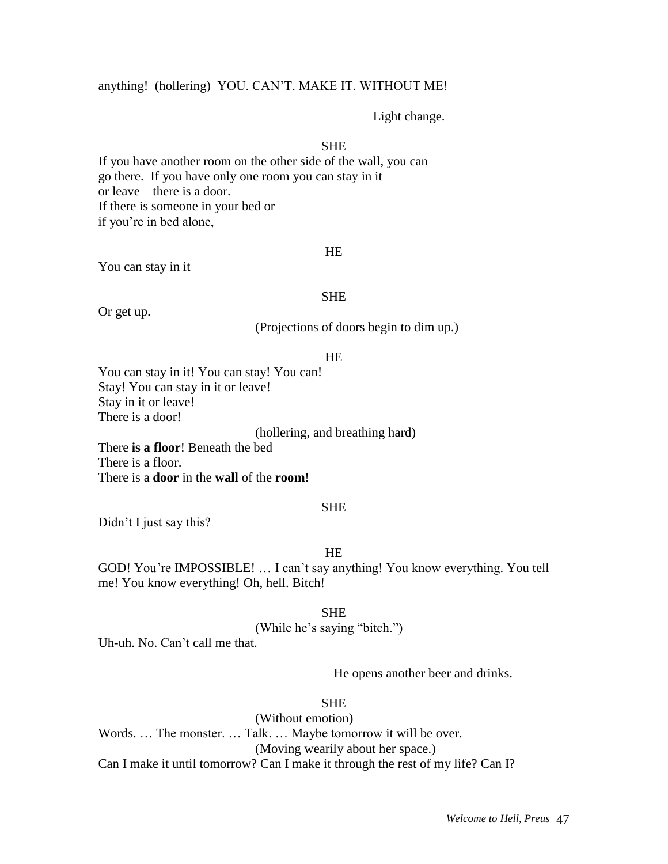### anything! (hollering) YOU. CAN'T. MAKE IT. WITHOUT ME!

#### Light change.

### **SHE**

If you have another room on the other side of the wall, you can go there. If you have only one room you can stay in it or leave – there is a door. If there is someone in your bed or if you're in bed alone,

#### HE

You can stay in it

#### **SHE**

Or get up.

(Projections of doors begin to dim up.)

#### HE

You can stay in it! You can stay! You can! Stay! You can stay in it or leave! Stay in it or leave! There is a door!

(hollering, and breathing hard)

There **is a floor**! Beneath the bed There is a floor. There is a **door** in the **wall** of the **room**!

#### SHE

Didn't I just say this?

### HE

GOD! You're IMPOSSIBLE! … I can't say anything! You know everything. You tell me! You know everything! Oh, hell. Bitch!

#### **SHE**

(While he's saying "bitch.")

Uh-uh. No. Can't call me that.

He opens another beer and drinks.

### **SHE**

(Without emotion) Words. … The monster. … Talk. … Maybe tomorrow it will be over. (Moving wearily about her space.) Can I make it until tomorrow? Can I make it through the rest of my life? Can I?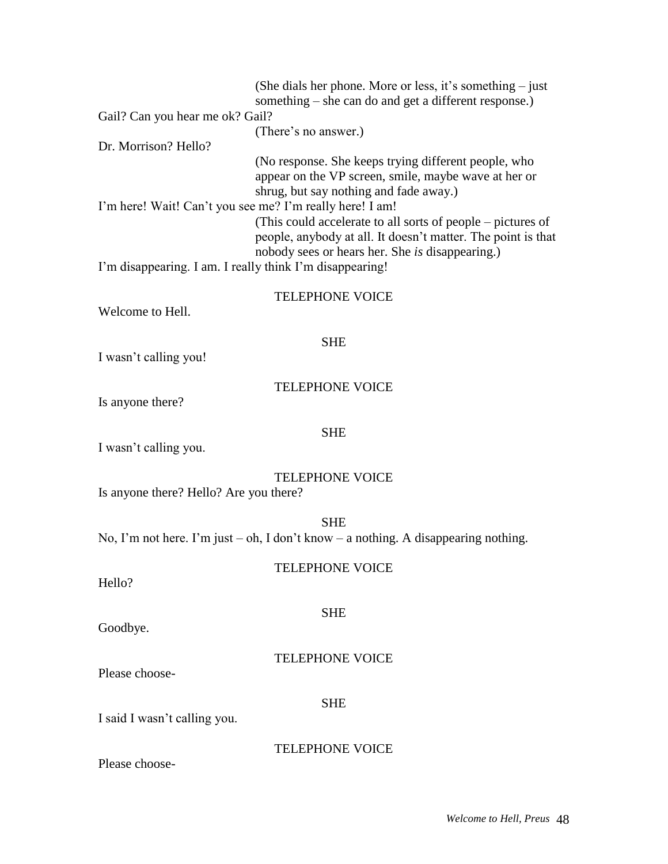|                                                                                                                      | (She dials her phone. More or less, it's something $-$ just<br>something – she can do and get a different response.)                                                                                                                                                                                                                     |
|----------------------------------------------------------------------------------------------------------------------|------------------------------------------------------------------------------------------------------------------------------------------------------------------------------------------------------------------------------------------------------------------------------------------------------------------------------------------|
| Gail? Can you hear me ok? Gail?                                                                                      |                                                                                                                                                                                                                                                                                                                                          |
| Dr. Morrison? Hello?                                                                                                 | (There's no answer.)                                                                                                                                                                                                                                                                                                                     |
| I'm here! Wait! Can't you see me? I'm really here! I am!<br>I'm disappearing. I am. I really think I'm disappearing! | (No response. She keeps trying different people, who<br>appear on the VP screen, smile, maybe wave at her or<br>shrug, but say nothing and fade away.)<br>(This could accelerate to all sorts of people – pictures of<br>people, anybody at all. It doesn't matter. The point is that<br>nobody sees or hears her. She is disappearing.) |
| Welcome to Hell.                                                                                                     | <b>TELEPHONE VOICE</b>                                                                                                                                                                                                                                                                                                                   |
| I wasn't calling you!                                                                                                | <b>SHE</b>                                                                                                                                                                                                                                                                                                                               |
| Is anyone there?                                                                                                     | <b>TELEPHONE VOICE</b>                                                                                                                                                                                                                                                                                                                   |
| I wasn't calling you.                                                                                                | <b>SHE</b>                                                                                                                                                                                                                                                                                                                               |
| Is anyone there? Hello? Are you there?                                                                               | <b>TELEPHONE VOICE</b>                                                                                                                                                                                                                                                                                                                   |
|                                                                                                                      | <b>SHE</b><br>No, I'm not here. I'm just $-$ oh, I don't know $-$ a nothing. A disappearing nothing.                                                                                                                                                                                                                                     |
| Hello?                                                                                                               | <b>TELEPHONE VOICE</b>                                                                                                                                                                                                                                                                                                                   |
| Goodbye.                                                                                                             | <b>SHE</b>                                                                                                                                                                                                                                                                                                                               |
| Please choose-                                                                                                       | <b>TELEPHONE VOICE</b>                                                                                                                                                                                                                                                                                                                   |
| I said I wasn't calling you.                                                                                         | <b>SHE</b>                                                                                                                                                                                                                                                                                                                               |
| Please choose-                                                                                                       | <b>TELEPHONE VOICE</b>                                                                                                                                                                                                                                                                                                                   |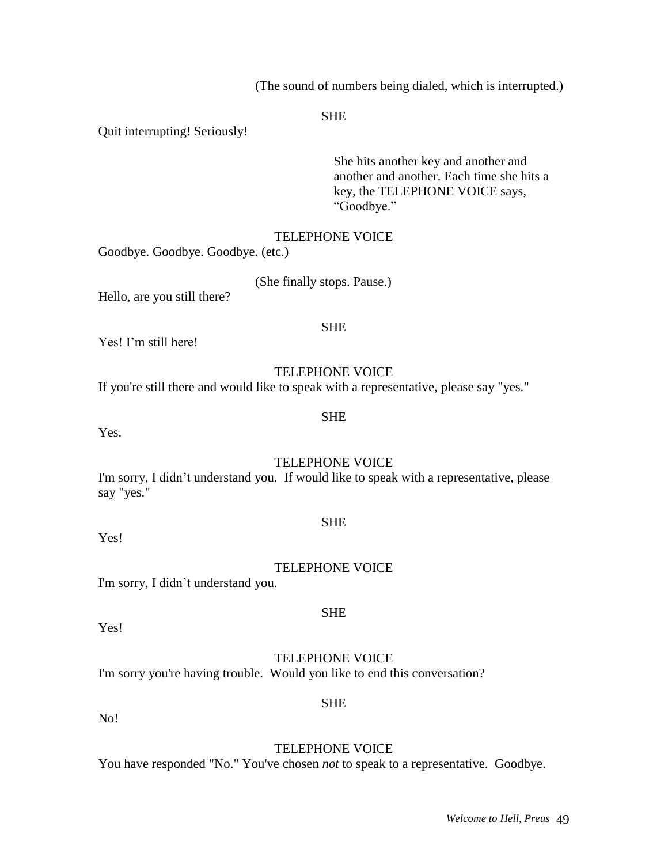(The sound of numbers being dialed, which is interrupted.)

#### **SHE**

Quit interrupting! Seriously!

She hits another key and another and another and another. Each time she hits a key, the TELEPHONE VOICE says, "Goodbye."

### TELEPHONE VOICE

Goodbye. Goodbye. Goodbye. (etc.)

(She finally stops. Pause.)

Hello, are you still there?

### Yes! I'm still here!

### TELEPHONE VOICE

SHE

If you're still there and would like to speak with a representative, please say "yes."

#### SHE

Yes.

### TELEPHONE VOICE

I'm sorry, I didn't understand you. If would like to speak with a representative, please say "yes."

Yes!

### TELEPHONE VOICE

SHE

I'm sorry, I didn't understand you.

Yes!

### TELEPHONE VOICE

SHE

I'm sorry you're having trouble. Would you like to end this conversation?

No!

### TELEPHONE VOICE

You have responded "No." You've chosen *not* to speak to a representative. Goodbye.

### SHE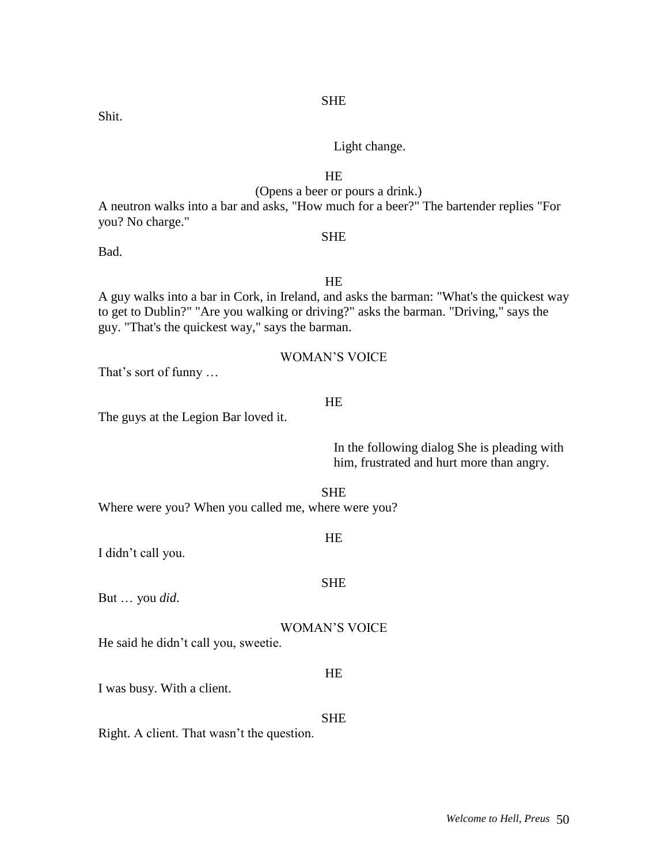SHE

### Shit.

### Light change.

### HE

### (Opens a beer or pours a drink.)

A neutron walks into a bar and asks, "How much for a beer?" The bartender replies "For you? No charge." **SHE** 

Bad.

HE A guy walks into a bar in Cork, in Ireland, and asks the barman: "What's the quickest way to get to Dublin?" "Are you walking or driving?" asks the barman. "Driving," says the guy. "That's the quickest way," says the barman.

WOMAN'S VOICE

That's sort of funny …

### HE

The guys at the Legion Bar loved it.

In the following dialog She is pleading with him, frustrated and hurt more than angry.

SHE

Where were you? When you called me, where were you?

I didn't call you.

But … you *did*.

### WOMAN'S VOICE

He said he didn't call you, sweetie.

I was busy. With a client.

**SHE** 

HE

Right. A client. That wasn't the question.

HE

SHE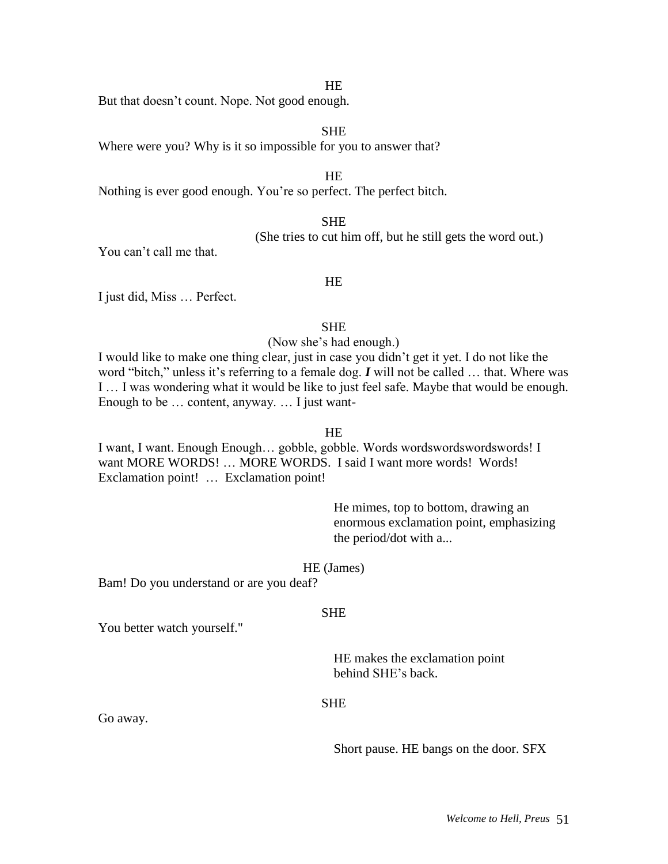#### HE

But that doesn't count. Nope. Not good enough.

#### SHE

Where were you? Why is it so impossible for you to answer that?

#### HE

Nothing is ever good enough. You're so perfect. The perfect bitch.

#### SHE

(She tries to cut him off, but he still gets the word out.)

You can't call me that.

#### HE

I just did, Miss … Perfect.

#### **SHE**

(Now she's had enough.)

I would like to make one thing clear, just in case you didn't get it yet. I do not like the word "bitch," unless it's referring to a female dog. *I* will not be called … that. Where was I … I was wondering what it would be like to just feel safe. Maybe that would be enough. Enough to be … content, anyway. … I just want-

#### HE

I want, I want. Enough Enough… gobble, gobble. Words wordswordswordswords! I want MORE WORDS! … MORE WORDS. I said I want more words! Words! Exclamation point! … Exclamation point!

> He mimes, top to bottom, drawing an enormous exclamation point, emphasizing the period/dot with a...

#### HE (James)

Bam! Do you understand or are you deaf?

#### **SHE**

You better watch yourself."

HE makes the exclamation point behind SHE's back.

#### SHE

Go away.

Short pause. HE bangs on the door. SFX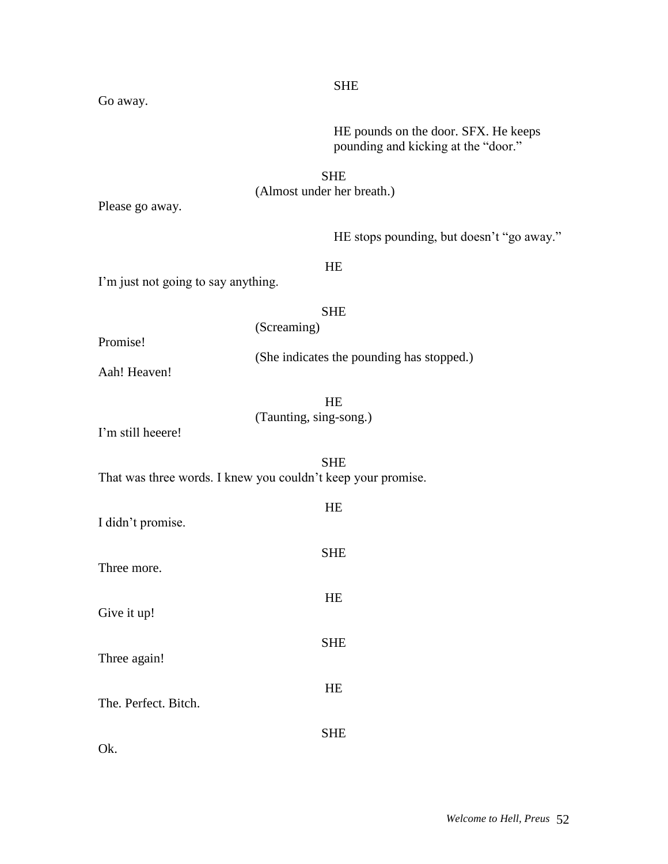*Welcome to Hell, Preus* 52

HE pounds on the door. SFX. He keeps pounding and kicking at the "door."

### SHE (Almost under her breath.)

SHE

Please go away.

HE stops pounding, but doesn't "go away."

HE

I'm just not going to say anything.

### SHE (Screaming)

Promise!

(She indicates the pounding has stopped.)

Aah! Heaven!

HE (Taunting, sing-song.)

I'm still heeere!

SHE That was three words. I knew you couldn't keep your promise.

| I didn't promise.    | <b>HE</b>  |
|----------------------|------------|
| Three more.          | <b>SHE</b> |
| Give it up!          | <b>HE</b>  |
| Three again!         | <b>SHE</b> |
| The. Perfect. Bitch. | <b>HE</b>  |
| Ok.                  | SHE        |

Go away.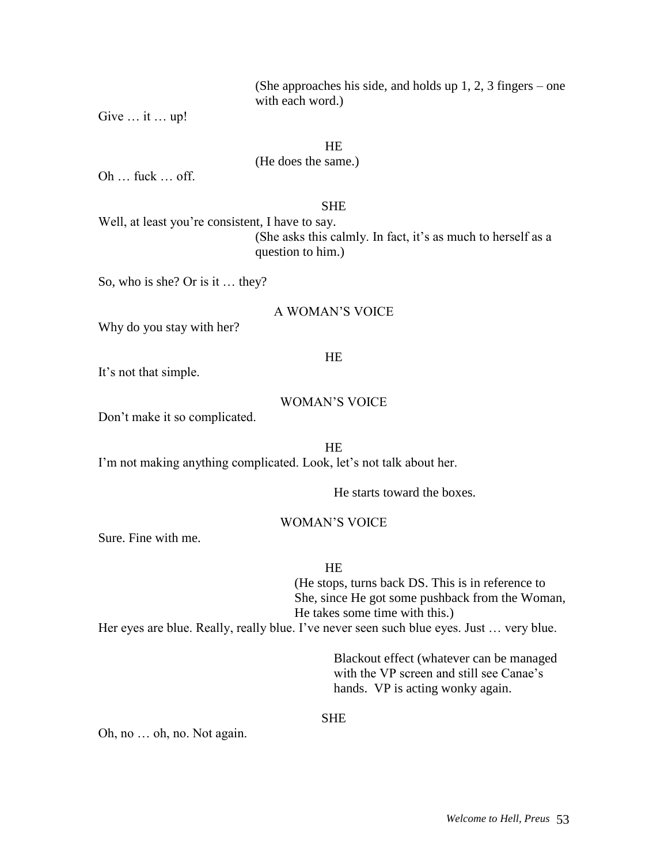(She approaches his side, and holds up 1, 2, 3 fingers – one with each word.)

Give … it … up!

HE

(He does the same.)

Oh … fuck … off.

### **SHE**

Well, at least you're consistent, I have to say. (She asks this calmly. In fact, it's as much to herself as a question to him.)

So, who is she? Or is it … they?

### A WOMAN'S VOICE

Why do you stay with her?

#### HE

It's not that simple.

### WOMAN'S VOICE

Don't make it so complicated.

HE I'm not making anything complicated. Look, let's not talk about her.

He starts toward the boxes.

### WOMAN'S VOICE

Sure. Fine with me.

#### **HE**

(He stops, turns back DS. This is in reference to She, since He got some pushback from the Woman, He takes some time with this.)

Her eyes are blue. Really, really blue. I've never seen such blue eyes. Just … very blue.

Blackout effect (whatever can be managed with the VP screen and still see Canae's hands. VP is acting wonky again.

#### SHE

Oh, no … oh, no. Not again.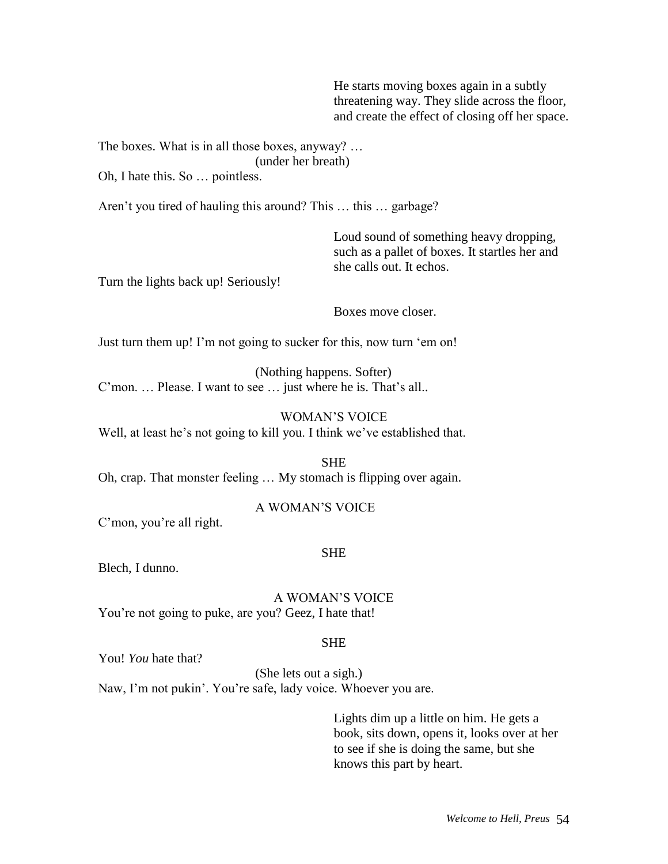He starts moving boxes again in a subtly threatening way. They slide across the floor, and create the effect of closing off her space.

The boxes. What is in all those boxes, anyway? … (under her breath)

Oh, I hate this. So … pointless.

Aren't you tired of hauling this around? This … this … garbage?

Loud sound of something heavy dropping, such as a pallet of boxes. It startles her and she calls out. It echos.

Turn the lights back up! Seriously!

Boxes move closer.

Just turn them up! I'm not going to sucker for this, now turn 'em on!

(Nothing happens. Softer) C'mon. … Please. I want to see … just where he is. That's all..

#### WOMAN'S VOICE

Well, at least he's not going to kill you. I think we've established that.

SHE Oh, crap. That monster feeling … My stomach is flipping over again.

#### A WOMAN'S VOICE

C'mon, you're all right.

#### SHE

Blech, I dunno.

A WOMAN'S VOICE You're not going to puke, are you? Geez, I hate that!

#### SHE

You! *You* hate that?

(She lets out a sigh.) Naw, I'm not pukin'. You're safe, lady voice. Whoever you are.

> Lights dim up a little on him. He gets a book, sits down, opens it, looks over at her to see if she is doing the same, but she knows this part by heart.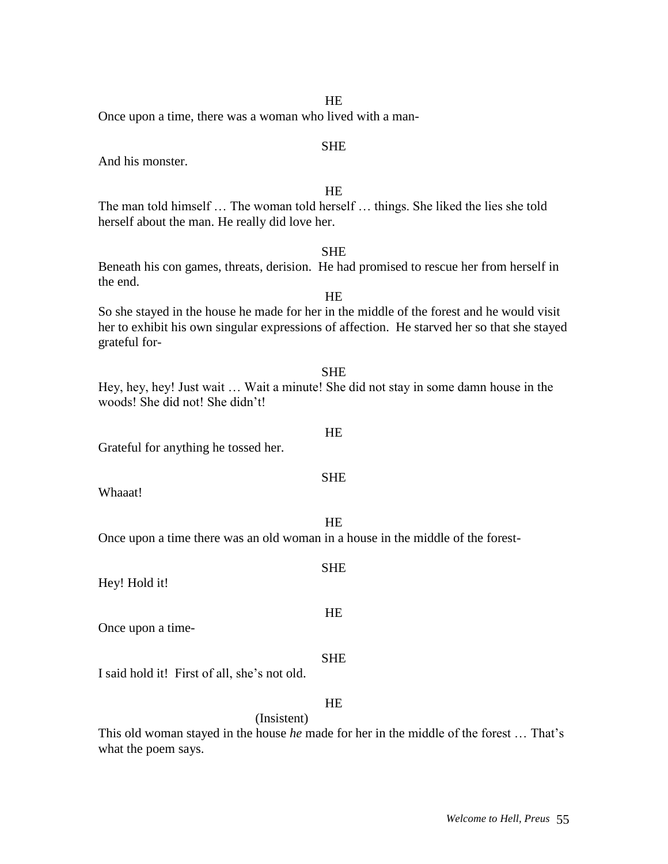|  | Welcome to Hell, Preus 55 |  |  |  |
|--|---------------------------|--|--|--|
|--|---------------------------|--|--|--|

| <b>SHE</b>                                                                                                                                                                                                |
|-----------------------------------------------------------------------------------------------------------------------------------------------------------------------------------------------------------|
| Beneath his con games, threats, derision. He had promised to rescue her from herself in                                                                                                                   |
| the end.                                                                                                                                                                                                  |
| <b>HE</b>                                                                                                                                                                                                 |
| So she stayed in the house he made for her in the middle of the forest and he would visit<br>her to exhibit his own singular expressions of affection. He starved her so that she stayed<br>grateful for- |
| <b>SHE</b>                                                                                                                                                                                                |
| Hey, hey, hey! Just wait  Wait a minute! She did not stay in some damn house in the<br>woods! She did not! She didn't!                                                                                    |
| HE                                                                                                                                                                                                        |
| Grateful for anything he tossed her.                                                                                                                                                                      |
| <b>SHE</b>                                                                                                                                                                                                |
| Whaaat!                                                                                                                                                                                                   |
|                                                                                                                                                                                                           |
| <b>HE</b><br>Once upon a time there was an old woman in a house in the middle of the forest-                                                                                                              |
|                                                                                                                                                                                                           |
| <b>SHE</b><br>Hey! Hold it!                                                                                                                                                                               |
| HE                                                                                                                                                                                                        |
| Once upon a time-                                                                                                                                                                                         |
| <b>SHE</b>                                                                                                                                                                                                |
| I said hold it! First of all, she's not old.                                                                                                                                                              |
| HE                                                                                                                                                                                                        |
| (Insistent)                                                                                                                                                                                               |
| This old woman stayed in the house <i>he</i> made for her in the middle of the forest  That's                                                                                                             |

herself about the man. He really did love her.

And his monster.

what the poem says.

# HE

The man told himself … The woman told herself … things. She liked the lies she told

SHE

### HE Once upon a time, there was a woman who lived with a man-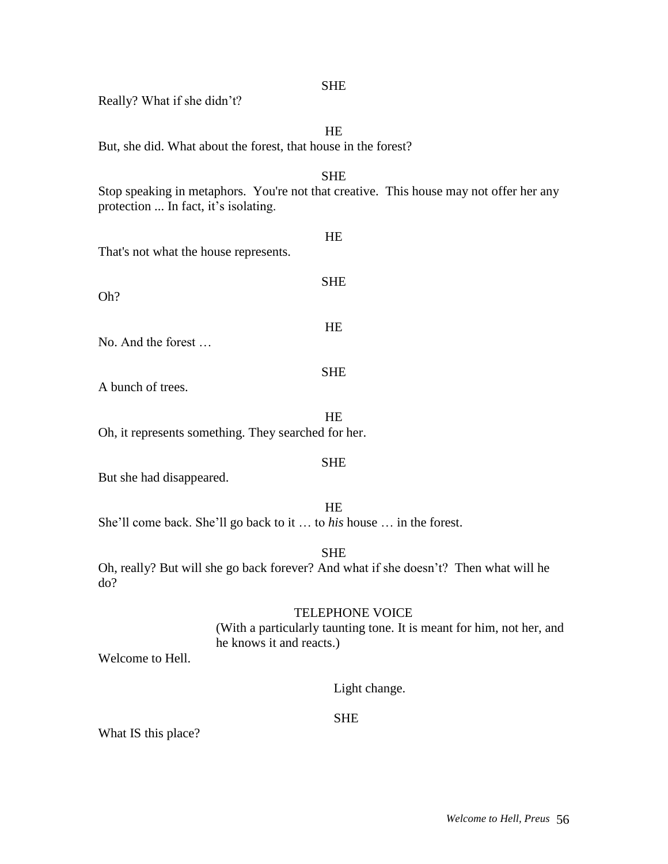| <b>SHE</b><br>Really? What if she didn't?                                                                                                       |
|-------------------------------------------------------------------------------------------------------------------------------------------------|
| HE                                                                                                                                              |
| But, she did. What about the forest, that house in the forest?                                                                                  |
| <b>SHE</b><br>Stop speaking in metaphors. You're not that creative. This house may not offer her any<br>protection  In fact, it's isolating.    |
| HE<br>That's not what the house represents.                                                                                                     |
| <b>SHE</b><br>Oh?                                                                                                                               |
| HE<br>No. And the forest                                                                                                                        |
| <b>SHE</b><br>A bunch of trees.                                                                                                                 |
| HE<br>Oh, it represents something. They searched for her.                                                                                       |
| <b>SHE</b><br>But she had disappeared.                                                                                                          |
| <b>HE</b><br>She'll come back. She'll go back to it  to his house  in the forest.                                                               |
| <b>SHE</b><br>Oh, really? But will she go back forever? And what if she doesn't? Then what will he<br>do?                                       |
| <b>TELEPHONE VOICE</b><br>(With a particularly taunting tone. It is meant for him, not her, and<br>he knows it and reacts.)<br>Welcome to Hell. |
| Light change.                                                                                                                                   |
| <b>SHE</b>                                                                                                                                      |

What IS this place?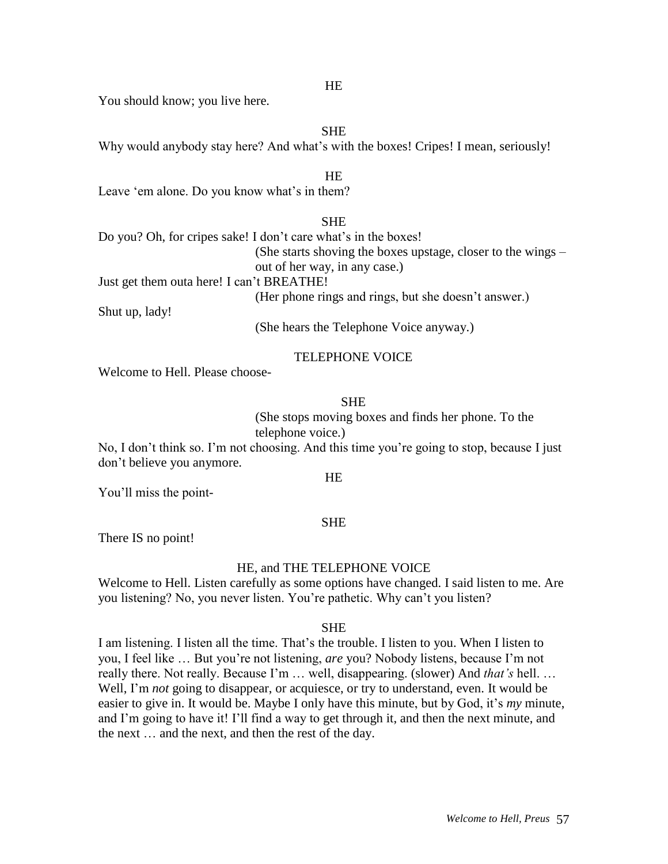#### **HE**

You should know; you live here.

SHE

Why would anybody stay here? And what's with the boxes! Cripes! I mean, seriously!

### HE

Leave 'em alone. Do you know what's in them?

**SHE** 

Do you? Oh, for cripes sake! I don't care what's in the boxes! (She starts shoving the boxes upstage, closer to the wings – out of her way, in any case.) Just get them outa here! I can't BREATHE! (Her phone rings and rings, but she doesn't answer.)

Shut up, lady!

(She hears the Telephone Voice anyway.)

### TELEPHONE VOICE

Welcome to Hell. Please choose-

### SHE

(She stops moving boxes and finds her phone. To the telephone voice.)

No, I don't think so. I'm not choosing. And this time you're going to stop, because I just don't believe you anymore.

#### HE

You'll miss the point-

#### SHE

There IS no point!

### HE, and THE TELEPHONE VOICE

Welcome to Hell. Listen carefully as some options have changed. I said listen to me. Are you listening? No, you never listen. You're pathetic. Why can't you listen?

#### SHE

I am listening. I listen all the time. That's the trouble. I listen to you. When I listen to you, I feel like … But you're not listening, *are* you? Nobody listens, because I'm not really there. Not really. Because I'm … well, disappearing. (slower) And *that's* hell. … Well, I'm *not* going to disappear, or acquiesce, or try to understand, even. It would be easier to give in. It would be. Maybe I only have this minute, but by God, it's *my* minute, and I'm going to have it! I'll find a way to get through it, and then the next minute, and the next … and the next, and then the rest of the day.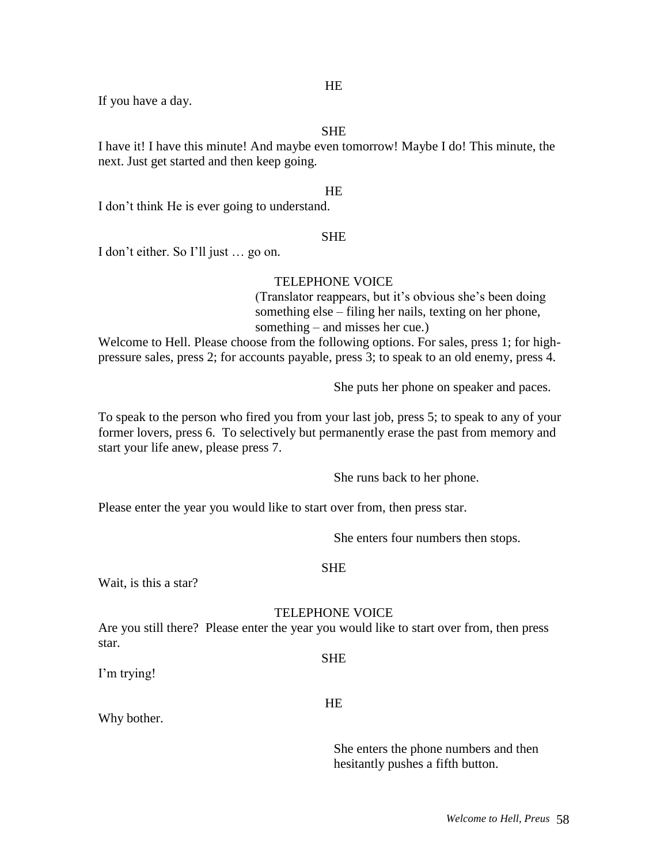If you have a day.

### SHE

I have it! I have this minute! And maybe even tomorrow! Maybe I do! This minute, the next. Just get started and then keep going.

#### HE

I don't think He is ever going to understand.

#### **SHE**

I don't either. So I'll just … go on.

### TELEPHONE VOICE

(Translator reappears, but it's obvious she's been doing something else – filing her nails, texting on her phone, something – and misses her cue.)

Welcome to Hell. Please choose from the following options. For sales, press 1; for highpressure sales, press 2; for accounts payable, press 3; to speak to an old enemy, press 4.

She puts her phone on speaker and paces.

To speak to the person who fired you from your last job, press 5; to speak to any of your former lovers, press 6. To selectively but permanently erase the past from memory and start your life anew, please press 7.

She runs back to her phone.

Please enter the year you would like to start over from, then press star.

She enters four numbers then stops.

#### **SHE**

Wait, is this a star?

### TELEPHONE VOICE

SHE

Are you still there? Please enter the year you would like to start over from, then press star.

I'm trying!

HE

Why bother.

She enters the phone numbers and then hesitantly pushes a fifth button.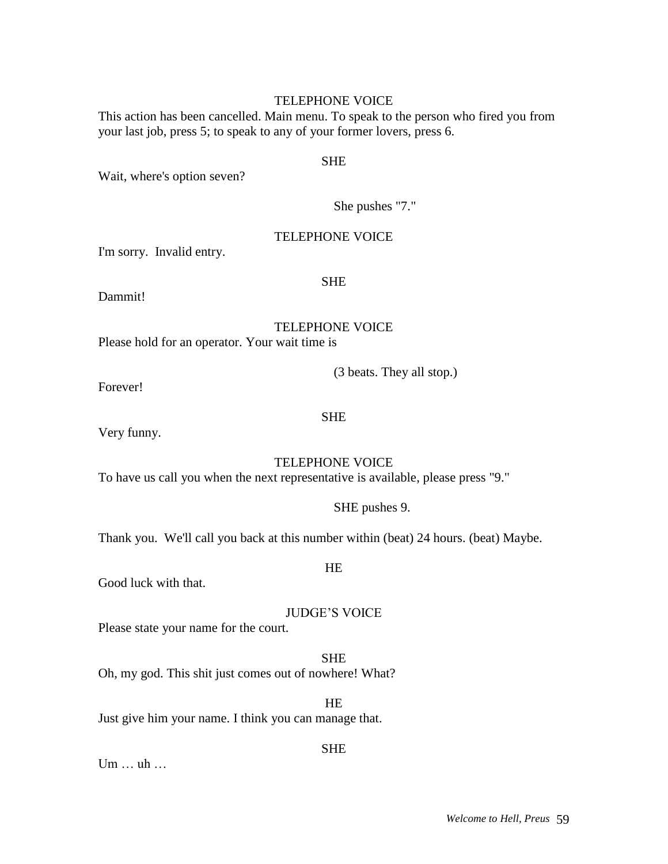#### TELEPHONE VOICE

This action has been cancelled. Main menu. To speak to the person who fired you from your last job, press 5; to speak to any of your former lovers, press 6.

#### SHE

Wait, where's option seven?

She pushes "7."

### TELEPHONE VOICE

I'm sorry. Invalid entry.

### SHE

Dammit!

TELEPHONE VOICE

Please hold for an operator. Your wait time is

(3 beats. They all stop.)

Forever!

SHE

Very funny.

### TELEPHONE VOICE

To have us call you when the next representative is available, please press "9."

SHE pushes 9.

Thank you. We'll call you back at this number within (beat) 24 hours. (beat) Maybe.

Good luck with that.

JUDGE'S VOICE

**HE** 

Please state your name for the court.

SHE Oh, my god. This shit just comes out of nowhere! What?

HE Just give him your name. I think you can manage that.

SHE

Um … uh …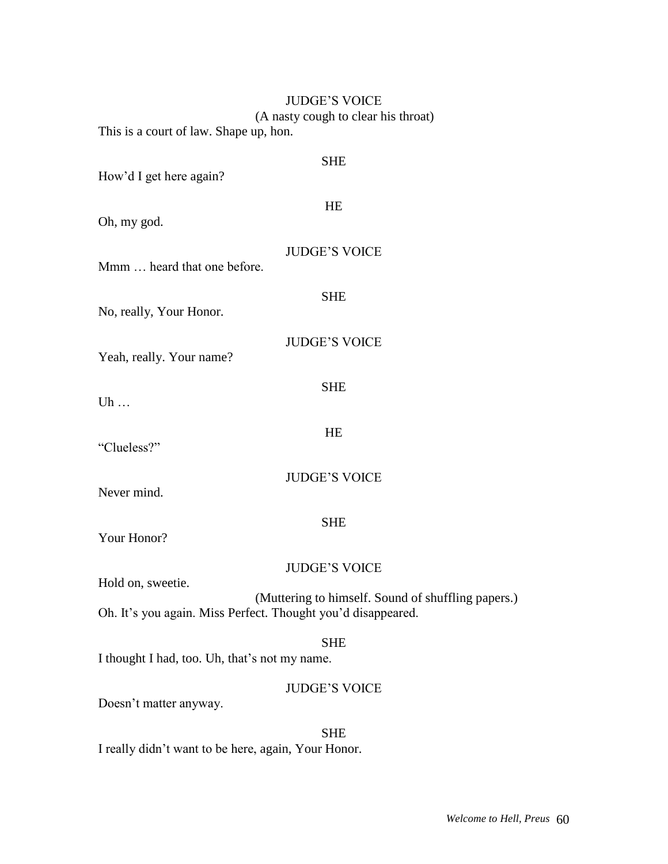| <b>JUDGE'S VOICE</b>                                                    |
|-------------------------------------------------------------------------|
| (A nasty cough to clear his throat)                                     |
| This is a court of law. Shape up, hon.                                  |
| <b>SHE</b>                                                              |
| How'd I get here again?                                                 |
|                                                                         |
| HE                                                                      |
| Oh, my god.                                                             |
| <b>JUDGE'S VOICE</b>                                                    |
| Mmm  heard that one before.                                             |
|                                                                         |
| <b>SHE</b><br>No, really, Your Honor.                                   |
|                                                                         |
| <b>JUDGE'S VOICE</b>                                                    |
| Yeah, really. Your name?                                                |
| <b>SHE</b>                                                              |
| Uh $\ldots$                                                             |
|                                                                         |
| HE<br>"Clueless?"                                                       |
|                                                                         |
| <b>JUDGE'S VOICE</b>                                                    |
| Never mind.                                                             |
| <b>SHE</b>                                                              |
| Your Honor?                                                             |
|                                                                         |
| <b>JUDGE'S VOICE</b>                                                    |
| Hold on, sweetie.<br>(Muttering to himself. Sound of shuffling papers.) |
| Oh. It's you again. Miss Perfect. Thought you'd disappeared.            |
|                                                                         |
| <b>SHE</b><br>I thought I had, too. Uh, that's not my name.             |
|                                                                         |
| <b>JUDGE'S VOICE</b>                                                    |
| Doesn't matter anyway.                                                  |
| <b>SHE</b>                                                              |
| I really didn't want to be here, again, Your Honor.                     |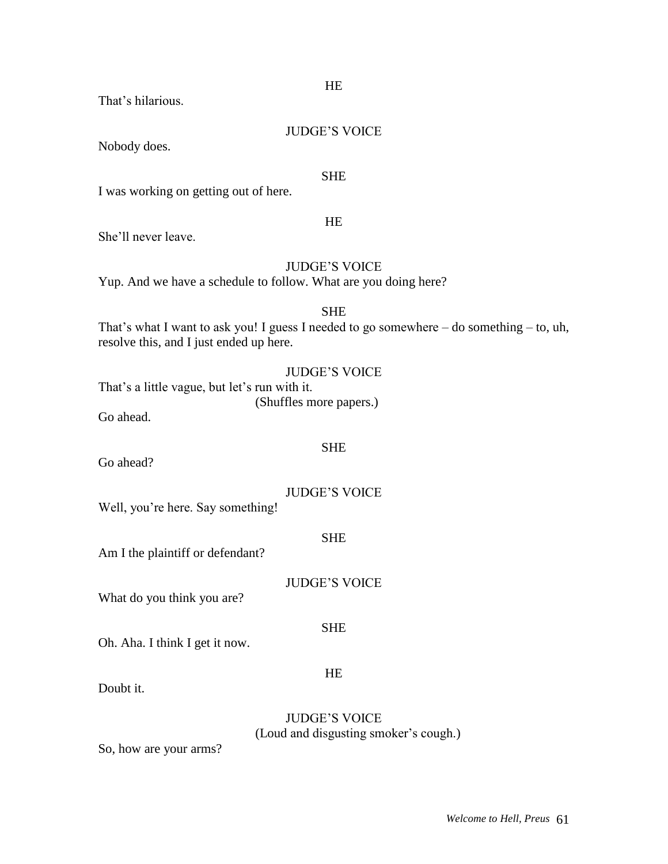HE JUDGE'S VOICE SHE That's what I want to ask you! I guess I needed to go somewhere – do something – to, uh, resolve this, and I just ended up here. JUDGE'S VOICE That's a little vague, but let's run with it. (Shuffles more papers.) SHE JUDGE'S VOICE Well, you're here. Say something! SHE Am I the plaintiff or defendant? JUDGE'S VOICE What do you think you are? SHE Oh. Aha. I think I get it now. HE

Doubt it.

Go ahead.

Go ahead?

JUDGE'S VOICE (Loud and disgusting smoker's cough.)

So, how are your arms?

# That's hilarious.

### JUDGE'S VOICE

HE

**SHE** 

I was working on getting out of here.

She'll never leave.

Nobody does.

Yup. And we have a schedule to follow. What are you doing here?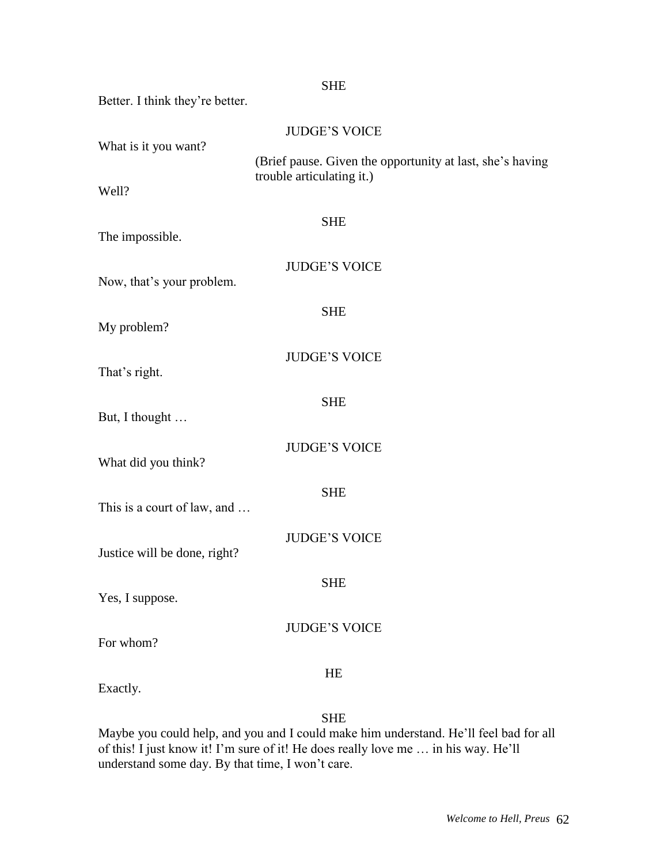|                                 | <b>SHE</b>                                                                             |
|---------------------------------|----------------------------------------------------------------------------------------|
| Better. I think they're better. |                                                                                        |
| What is it you want?            | <b>JUDGE'S VOICE</b>                                                                   |
|                                 | (Brief pause. Given the opportunity at last, she's having<br>trouble articulating it.) |
| Well?                           |                                                                                        |
| The impossible.                 | <b>SHE</b>                                                                             |
| Now, that's your problem.       | <b>JUDGE'S VOICE</b>                                                                   |
| My problem?                     | <b>SHE</b>                                                                             |
| That's right.                   | <b>JUDGE'S VOICE</b>                                                                   |
| But, I thought                  | <b>SHE</b>                                                                             |
| What did you think?             | <b>JUDGE'S VOICE</b>                                                                   |
| This is a court of law, and     | <b>SHE</b>                                                                             |
| Justice will be done, right?    | <b>JUDGE'S VOICE</b>                                                                   |
| Yes, I suppose.                 | <b>SHE</b>                                                                             |
| For whom?                       | <b>JUDGE'S VOICE</b>                                                                   |
| Exactly.                        | HE                                                                                     |

SHE

Maybe you could help, and you and I could make him understand. He'll feel bad for all of this! I just know it! I'm sure of it! He does really love me … in his way. He'll understand some day. By that time, I won't care.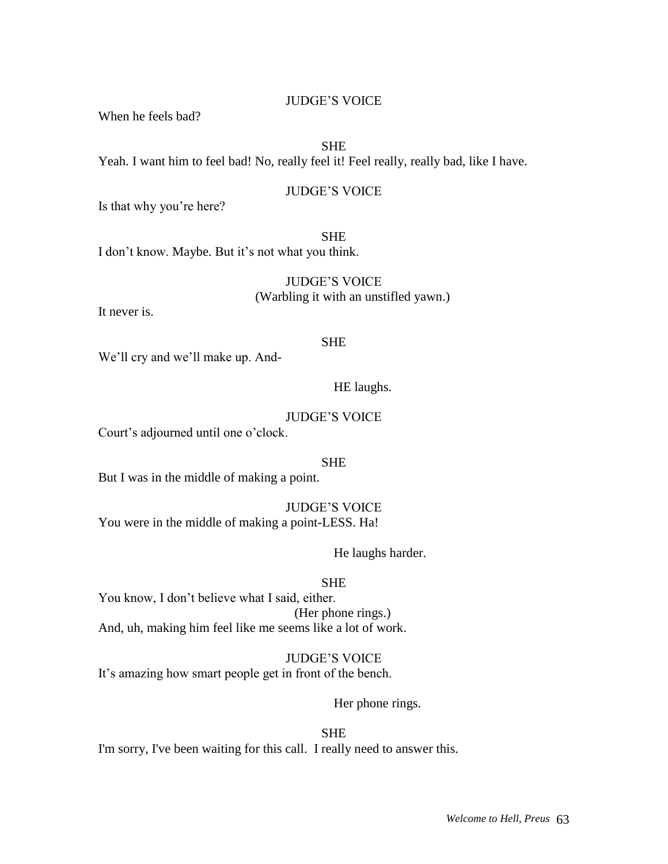### JUDGE'S VOICE

When he feels bad?

### SHE

Yeah. I want him to feel bad! No, really feel it! Feel really, really bad, like I have.

### JUDGE'S VOICE

Is that why you're here?

### SHE

I don't know. Maybe. But it's not what you think.

JUDGE'S VOICE (Warbling it with an unstifled yawn.)

It never is.

### SHE

We'll cry and we'll make up. And-

### HE laughs.

### JUDGE'S VOICE

Court's adjourned until one o'clock.

#### SHE

But I was in the middle of making a point.

JUDGE'S VOICE You were in the middle of making a point-LESS. Ha!

He laughs harder.

#### SHE

You know, I don't believe what I said, either. (Her phone rings.) And, uh, making him feel like me seems like a lot of work.

JUDGE'S VOICE It's amazing how smart people get in front of the bench.

Her phone rings.

### SHE

I'm sorry, I've been waiting for this call. I really need to answer this.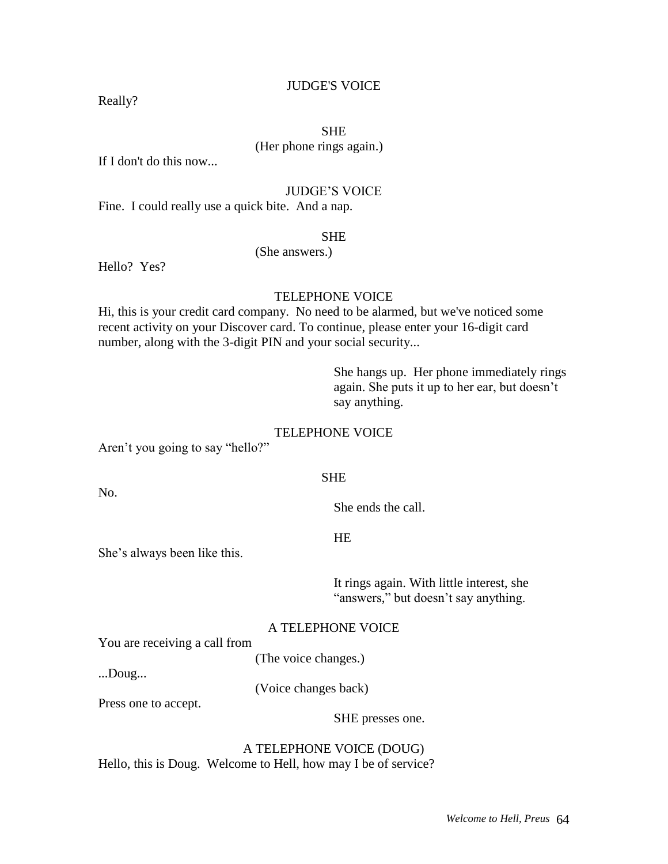### JUDGE'S VOICE

Really?

### SHE

(Her phone rings again.)

If I don't do this now...

#### JUDGE'S VOICE

Fine. I could really use a quick bite. And a nap.

#### SHE

(She answers.)

Hello? Yes?

#### TELEPHONE VOICE

Hi, this is your credit card company. No need to be alarmed, but we've noticed some recent activity on your Discover card. To continue, please enter your 16-digit card number, along with the 3-digit PIN and your social security...

> She hangs up. Her phone immediately rings again. She puts it up to her ear, but doesn't say anything.

#### TELEPHONE VOICE

Aren't you going to say "hello?"

#### SHE

She ends the call.

**HE** 

She's always been like this.

It rings again. With little interest, she "answers," but doesn't say anything.

#### A TELEPHONE VOICE

You are receiving a call from

(The voice changes.)

...Doug...

No.

(Voice changes back)

Press one to accept.

SHE presses one.

A TELEPHONE VOICE (DOUG) Hello, this is Doug. Welcome to Hell, how may I be of service?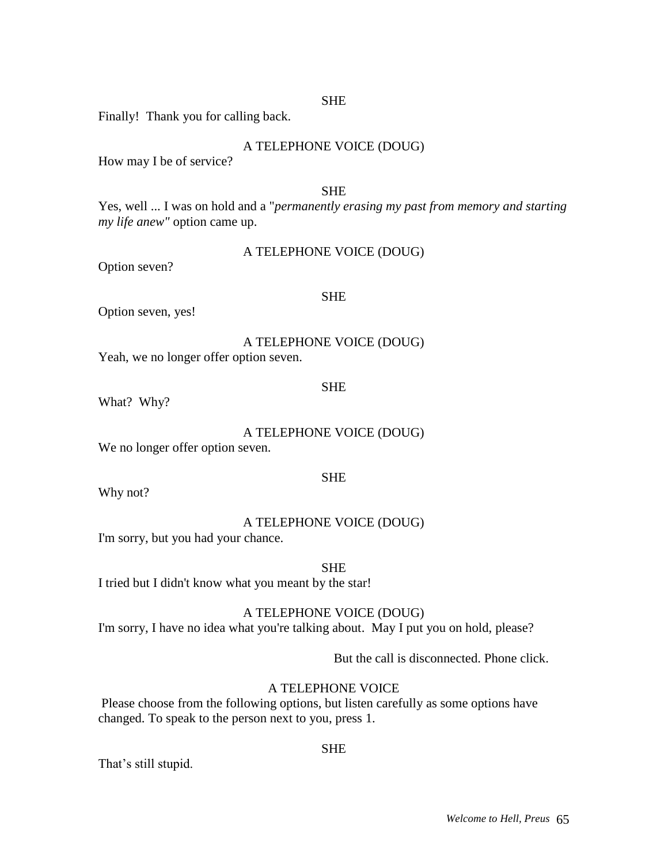### **SHE**

Finally! Thank you for calling back.

| A TELEPHONE VOICE (DOUG) |  |  |  |
|--------------------------|--|--|--|
|--------------------------|--|--|--|

How may I be of service?

#### **SHE**

Yes, well ... I was on hold and a "*permanently erasing my past from memory and starting my life anew"* option came up.

| A TELEPHONE VOICE (DOUG) |  |  |  |
|--------------------------|--|--|--|
|--------------------------|--|--|--|

Option seven?

#### **SHE**

Option seven, yes!

A TELEPHONE VOICE (DOUG) Yeah, we no longer offer option seven.

#### SHE

What? Why?

A TELEPHONE VOICE (DOUG)

SHE

We no longer offer option seven.

Why not?

### A TELEPHONE VOICE (DOUG)

I'm sorry, but you had your chance.

**SHE** 

I tried but I didn't know what you meant by the star!

### A TELEPHONE VOICE (DOUG)

I'm sorry, I have no idea what you're talking about. May I put you on hold, please?

But the call is disconnected. Phone click.

### A TELEPHONE VOICE

Please choose from the following options, but listen carefully as some options have changed. To speak to the person next to you, press 1.

## SHE

That's still stupid.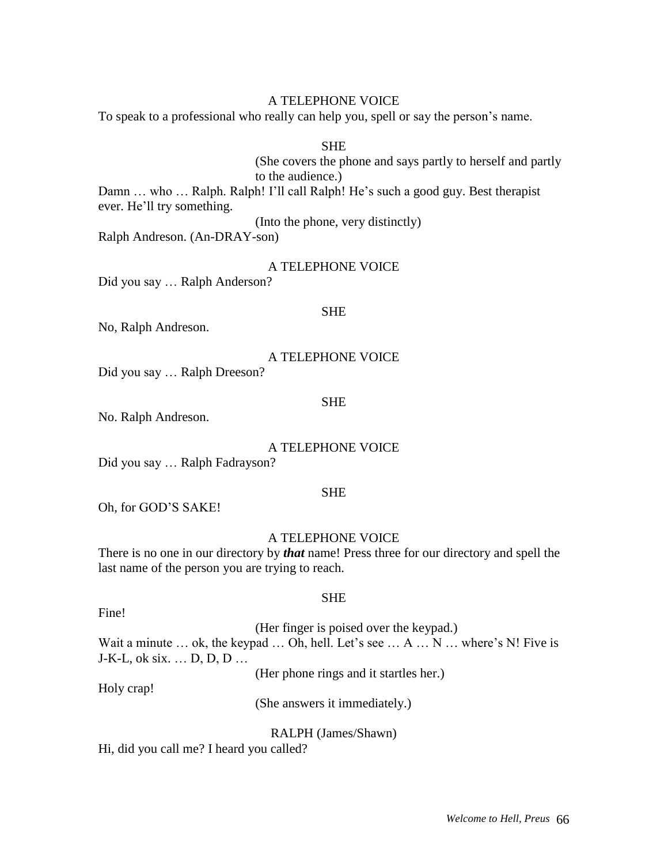#### A TELEPHONE VOICE

To speak to a professional who really can help you, spell or say the person's name.

**SHE** 

(She covers the phone and says partly to herself and partly to the audience.)

Damn ... who ... Ralph. Ralph! I'll call Ralph! He's such a good guy. Best therapist ever. He'll try something.

(Into the phone, very distinctly)

Ralph Andreson. (An-DRAY-son)

#### A TELEPHONE VOICE

Did you say … Ralph Anderson?

#### **SHE**

No, Ralph Andreson.

A TELEPHONE VOICE

Did you say … Ralph Dreeson?

#### SHE

No. Ralph Andreson.

#### A TELEPHONE VOICE

Did you say … Ralph Fadrayson?

#### SHE

Oh, for GOD'S SAKE!

#### A TELEPHONE VOICE

There is no one in our directory by *that* name! Press three for our directory and spell the last name of the person you are trying to reach.

#### SHE

(Her finger is poised over the keypad.) Wait a minute  $\dots$  ok, the keypad  $\dots$  Oh, hell. Let's see  $\dots$  A  $\dots$  N  $\dots$  where's N! Five is J-K-L, ok six. … D, D, D …

(Her phone rings and it startles her.)

Holy crap!

Fine!

(She answers it immediately.)

RALPH (James/Shawn)

Hi, did you call me? I heard you called?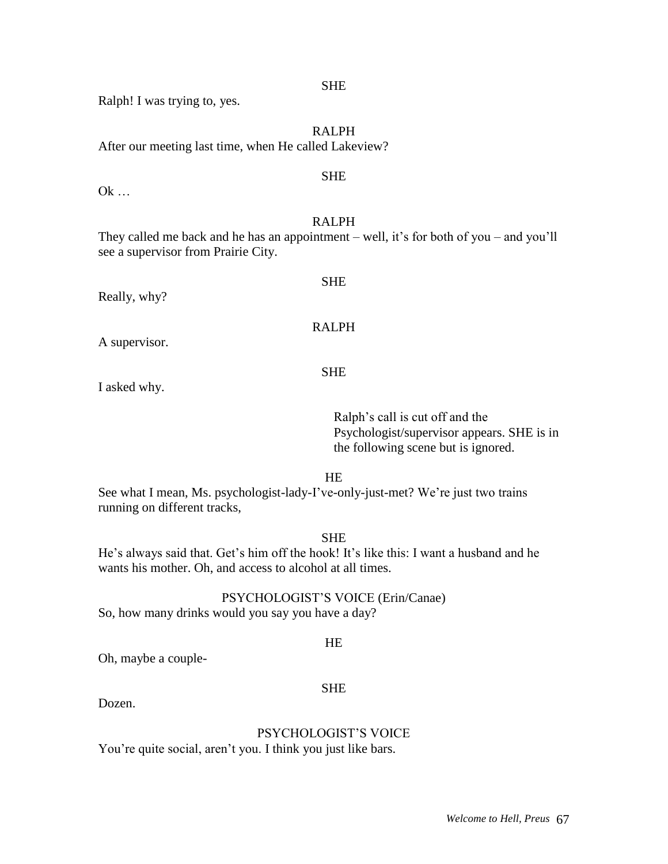SHE

Ralph! I was trying to, yes.

RALPH After our meeting last time, when He called Lakeview?

### **SHE**

Ok …

### RALPH

They called me back and he has an appointment – well, it's for both of you – and you'll see a supervisor from Prairie City.

Really, why?

RALPH

SHE

A supervisor.

SHE

I asked why.

Ralph's call is cut off and the Psychologist/supervisor appears. SHE is in the following scene but is ignored.

HE

See what I mean, Ms. psychologist-lady-I've-only-just-met? We're just two trains running on different tracks,

### SHE

He's always said that. Get's him off the hook! It's like this: I want a husband and he wants his mother. Oh, and access to alcohol at all times.

## PSYCHOLOGIST'S VOICE (Erin/Canae)

So, how many drinks would you say you have a day?

### HE

SHE

Oh, maybe a couple-

### Dozen.

# PSYCHOLOGIST'S VOICE

You're quite social, aren't you. I think you just like bars.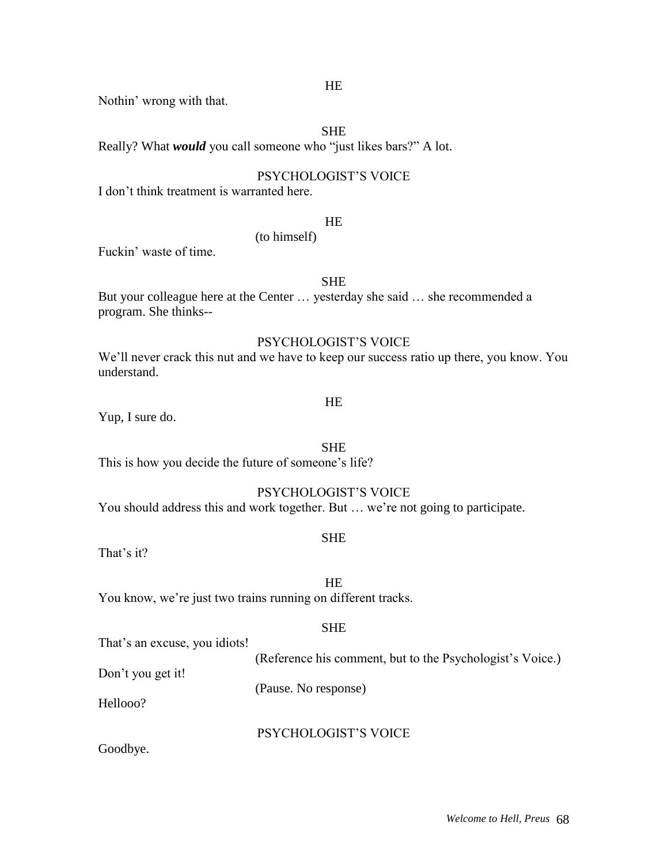Nothin' wrong with that.

### SHE

Really? What *would* you call someone who "just likes bars?" A lot.

(to himself)

### PSYCHOLOGIST'S VOICE

I don't think treatment is warranted here.

#### HE

Fuckin' waste of time.

#### SHE

But your colleague here at the Center … yesterday she said … she recommended a program. She thinks--

### PSYCHOLOGIST'S VOICE

We'll never crack this nut and we have to keep our success ratio up there, you know. You understand.

Yup, I sure do.

HE

**SHE** This is how you decide the future of someone's life?

### PSYCHOLOGIST'S VOICE

You should address this and work together. But … we're not going to participate.

#### SHE

That's it?

You know, we're just two trains running on different tracks.

#### **SHE**

HE

That's an excuse, you idiots!

(Reference his comment, but to the Psychologist's Voice.)

Don't you get it!

Hellooo?

PSYCHOLOGIST'S VOICE

(Pause. No response)

Goodbye.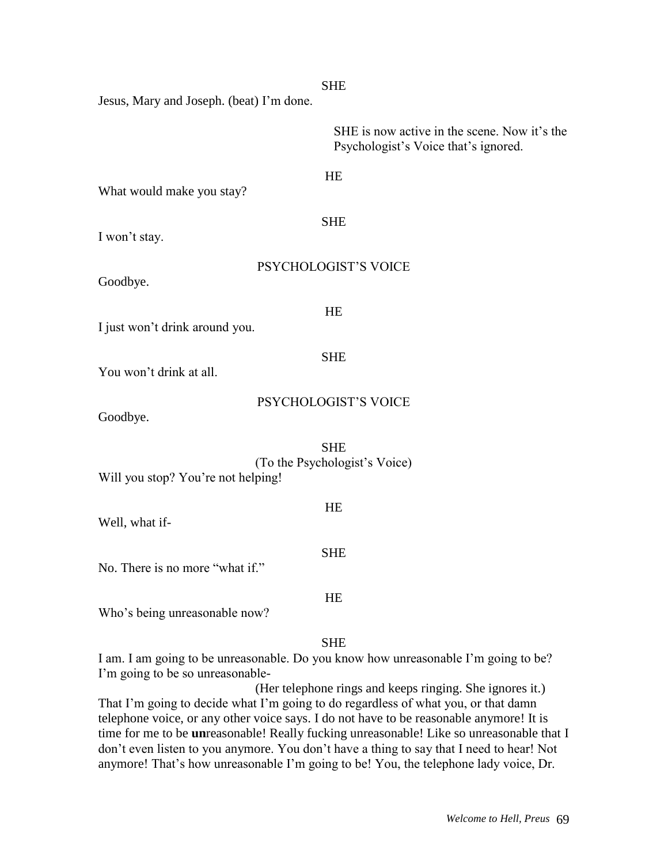| <b>SHE</b>                                                                                                                           |
|--------------------------------------------------------------------------------------------------------------------------------------|
| Jesus, Mary and Joseph. (beat) I'm done.                                                                                             |
| SHE is now active in the scene. Now it's the<br>Psychologist's Voice that's ignored.                                                 |
| HE<br>What would make you stay?                                                                                                      |
| <b>SHE</b><br>I won't stay.                                                                                                          |
| PSYCHOLOGIST'S VOICE<br>Goodbye.                                                                                                     |
| HE<br>I just won't drink around you.                                                                                                 |
| <b>SHE</b><br>You won't drink at all.                                                                                                |
| PSYCHOLOGIST'S VOICE<br>Goodbye.                                                                                                     |
| <b>SHE</b><br>(To the Psychologist's Voice)<br>Will you stop? You're not helping!                                                    |
| HE<br>Well, what if-                                                                                                                 |
| <b>SHE</b><br>No. There is no more "what if."                                                                                        |
| HE<br>Who's being unreasonable now?                                                                                                  |
| <b>SHE</b><br>I am. I am going to be unreasonable. Do you know how unreasonable I'm going to be?<br>I'm going to be so unreasonable- |

(Her telephone rings and keeps ringing. She ignores it.) That I'm going to decide what I'm going to do regardless of what you, or that damn telephone voice, or any other voice says. I do not have to be reasonable anymore! It is time for me to be **un**reasonable! Really fucking unreasonable! Like so unreasonable that I don't even listen to you anymore. You don't have a thing to say that I need to hear! Not anymore! That's how unreasonable I'm going to be! You, the telephone lady voice, Dr.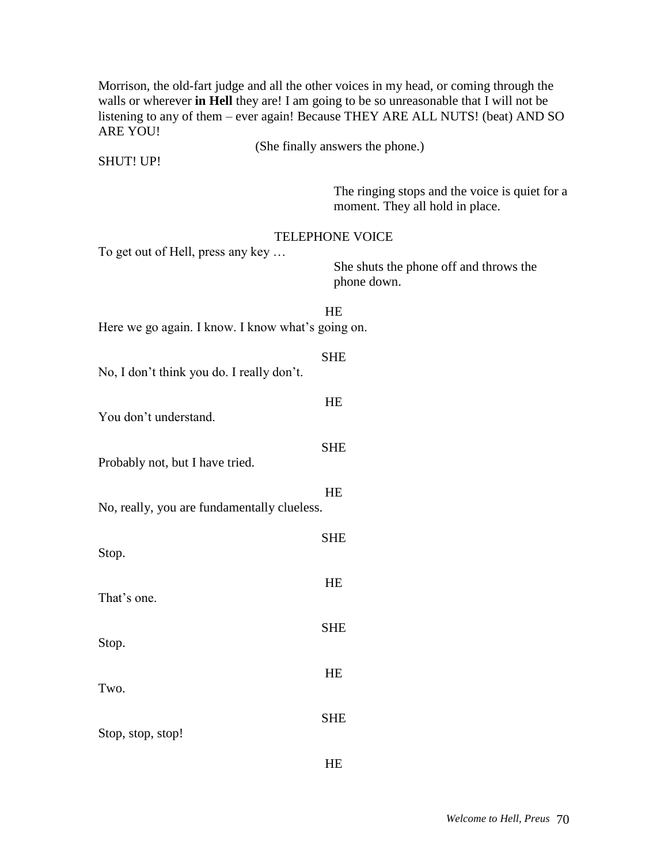Morrison, the old-fart judge and all the other voices in my head, or coming through the walls or wherever **in Hell** they are! I am going to be so unreasonable that I will not be listening to any of them – ever again! Because THEY ARE ALL NUTS! (beat) AND SO ARE YOU! (She finally answers the phone.) SHUT! UP! The ringing stops and the voice is quiet for a moment. They all hold in place. TELEPHONE VOICE To get out of Hell, press any key … She shuts the phone off and throws the phone down. HE Here we go again. I know. I know what's going on. SHE No, I don't think you do. I really don't. HE You don't understand. SHE Probably not, but I have tried. **HE** No, really, you are fundamentally clueless. SHE Stop. HE That's one. SHE Stop. HE Two. **SHE** Stop, stop, stop!

HE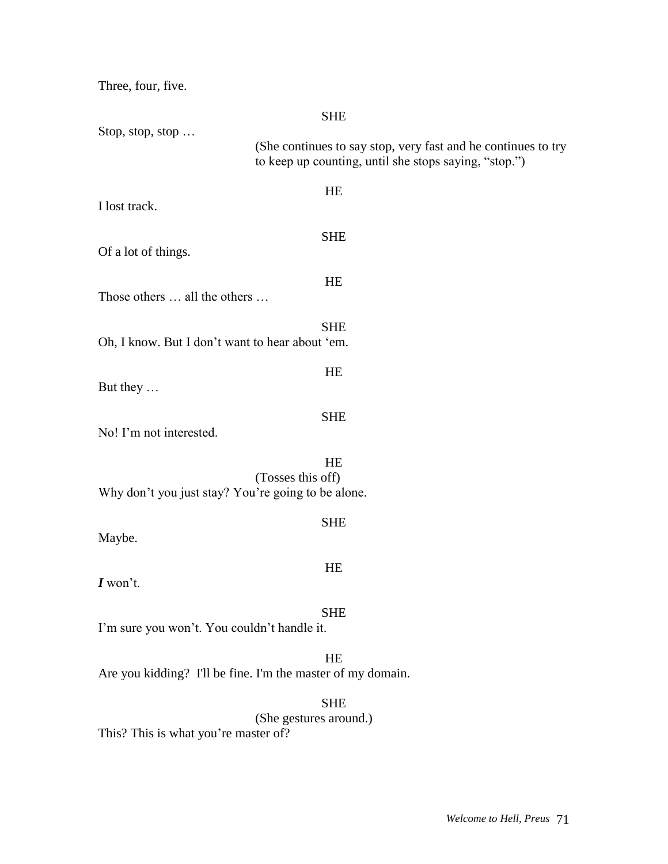Three, four, five.

|                                                    | <b>SHE</b>                                                                                                             |
|----------------------------------------------------|------------------------------------------------------------------------------------------------------------------------|
| Stop, stop, stop                                   | (She continues to say stop, very fast and he continues to try<br>to keep up counting, until she stops saying, "stop.") |
| I lost track.                                      | HE                                                                                                                     |
| Of a lot of things.                                | <b>SHE</b>                                                                                                             |
| Those others  all the others                       | HE                                                                                                                     |
| Oh, I know. But I don't want to hear about 'em.    | <b>SHE</b>                                                                                                             |
| But they                                           | HE                                                                                                                     |
| No! I'm not interested.                            | <b>SHE</b>                                                                                                             |
| Why don't you just stay? You're going to be alone. | <b>HE</b><br>(Tosses this off)                                                                                         |
| Maybe.                                             | <b>SHE</b>                                                                                                             |
| $I$ won't.                                         | HE                                                                                                                     |
| I'm sure you won't. You couldn't handle it.        | <b>SHE</b>                                                                                                             |
|                                                    | HE<br>Are you kidding? I'll be fine. I'm the master of my domain.                                                      |
|                                                    | <b>SHE</b><br>(She gestures around.)                                                                                   |

This? This is what you're master of?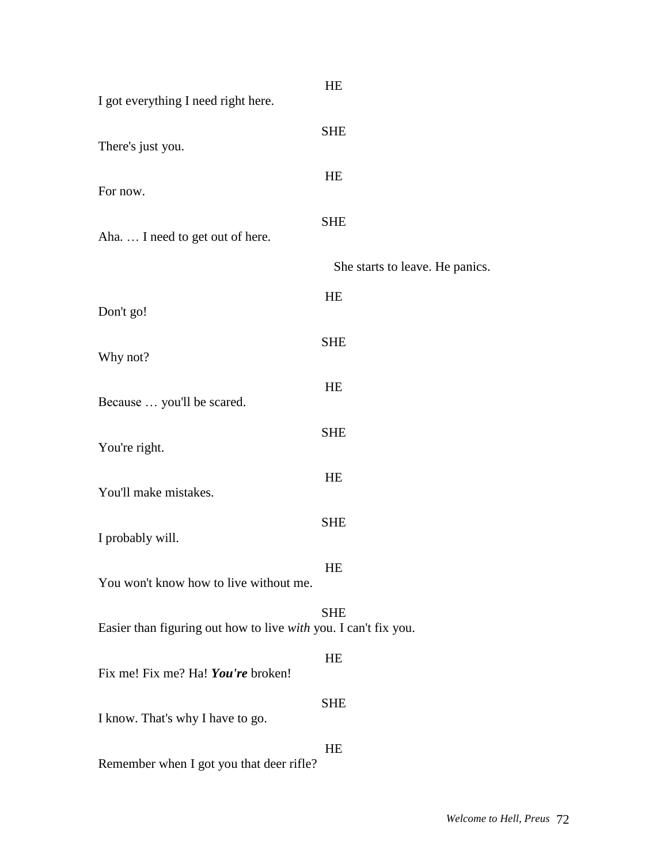| I got everything I need right here.                             | HE                              |
|-----------------------------------------------------------------|---------------------------------|
|                                                                 | <b>SHE</b>                      |
| There's just you.                                               | HE                              |
| For now.                                                        |                                 |
| Aha I need to get out of here.                                  | <b>SHE</b>                      |
|                                                                 | She starts to leave. He panics. |
| Don't go!                                                       | HE                              |
| Why not?                                                        | <b>SHE</b>                      |
| Because  you'll be scared.                                      | HE                              |
| You're right.                                                   | <b>SHE</b>                      |
| You'll make mistakes.                                           | HE                              |
| I probably will.                                                | <b>SHE</b>                      |
| You won't know how to live without me.                          | HE                              |
| Easier than figuring out how to live with you. I can't fix you. | <b>SHE</b>                      |
| Fix me! Fix me? Ha! You're broken!                              | HE                              |
| I know. That's why I have to go.                                | <b>SHE</b>                      |
| Remember when I got you that deer rifle?                        | HE                              |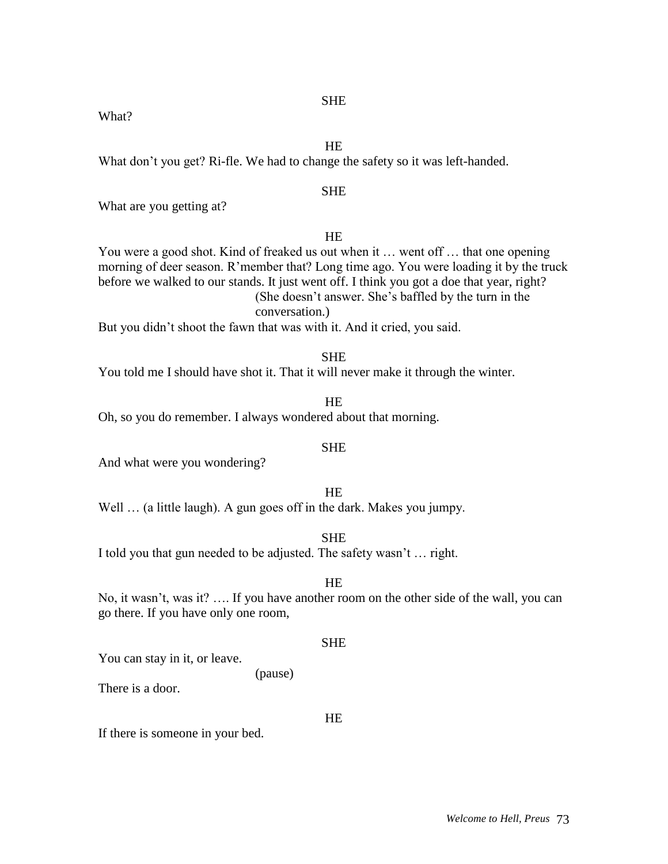**SHE** 

What?

HE

What don't you get? Ri-fle. We had to change the safety so it was left-handed.

## SHE

What are you getting at?

## HE

You were a good shot. Kind of freaked us out when it … went off … that one opening morning of deer season. R'member that? Long time ago. You were loading it by the truck before we walked to our stands. It just went off. I think you got a doe that year, right? (She doesn't answer. She's baffled by the turn in the conversation.)

But you didn't shoot the fawn that was with it. And it cried, you said.

#### SHE

You told me I should have shot it. That it will never make it through the winter.

HE Oh, so you do remember. I always wondered about that morning.

## **SHE**

And what were you wondering?

HE Well ... (a little laugh). A gun goes off in the dark. Makes you jumpy.

**SHE** 

I told you that gun needed to be adjusted. The safety wasn't … right.

(pause)

## HE

No, it wasn't, was it? …. If you have another room on the other side of the wall, you can go there. If you have only one room,

#### **SHE**

You can stay in it, or leave.

There is a door.

If there is someone in your bed.

## **HE**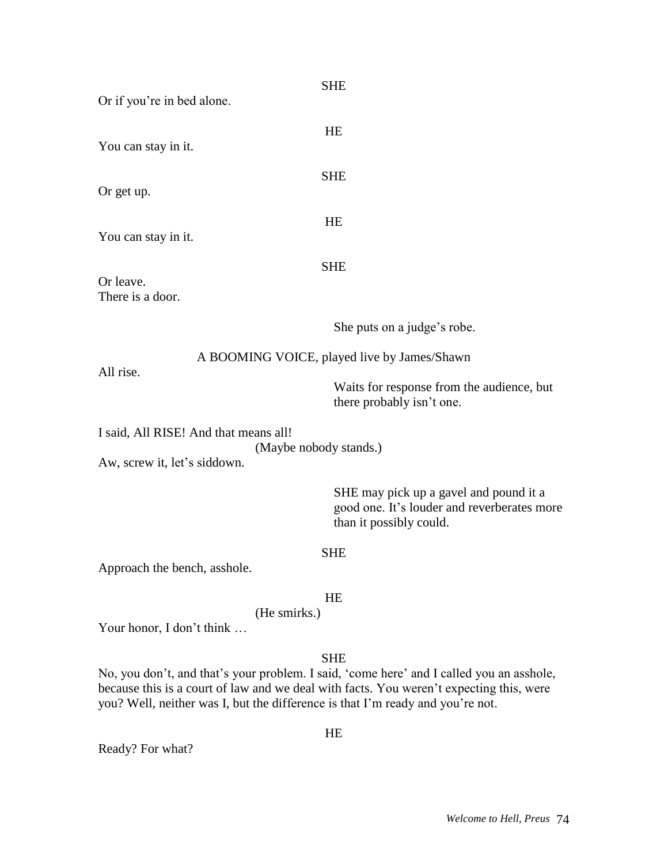| Or if you're in bed alone.                                                                      | <b>SHE</b>                                                                                                                                                                                        |
|-------------------------------------------------------------------------------------------------|---------------------------------------------------------------------------------------------------------------------------------------------------------------------------------------------------|
|                                                                                                 | HE                                                                                                                                                                                                |
| You can stay in it.                                                                             |                                                                                                                                                                                                   |
| Or get up.                                                                                      | <b>SHE</b>                                                                                                                                                                                        |
| You can stay in it.                                                                             | HE                                                                                                                                                                                                |
| Or leave.<br>There is a door.                                                                   | <b>SHE</b>                                                                                                                                                                                        |
|                                                                                                 | She puts on a judge's robe.                                                                                                                                                                       |
| A BOOMING VOICE, played live by James/Shawn<br>All rise.                                        |                                                                                                                                                                                                   |
|                                                                                                 | Waits for response from the audience, but<br>there probably isn't one.                                                                                                                            |
| I said, All RISE! And that means all!<br>(Maybe nobody stands.)<br>Aw, screw it, let's siddown. |                                                                                                                                                                                                   |
|                                                                                                 | SHE may pick up a gavel and pound it a<br>good one. It's louder and reverberates more<br>than it possibly could.                                                                                  |
|                                                                                                 | <b>SHE</b>                                                                                                                                                                                        |
| Approach the bench, asshole.                                                                    |                                                                                                                                                                                                   |
| (He smirks.)<br>Your honor, I don't think                                                       | HE                                                                                                                                                                                                |
| you? Well, neither was I, but the difference is that I'm ready and you're not.                  | <b>SHE</b><br>No, you don't, and that's your problem. I said, 'come here' and I called you an asshole,<br>because this is a court of law and we deal with facts. You weren't expecting this, were |
| Ready? For what?                                                                                | HE                                                                                                                                                                                                |
|                                                                                                 |                                                                                                                                                                                                   |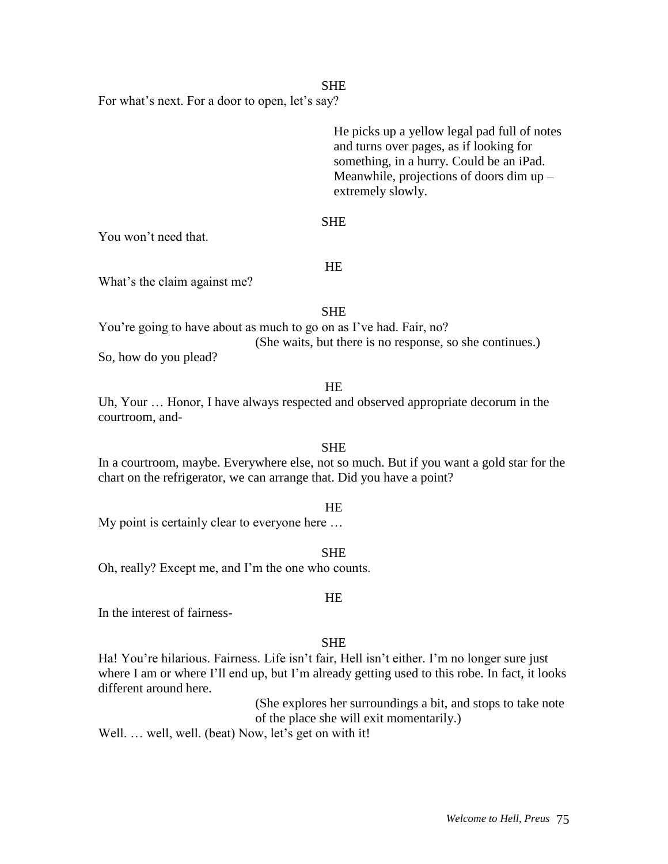## **SHE**

For what's next. For a door to open, let's say?

He picks up a yellow legal pad full of notes and turns over pages, as if looking for something, in a hurry. Could be an iPad. Meanwhile, projections of doors dim up – extremely slowly.

## SHE

You won't need that.

#### HE

What's the claim against me?

## **SHE**

You're going to have about as much to go on as I've had. Fair, no? (She waits, but there is no response, so she continues.) So, how do you plead?

#### HE

Uh, Your … Honor, I have always respected and observed appropriate decorum in the courtroom, and-

## **SHE**

In a courtroom, maybe. Everywhere else, not so much. But if you want a gold star for the chart on the refrigerator, we can arrange that. Did you have a point?

#### **HE**

My point is certainly clear to everyone here …

SHE

Oh, really? Except me, and I'm the one who counts.

## In the interest of fairness-

## **SHE**

HE

Ha! You're hilarious. Fairness. Life isn't fair, Hell isn't either. I'm no longer sure just where I am or where I'll end up, but I'm already getting used to this robe. In fact, it looks different around here.

> (She explores her surroundings a bit, and stops to take note of the place she will exit momentarily.)

Well. ... well, well. (beat) Now, let's get on with it!

#### *Welcome to Hell, Preus* 75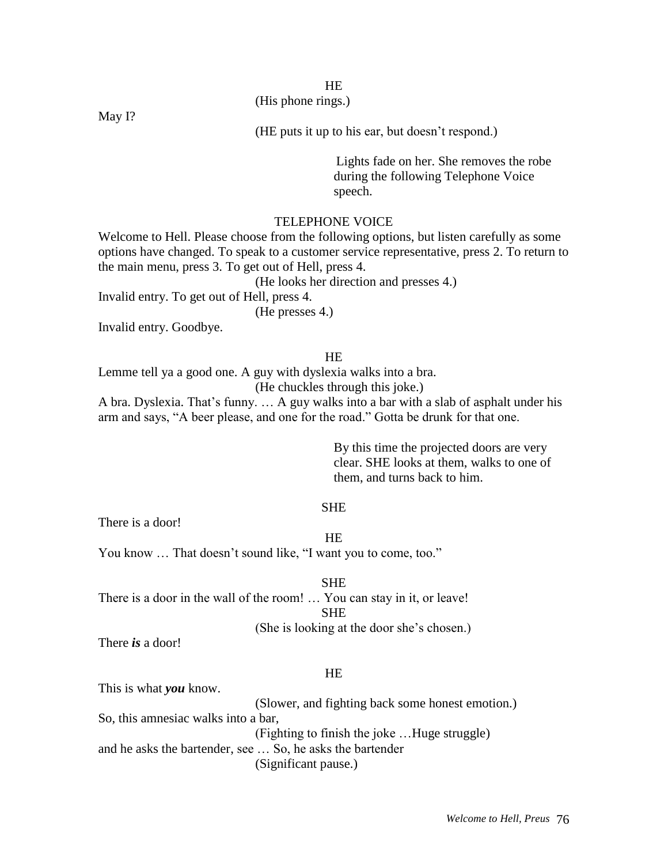# HE

(His phone rings.)

May I?

(HE puts it up to his ear, but doesn't respond.)

Lights fade on her. She removes the robe during the following Telephone Voice speech.

#### TELEPHONE VOICE

Welcome to Hell. Please choose from the following options, but listen carefully as some options have changed. To speak to a customer service representative, press 2. To return to the main menu, press 3. To get out of Hell, press 4.

(He looks her direction and presses 4.)

Invalid entry. To get out of Hell, press 4.

(He presses 4.)

Invalid entry. Goodbye.

#### **HE**

Lemme tell ya a good one. A guy with dyslexia walks into a bra.

(He chuckles through this joke.)

A bra. Dyslexia. That's funny. … A guy walks into a bar with a slab of asphalt under his arm and says, "A beer please, and one for the road." Gotta be drunk for that one.

> By this time the projected doors are very clear. SHE looks at them, walks to one of them, and turns back to him.

#### SHE

There is a door!

HE

You know … That doesn't sound like, "I want you to come, too."

SHE

There is a door in the wall of the room! … You can stay in it, or leave! **SHE** 

(She is looking at the door she's chosen.)

There *is* a door!

#### HE

This is what *you* know.

(Slower, and fighting back some honest emotion.)

So, this amnesiac walks into a bar,

(Fighting to finish the joke …Huge struggle)

and he asks the bartender, see … So, he asks the bartender

(Significant pause.)